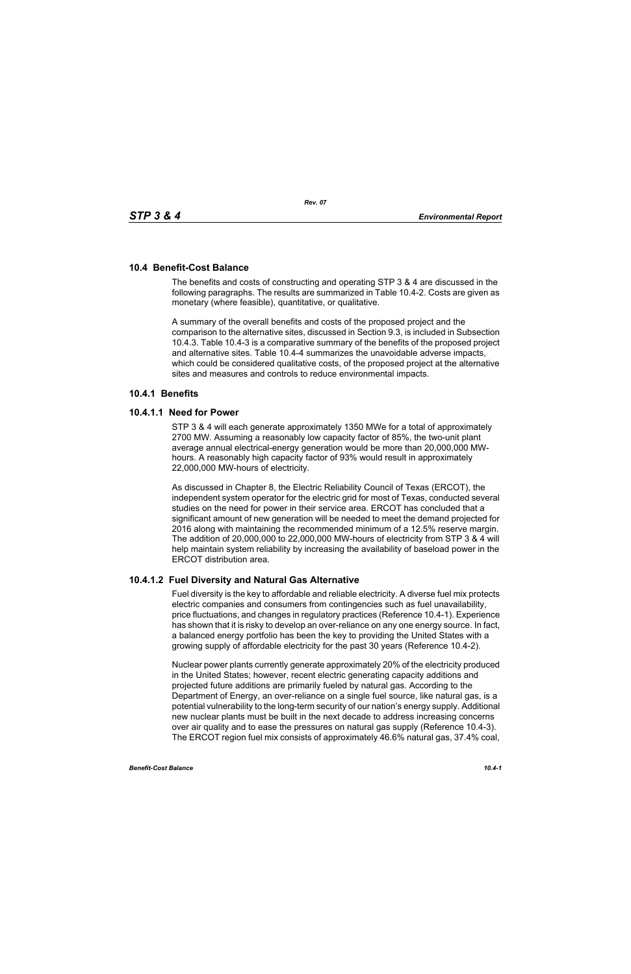# **10.4 Benefit-Cost Balance**

The benefits and costs of constructing and operating STP 3 & 4 are discussed in the following paragraphs. The results are summarized in Table 10.4-2. Costs are given as monetary (where feasible), quantitative, or qualitative.

A summary of the overall benefits and costs of the proposed project and the comparison to the alternative sites, discussed in Section 9.3, is included in Subsection 10.4.3. Table 10.4-3 is a comparative summary of the benefits of the proposed project and alternative sites. Table 10.4-4 summarizes the unavoidable adverse impacts, which could be considered qualitative costs, of the proposed project at the alternative sites and measures and controls to reduce environmental impacts.

# **10.4.1 Benefits**

# **10.4.1.1 Need for Power**

STP 3 & 4 will each generate approximately 1350 MWe for a total of approximately 2700 MW. Assuming a reasonably low capacity factor of 85%, the two-unit plant average annual electrical-energy generation would be more than 20,000,000 MWhours. A reasonably high capacity factor of 93% would result in approximately 22,000,000 MW-hours of electricity.

As discussed in Chapter 8, the Electric Reliability Council of Texas (ERCOT), the independent system operator for the electric grid for most of Texas, conducted several studies on the need for power in their service area. ERCOT has concluded that a significant amount of new generation will be needed to meet the demand projected for 2016 along with maintaining the recommended minimum of a 12.5% reserve margin. The addition of 20,000,000 to 22,000,000 MW-hours of electricity from STP 3 & 4 will help maintain system reliability by increasing the availability of baseload power in the ERCOT distribution area.

# **10.4.1.2 Fuel Diversity and Natural Gas Alternative**

Fuel diversity is the key to affordable and reliable electricity. A diverse fuel mix protects electric companies and consumers from contingencies such as fuel unavailability, price fluctuations, and changes in regulatory practices (Reference 10.4-1). Experience has shown that it is risky to develop an over-reliance on any one energy source. In fact, a balanced energy portfolio has been the key to providing the United States with a growing supply of affordable electricity for the past 30 years (Reference 10.4-2).

Nuclear power plants currently generate approximately 20% of the electricity produced in the United States; however, recent electric generating capacity additions and projected future additions are primarily fueled by natural gas. According to the Department of Energy, an over-reliance on a single fuel source, like natural gas, is a potential vulnerability to the long-term security of our nation's energy supply. Additional new nuclear plants must be built in the next decade to address increasing concerns over air quality and to ease the pressures on natural gas supply (Reference 10.4-3). The ERCOT region fuel mix consists of approximately 46.6% natural gas, 37.4% coal,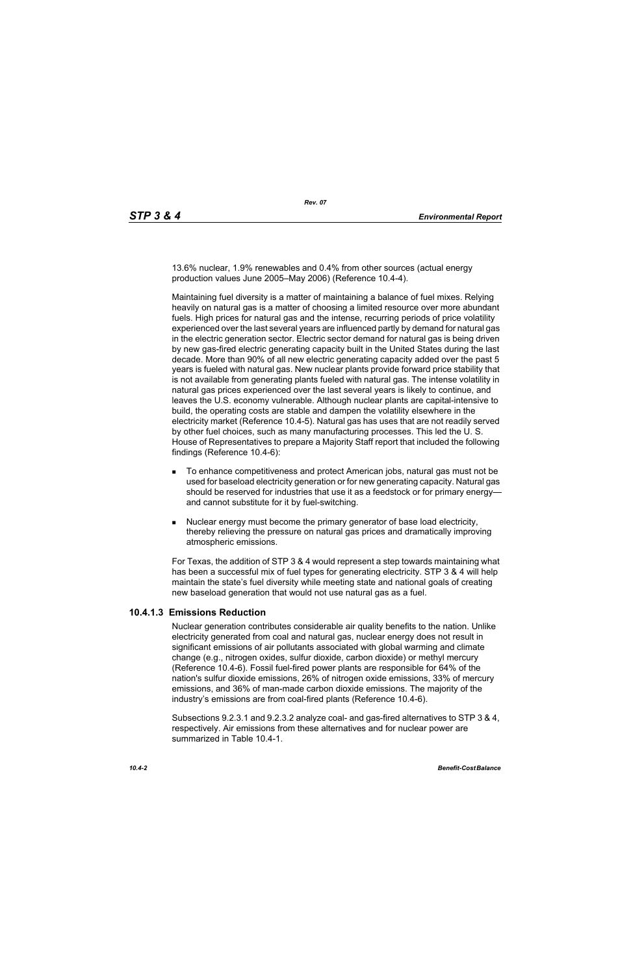13.6% nuclear, 1.9% renewables and 0.4% from other sources (actual energy production values June 2005–May 2006) (Reference 10.4-4).

Maintaining fuel diversity is a matter of maintaining a balance of fuel mixes. Relying heavily on natural gas is a matter of choosing a limited resource over more abundant fuels. High prices for natural gas and the intense, recurring periods of price volatility experienced over the last several years are influenced partly by demand for natural gas in the electric generation sector. Electric sector demand for natural gas is being driven by new gas-fired electric generating capacity built in the United States during the last decade. More than 90% of all new electric generating capacity added over the past 5 years is fueled with natural gas. New nuclear plants provide forward price stability that is not available from generating plants fueled with natural gas. The intense volatility in natural gas prices experienced over the last several years is likely to continue, and leaves the U.S. economy vulnerable. Although nuclear plants are capital-intensive to build, the operating costs are stable and dampen the volatility elsewhere in the electricity market (Reference 10.4-5). Natural gas has uses that are not readily served by other fuel choices, such as many manufacturing processes. This led the U. S. House of Representatives to prepare a Majority Staff report that included the following findings (Reference 10.4-6):

- To enhance competitiveness and protect American jobs, natural gas must not be used for baseload electricity generation or for new generating capacity. Natural gas should be reserved for industries that use it as a feedstock or for primary energy and cannot substitute for it by fuel-switching.
- Nuclear energy must become the primary generator of base load electricity, thereby relieving the pressure on natural gas prices and dramatically improving atmospheric emissions.

For Texas, the addition of STP 3 & 4 would represent a step towards maintaining what has been a successful mix of fuel types for generating electricity. STP 3 & 4 will help maintain the state's fuel diversity while meeting state and national goals of creating new baseload generation that would not use natural gas as a fuel.

# **10.4.1.3 Emissions Reduction**

Nuclear generation contributes considerable air quality benefits to the nation. Unlike electricity generated from coal and natural gas, nuclear energy does not result in significant emissions of air pollutants associated with global warming and climate change (e.g., nitrogen oxides, sulfur dioxide, carbon dioxide) or methyl mercury (Reference 10.4-6). Fossil fuel-fired power plants are responsible for 64% of the nation's sulfur dioxide emissions, 26% of nitrogen oxide emissions, 33% of mercury emissions, and 36% of man-made carbon dioxide emissions. The majority of the industry's emissions are from coal-fired plants (Reference 10.4-6).

Subsections 9.2.3.1 and 9.2.3.2 analyze coal- and gas-fired alternatives to STP 3 & 4, respectively. Air emissions from these alternatives and for nuclear power are summarized in Table 10.4-1.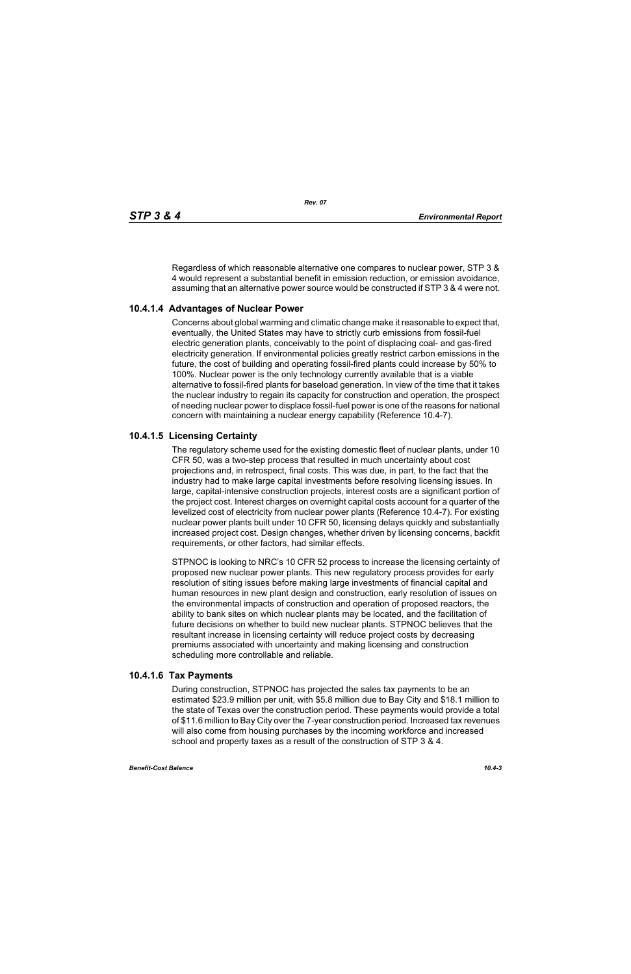Regardless of which reasonable alternative one compares to nuclear power, STP 3 & 4 would represent a substantial benefit in emission reduction, or emission avoidance, assuming that an alternative power source would be constructed if STP 3 & 4 were not.

# **10.4.1.4 Advantages of Nuclear Power**

Concerns about global warming and climatic change make it reasonable to expect that, eventually, the United States may have to strictly curb emissions from fossil-fuel electric generation plants, conceivably to the point of displacing coal- and gas-fired electricity generation. If environmental policies greatly restrict carbon emissions in the future, the cost of building and operating fossil-fired plants could increase by 50% to 100%. Nuclear power is the only technology currently available that is a viable alternative to fossil-fired plants for baseload generation. In view of the time that it takes the nuclear industry to regain its capacity for construction and operation, the prospect of needing nuclear power to displace fossil-fuel power is one of the reasons for national concern with maintaining a nuclear energy capability (Reference 10.4-7).

# **10.4.1.5 Licensing Certainty**

The regulatory scheme used for the existing domestic fleet of nuclear plants, under 10 CFR 50, was a two-step process that resulted in much uncertainty about cost projections and, in retrospect, final costs. This was due, in part, to the fact that the industry had to make large capital investments before resolving licensing issues. In large, capital-intensive construction projects, interest costs are a significant portion of the project cost. Interest charges on overnight capital costs account for a quarter of the levelized cost of electricity from nuclear power plants (Reference 10.4-7). For existing nuclear power plants built under 10 CFR 50, licensing delays quickly and substantially increased project cost. Design changes, whether driven by licensing concerns, backfit requirements, or other factors, had similar effects.

STPNOC is looking to NRC's 10 CFR 52 process to increase the licensing certainty of proposed new nuclear power plants. This new regulatory process provides for early resolution of siting issues before making large investments of financial capital and human resources in new plant design and construction, early resolution of issues on the environmental impacts of construction and operation of proposed reactors, the ability to bank sites on which nuclear plants may be located, and the facilitation of future decisions on whether to build new nuclear plants. STPNOC believes that the resultant increase in licensing certainty will reduce project costs by decreasing premiums associated with uncertainty and making licensing and construction scheduling more controllable and reliable.

# **10.4.1.6 Tax Payments**

During construction, STPNOC has projected the sales tax payments to be an estimated \$23.9 million per unit, with \$5.8 million due to Bay City and \$18.1 million to the state of Texas over the construction period. These payments would provide a total of \$11.6 million to Bay City over the 7-year construction period. Increased tax revenues will also come from housing purchases by the incoming workforce and increased school and property taxes as a result of the construction of STP 3 & 4.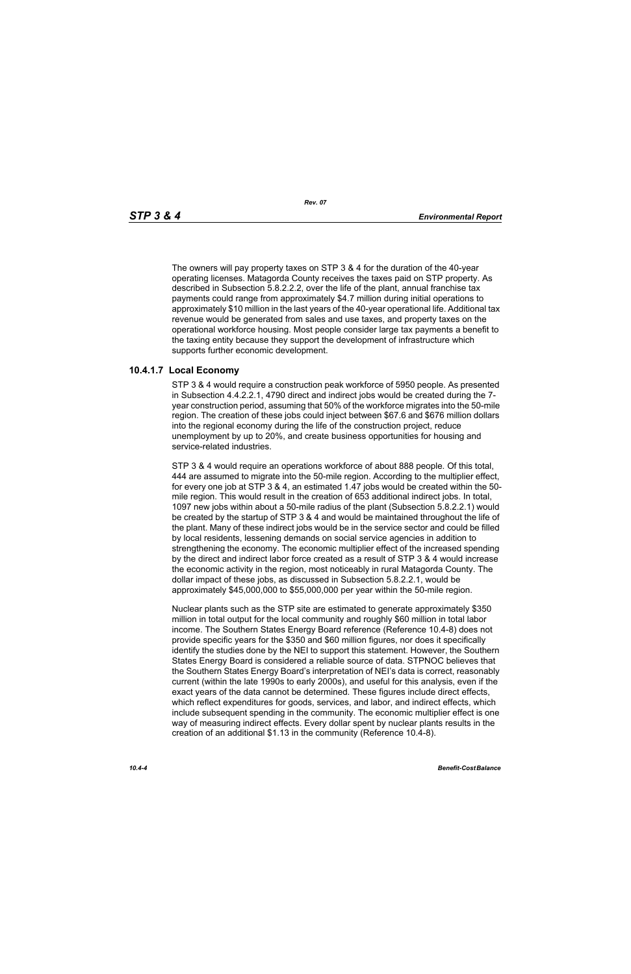The owners will pay property taxes on STP 3 & 4 for the duration of the 40-year operating licenses. Matagorda County receives the taxes paid on STP property. As described in Subsection 5.8.2.2.2, over the life of the plant, annual franchise tax payments could range from approximately \$4.7 million during initial operations to approximately \$10 million in the last years of the 40-year operational life. Additional tax revenue would be generated from sales and use taxes, and property taxes on the operational workforce housing. Most people consider large tax payments a benefit to the taxing entity because they support the development of infrastructure which supports further economic development.

# **10.4.1.7 Local Economy**

STP 3 & 4 would require a construction peak workforce of 5950 people. As presented in Subsection 4.4.2.2.1, 4790 direct and indirect jobs would be created during the 7 year construction period, assuming that 50% of the workforce migrates into the 50-mile region. The creation of these jobs could inject between \$67.6 and \$676 million dollars into the regional economy during the life of the construction project, reduce unemployment by up to 20%, and create business opportunities for housing and service-related industries.

STP 3 & 4 would require an operations workforce of about 888 people. Of this total, 444 are assumed to migrate into the 50-mile region. According to the multiplier effect, for every one job at STP 3 & 4, an estimated 1.47 jobs would be created within the 50 mile region. This would result in the creation of 653 additional indirect jobs. In total, 1097 new jobs within about a 50-mile radius of the plant (Subsection 5.8.2.2.1) would be created by the startup of STP 3 & 4 and would be maintained throughout the life of the plant. Many of these indirect jobs would be in the service sector and could be filled by local residents, lessening demands on social service agencies in addition to strengthening the economy. The economic multiplier effect of the increased spending by the direct and indirect labor force created as a result of STP 3 & 4 would increase the economic activity in the region, most noticeably in rural Matagorda County. The dollar impact of these jobs, as discussed in Subsection 5.8.2.2.1, would be approximately \$45,000,000 to \$55,000,000 per year within the 50-mile region.

Nuclear plants such as the STP site are estimated to generate approximately \$350 million in total output for the local community and roughly \$60 million in total labor income. The Southern States Energy Board reference (Reference 10.4-8) does not provide specific years for the \$350 and \$60 million figures, nor does it specifically identify the studies done by the NEI to support this statement. However, the Southern States Energy Board is considered a reliable source of data. STPNOC believes that the Southern States Energy Board's interpretation of NEI's data is correct, reasonably current (within the late 1990s to early 2000s), and useful for this analysis, even if the exact years of the data cannot be determined. These figures include direct effects, which reflect expenditures for goods, services, and labor, and indirect effects, which include subsequent spending in the community. The economic multiplier effect is one way of measuring indirect effects. Every dollar spent by nuclear plants results in the creation of an additional \$1.13 in the community (Reference 10.4-8).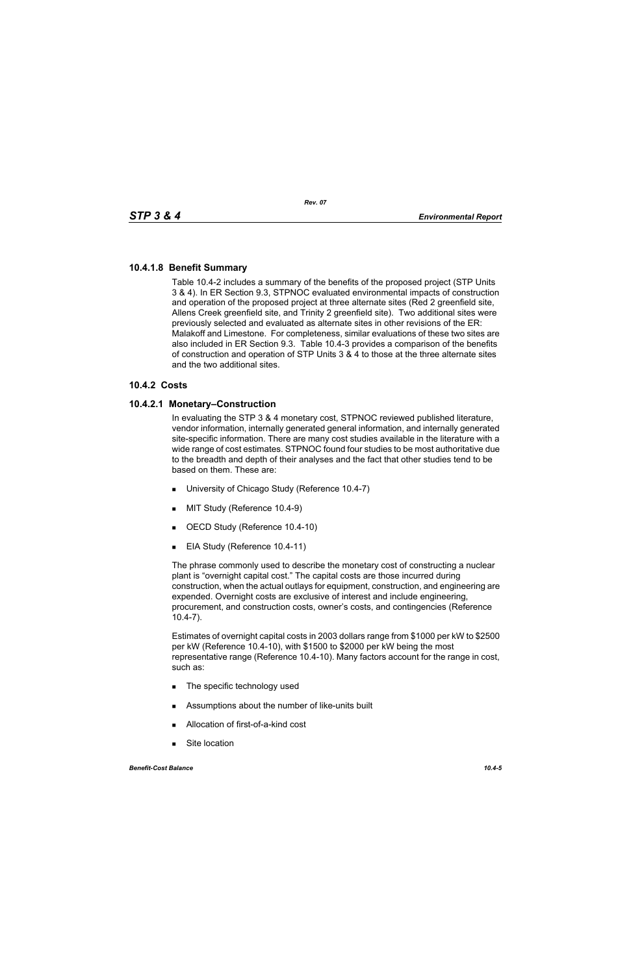# **10.4.1.8 Benefit Summary**

Table 10.4-2 includes a summary of the benefits of the proposed project (STP Units 3 & 4). In ER Section 9.3, STPNOC evaluated environmental impacts of construction and operation of the proposed project at three alternate sites (Red 2 greenfield site, Allens Creek greenfield site, and Trinity 2 greenfield site). Two additional sites were previously selected and evaluated as alternate sites in other revisions of the ER: Malakoff and Limestone. For completeness, similar evaluations of these two sites are also included in ER Section 9.3. Table 10.4-3 provides a comparison of the benefits of construction and operation of STP Units 3 & 4 to those at the three alternate sites and the two additional sites.

# **10.4.2 Costs**

# **10.4.2.1 Monetary–Construction**

In evaluating the STP 3 & 4 monetary cost, STPNOC reviewed published literature, vendor information, internally generated general information, and internally generated site-specific information. There are many cost studies available in the literature with a wide range of cost estimates. STPNOC found four studies to be most authoritative due to the breadth and depth of their analyses and the fact that other studies tend to be based on them. These are:

- **University of Chicago Study (Reference 10.4-7)**
- **MIT Study (Reference 10.4-9)**
- OECD Study (Reference 10.4-10)
- EIA Study (Reference 10.4-11)

The phrase commonly used to describe the monetary cost of constructing a nuclear plant is "overnight capital cost." The capital costs are those incurred during construction, when the actual outlays for equipment, construction, and engineering are expended. Overnight costs are exclusive of interest and include engineering, procurement, and construction costs, owner's costs, and contingencies (Reference 10.4-7).

Estimates of overnight capital costs in 2003 dollars range from \$1000 per kW to \$2500 per kW (Reference 10.4-10), with \$1500 to \$2000 per kW being the most representative range (Reference 10.4-10). Many factors account for the range in cost, such as:

- The specific technology used
- **EXECUTE:** Assumptions about the number of like-units built
- Allocation of first-of-a-kind cost
- Site location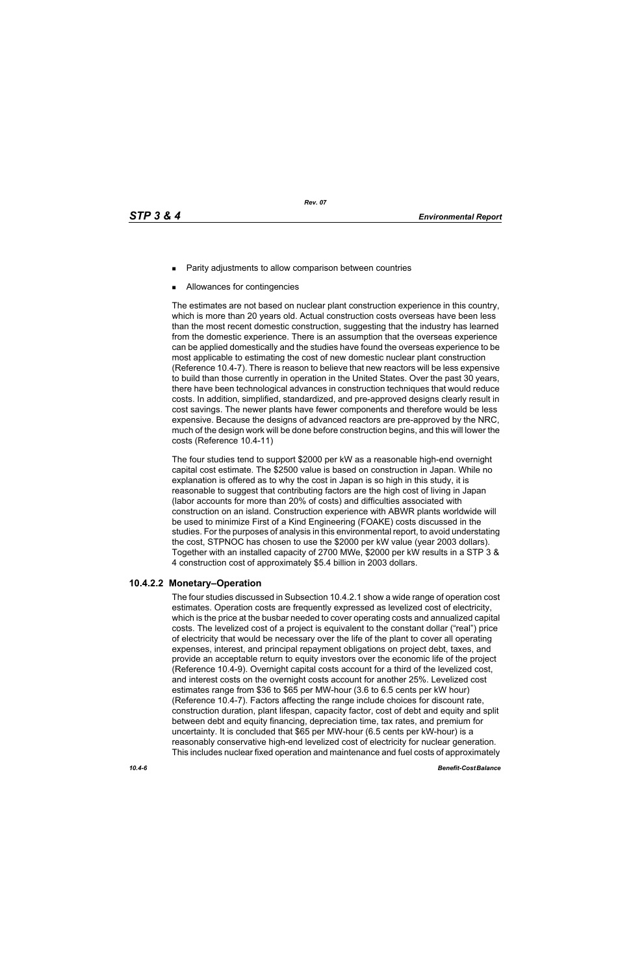- Parity adjustments to allow comparison between countries
- Allowances for contingencies

The estimates are not based on nuclear plant construction experience in this country, which is more than 20 years old. Actual construction costs overseas have been less than the most recent domestic construction, suggesting that the industry has learned from the domestic experience. There is an assumption that the overseas experience can be applied domestically and the studies have found the overseas experience to be most applicable to estimating the cost of new domestic nuclear plant construction (Reference 10.4-7). There is reason to believe that new reactors will be less expensive to build than those currently in operation in the United States. Over the past 30 years, there have been technological advances in construction techniques that would reduce costs. In addition, simplified, standardized, and pre-approved designs clearly result in cost savings. The newer plants have fewer components and therefore would be less expensive. Because the designs of advanced reactors are pre-approved by the NRC, much of the design work will be done before construction begins, and this will lower the costs (Reference 10.4-11)

The four studies tend to support \$2000 per kW as a reasonable high-end overnight capital cost estimate. The \$2500 value is based on construction in Japan. While no explanation is offered as to why the cost in Japan is so high in this study, it is reasonable to suggest that contributing factors are the high cost of living in Japan (labor accounts for more than 20% of costs) and difficulties associated with construction on an island. Construction experience with ABWR plants worldwide will be used to minimize First of a Kind Engineering (FOAKE) costs discussed in the studies. For the purposes of analysis in this environmental report, to avoid understating the cost, STPNOC has chosen to use the \$2000 per kW value (year 2003 dollars). Together with an installed capacity of 2700 MWe, \$2000 per kW results in a STP 3 & 4 construction cost of approximately \$5.4 billion in 2003 dollars.

# **10.4.2.2 Monetary–Operation**

The four studies discussed in Subsection 10.4.2.1 show a wide range of operation cost estimates. Operation costs are frequently expressed as levelized cost of electricity, which is the price at the busbar needed to cover operating costs and annualized capital costs. The levelized cost of a project is equivalent to the constant dollar ("real") price of electricity that would be necessary over the life of the plant to cover all operating expenses, interest, and principal repayment obligations on project debt, taxes, and provide an acceptable return to equity investors over the economic life of the project (Reference 10.4-9). Overnight capital costs account for a third of the levelized cost, and interest costs on the overnight costs account for another 25%. Levelized cost estimates range from \$36 to \$65 per MW-hour (3.6 to 6.5 cents per kW hour) (Reference 10.4-7). Factors affecting the range include choices for discount rate, construction duration, plant lifespan, capacity factor, cost of debt and equity and split between debt and equity financing, depreciation time, tax rates, and premium for uncertainty. It is concluded that \$65 per MW-hour (6.5 cents per kW-hour) is a reasonably conservative high-end levelized cost of electricity for nuclear generation. This includes nuclear fixed operation and maintenance and fuel costs of approximately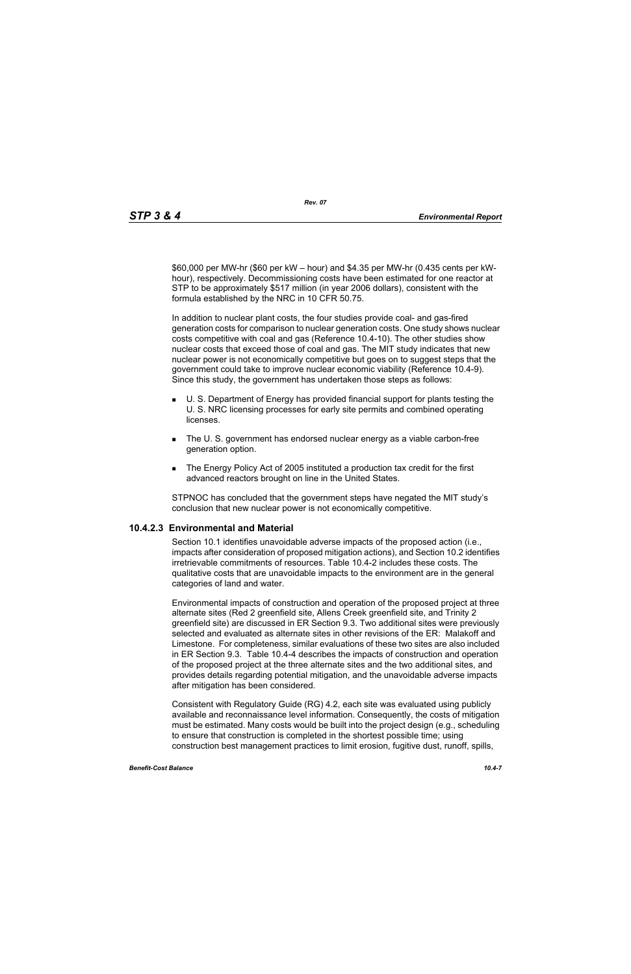\$60,000 per MW-hr (\$60 per kW – hour) and \$4.35 per MW-hr (0.435 cents per kWhour), respectively. Decommissioning costs have been estimated for one reactor at STP to be approximately \$517 million (in year 2006 dollars), consistent with the formula established by the NRC in 10 CFR 50.75.

In addition to nuclear plant costs, the four studies provide coal- and gas-fired generation costs for comparison to nuclear generation costs. One study shows nuclear costs competitive with coal and gas (Reference 10.4-10). The other studies show nuclear costs that exceed those of coal and gas. The MIT study indicates that new nuclear power is not economically competitive but goes on to suggest steps that the government could take to improve nuclear economic viability (Reference 10.4-9). Since this study, the government has undertaken those steps as follows:

- U. S. Department of Energy has provided financial support for plants testing the U. S. NRC licensing processes for early site permits and combined operating **licenses**
- The U. S. government has endorsed nuclear energy as a viable carbon-free generation option.
- The Energy Policy Act of 2005 instituted a production tax credit for the first advanced reactors brought on line in the United States.

STPNOC has concluded that the government steps have negated the MIT study's conclusion that new nuclear power is not economically competitive.

# **10.4.2.3 Environmental and Material**

Section 10.1 identifies unavoidable adverse impacts of the proposed action (i.e., impacts after consideration of proposed mitigation actions), and Section 10.2 identifies irretrievable commitments of resources. Table 10.4-2 includes these costs. The qualitative costs that are unavoidable impacts to the environment are in the general categories of land and water.

Environmental impacts of construction and operation of the proposed project at three alternate sites (Red 2 greenfield site, Allens Creek greenfield site, and Trinity 2 greenfield site) are discussed in ER Section 9.3. Two additional sites were previously selected and evaluated as alternate sites in other revisions of the ER: Malakoff and Limestone. For completeness, similar evaluations of these two sites are also included in ER Section 9.3. Table 10.4-4 describes the impacts of construction and operation of the proposed project at the three alternate sites and the two additional sites, and provides details regarding potential mitigation, and the unavoidable adverse impacts after mitigation has been considered.

Consistent with Regulatory Guide (RG) 4.2, each site was evaluated using publicly available and reconnaissance level information. Consequently, the costs of mitigation must be estimated. Many costs would be built into the project design (e.g., scheduling to ensure that construction is completed in the shortest possible time; using construction best management practices to limit erosion, fugitive dust, runoff, spills,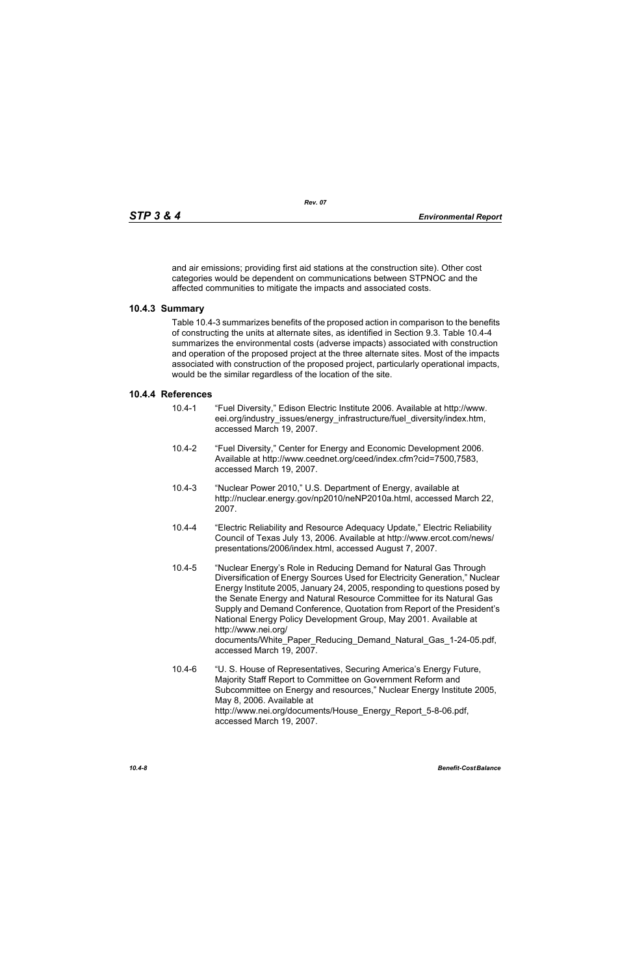and air emissions; providing first aid stations at the construction site). Other cost categories would be dependent on communications between STPNOC and the affected communities to mitigate the impacts and associated costs.

# **10.4.3 Summary**

Table 10.4-3 summarizes benefits of the proposed action in comparison to the benefits of constructing the units at alternate sites, as identified in Section 9.3. Table 10.4-4 summarizes the environmental costs (adverse impacts) associated with construction and operation of the proposed project at the three alternate sites. Most of the impacts associated with construction of the proposed project, particularly operational impacts, would be the similar regardless of the location of the site.

## **10.4.4 References**

- 10.4-1 "Fuel Diversity," Edison Electric Institute 2006. Available at http://www. eei.org/industry\_issues/energy\_infrastructure/fuel\_diversity/index.htm, accessed March 19, 2007.
- 10.4-2 "Fuel Diversity," Center for Energy and Economic Development 2006. Available at http://www.ceednet.org/ceed/index.cfm?cid=7500,7583, accessed March 19, 2007.
- 10.4-3 "Nuclear Power 2010," U.S. Department of Energy, available at http://nuclear.energy.gov/np2010/neNP2010a.html, accessed March 22, 2007.
- 10.4-4 "Electric Reliability and Resource Adequacy Update," Electric Reliability Council of Texas July 13, 2006. Available at http://www.ercot.com/news/ presentations/2006/index.html, accessed August 7, 2007.
- 10.4-5 "Nuclear Energy's Role in Reducing Demand for Natural Gas Through Diversification of Energy Sources Used for Electricity Generation," Nuclear Energy Institute 2005, January 24, 2005, responding to questions posed by the Senate Energy and Natural Resource Committee for its Natural Gas Supply and Demand Conference, Quotation from Report of the President's National Energy Policy Development Group, May 2001. Available at http://www.nei.org/ documents/White\_Paper\_Reducing\_Demand\_Natural\_Gas\_1-24-05.pdf, accessed March 19, 2007.
- 10.4-6 "U. S. House of Representatives, Securing America's Energy Future, Majority Staff Report to Committee on Government Reform and Subcommittee on Energy and resources," Nuclear Energy Institute 2005, May 8, 2006. Available at http://www.nei.org/documents/House\_Energy\_Report\_5-8-06.pdf, accessed March 19, 2007.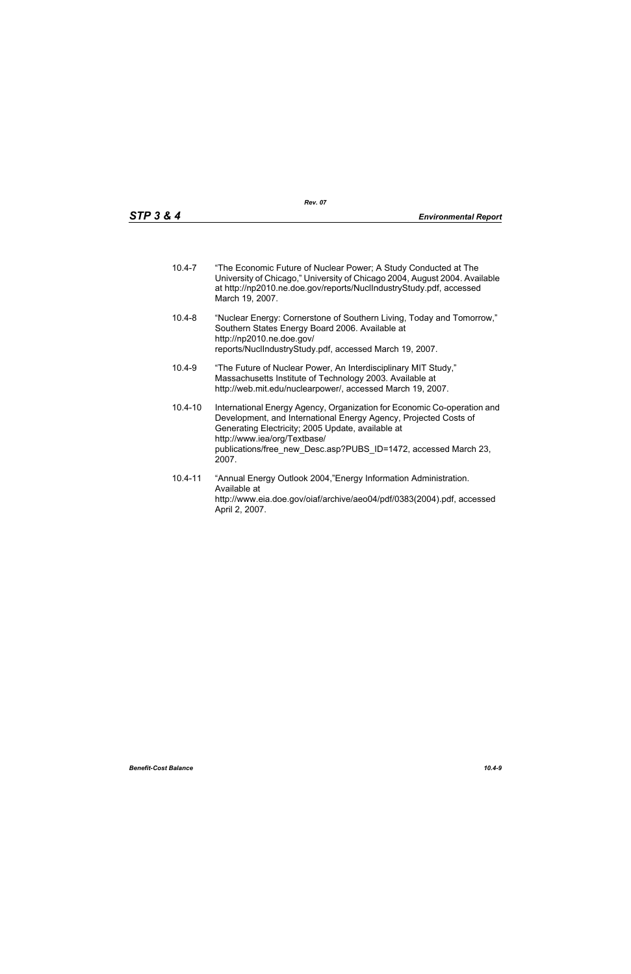- 10.4-7 "The Economic Future of Nuclear Power; A Study Conducted at The University of Chicago," University of Chicago 2004, August 2004. Available at http://np2010.ne.doe.gov/reports/NuclIndustryStudy.pdf, accessed March 19, 2007.
- 10.4-8 "Nuclear Energy: Cornerstone of Southern Living, Today and Tomorrow," Southern States Energy Board 2006. Available at http://np2010.ne.doe.gov/ reports/NuclIndustryStudy.pdf, accessed March 19, 2007.
- 10.4-9 "The Future of Nuclear Power, An Interdisciplinary MIT Study," Massachusetts Institute of Technology 2003. Available at http://web.mit.edu/nuclearpower/, accessed March 19, 2007.
- 10.4-10 International Energy Agency, Organization for Economic Co-operation and Development, and International Energy Agency, Projected Costs of Generating Electricity; 2005 Update, available at http://www.iea/org/Textbase/ publications/free\_new\_Desc.asp?PUBS\_ID=1472, accessed March 23, 2007.
- 10.4-11 "Annual Energy Outlook 2004,"Energy Information Administration. Available at http://www.eia.doe.gov/oiaf/archive/aeo04/pdf/0383(2004).pdf, accessed April 2, 2007.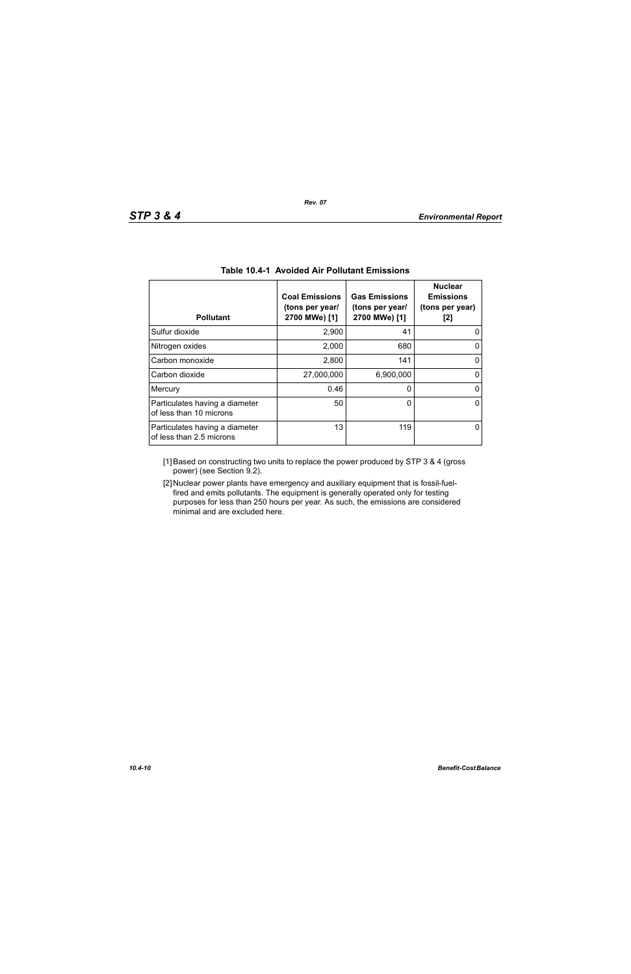| <b>Pollutant</b>                                           | <b>Coal Emissions</b><br>(tons per year/<br>2700 MWe) [1] | <b>Gas Emissions</b><br>(tons per year/<br>2700 MWe) [1] | <b>Nuclear</b><br><b>Emissions</b><br>(tons per year)<br>[2] |
|------------------------------------------------------------|-----------------------------------------------------------|----------------------------------------------------------|--------------------------------------------------------------|
| Sulfur dioxide                                             | 2,900                                                     | 41                                                       |                                                              |
| Nitrogen oxides                                            | 2,000                                                     | 680                                                      |                                                              |
| Carbon monoxide                                            | 2,800                                                     | 141                                                      | O                                                            |
| Carbon dioxide                                             | 27,000,000                                                | 6,900,000                                                |                                                              |
| Mercury                                                    | 0.46                                                      | 0                                                        | 0                                                            |
| Particulates having a diameter<br>of less than 10 microns  | 50                                                        | 0                                                        | O                                                            |
| Particulates having a diameter<br>of less than 2.5 microns | 13                                                        | 119                                                      |                                                              |

# **Table 10.4-1 Avoided Air Pollutant Emissions**

[1] Based on constructing two units to replace the power produced by STP 3 & 4 (gross power) (see Section 9.2).

[2] Nuclear power plants have emergency and auxiliary equipment that is fossil-fuelfired and emits pollutants. The equipment is generally operated only for testing purposes for less than 250 hours per year. As such, the emissions are considered minimal and are excluded here.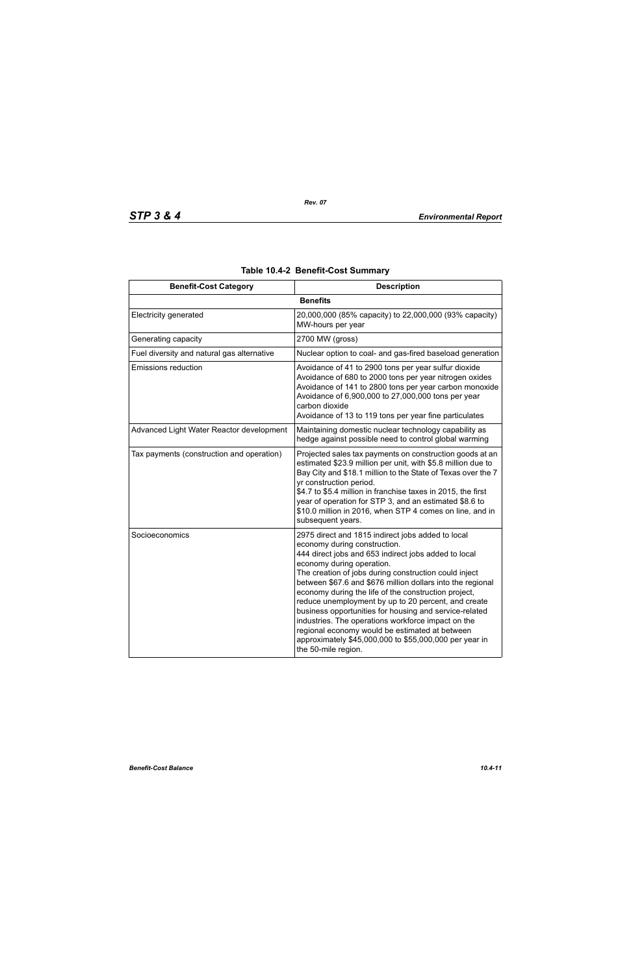| <b>Benefit-Cost Category</b>               | <b>Description</b>                                                                                                                                                                                                                                                                                                                                                                                                                                                                                                                                                                                                                                              |
|--------------------------------------------|-----------------------------------------------------------------------------------------------------------------------------------------------------------------------------------------------------------------------------------------------------------------------------------------------------------------------------------------------------------------------------------------------------------------------------------------------------------------------------------------------------------------------------------------------------------------------------------------------------------------------------------------------------------------|
|                                            | <b>Benefits</b>                                                                                                                                                                                                                                                                                                                                                                                                                                                                                                                                                                                                                                                 |
| <b>Electricity generated</b>               | 20,000,000 (85% capacity) to 22,000,000 (93% capacity)<br>MW-hours per year                                                                                                                                                                                                                                                                                                                                                                                                                                                                                                                                                                                     |
| Generating capacity                        | 2700 MW (gross)                                                                                                                                                                                                                                                                                                                                                                                                                                                                                                                                                                                                                                                 |
| Fuel diversity and natural gas alternative | Nuclear option to coal- and gas-fired baseload generation                                                                                                                                                                                                                                                                                                                                                                                                                                                                                                                                                                                                       |
| <b>Emissions reduction</b>                 | Avoidance of 41 to 2900 tons per year sulfur dioxide<br>Avoidance of 680 to 2000 tons per year nitrogen oxides<br>Avoidance of 141 to 2800 tons per year carbon monoxide<br>Avoidance of 6,900,000 to 27,000,000 tons per year<br>carbon dioxide<br>Avoidance of 13 to 119 tons per year fine particulates                                                                                                                                                                                                                                                                                                                                                      |
| Advanced Light Water Reactor development   | Maintaining domestic nuclear technology capability as<br>hedge against possible need to control global warming                                                                                                                                                                                                                                                                                                                                                                                                                                                                                                                                                  |
| Tax payments (construction and operation)  | Projected sales tax payments on construction goods at an<br>estimated \$23.9 million per unit, with \$5.8 million due to<br>Bay City and \$18.1 million to the State of Texas over the 7<br>yr construction period.<br>\$4.7 to \$5.4 million in franchise taxes in 2015, the first<br>year of operation for STP 3, and an estimated \$8.6 to<br>\$10.0 million in 2016, when STP 4 comes on line, and in<br>subsequent years.                                                                                                                                                                                                                                  |
| Socioeconomics                             | 2975 direct and 1815 indirect jobs added to local<br>economy during construction.<br>444 direct jobs and 653 indirect jobs added to local<br>economy during operation.<br>The creation of jobs during construction could inject<br>between \$67.6 and \$676 million dollars into the regional<br>economy during the life of the construction project,<br>reduce unemployment by up to 20 percent, and create<br>business opportunities for housing and service-related<br>industries. The operations workforce impact on the<br>regional economy would be estimated at between<br>approximately \$45,000,000 to \$55,000,000 per year in<br>the 50-mile region. |

# **Table 10.4-2 Benefit-Cost Summary**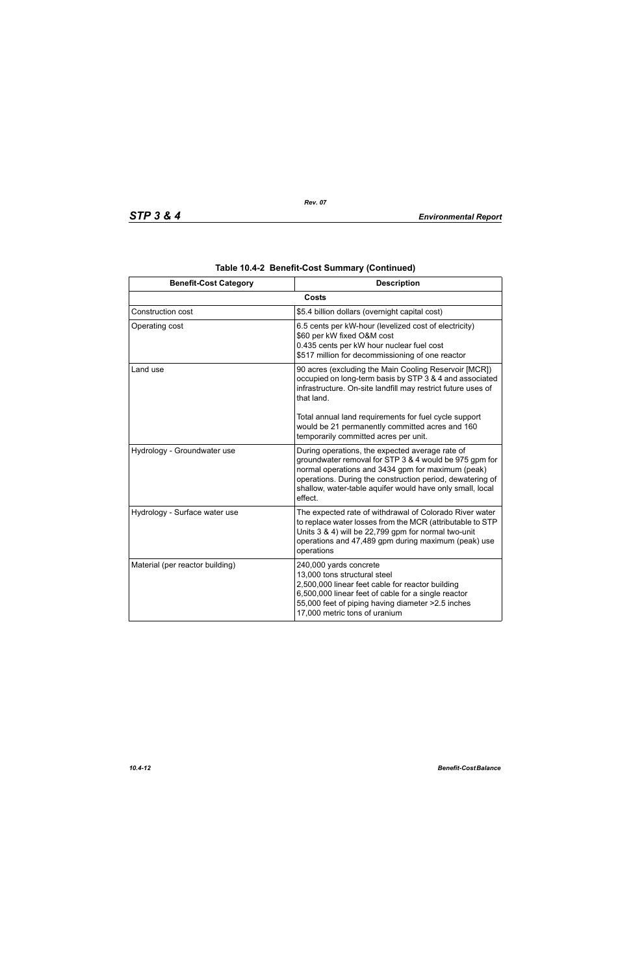| <b>Benefit-Cost Category</b>    | <b>Description</b>                                                                                                                                                                                                                                                                                  |
|---------------------------------|-----------------------------------------------------------------------------------------------------------------------------------------------------------------------------------------------------------------------------------------------------------------------------------------------------|
|                                 | <b>Costs</b>                                                                                                                                                                                                                                                                                        |
| Construction cost               | \$5.4 billion dollars (overnight capital cost)                                                                                                                                                                                                                                                      |
| Operating cost                  | 6.5 cents per kW-hour (levelized cost of electricity)<br>\$60 per kW fixed O&M cost<br>0.435 cents per kW hour nuclear fuel cost<br>\$517 million for decommissioning of one reactor                                                                                                                |
| Land use                        | 90 acres (excluding the Main Cooling Reservoir [MCR])<br>occupied on long-term basis by STP 3 & 4 and associated<br>infrastructure. On-site landfill may restrict future uses of<br>that land.                                                                                                      |
|                                 | Total annual land requirements for fuel cycle support<br>would be 21 permanently committed acres and 160<br>temporarily committed acres per unit.                                                                                                                                                   |
| Hydrology - Groundwater use     | During operations, the expected average rate of<br>groundwater removal for STP 3 & 4 would be 975 gpm for<br>normal operations and 3434 gpm for maximum (peak)<br>operations. During the construction period, dewatering of<br>shallow, water-table aquifer would have only small, local<br>effect. |
| Hydrology - Surface water use   | The expected rate of withdrawal of Colorado River water<br>to replace water losses from the MCR (attributable to STP<br>Units 3 & 4) will be 22,799 gpm for normal two-unit<br>operations and 47,489 gpm during maximum (peak) use<br>operations                                                    |
| Material (per reactor building) | 240,000 yards concrete<br>13,000 tons structural steel<br>2,500,000 linear feet cable for reactor building<br>6,500,000 linear feet of cable for a single reactor<br>55,000 feet of piping having diameter > 2.5 inches<br>17,000 metric tons of uranium                                            |

|  | Table 10.4-2 Benefit-Cost Summary (Continued) |  |  |
|--|-----------------------------------------------|--|--|
|--|-----------------------------------------------|--|--|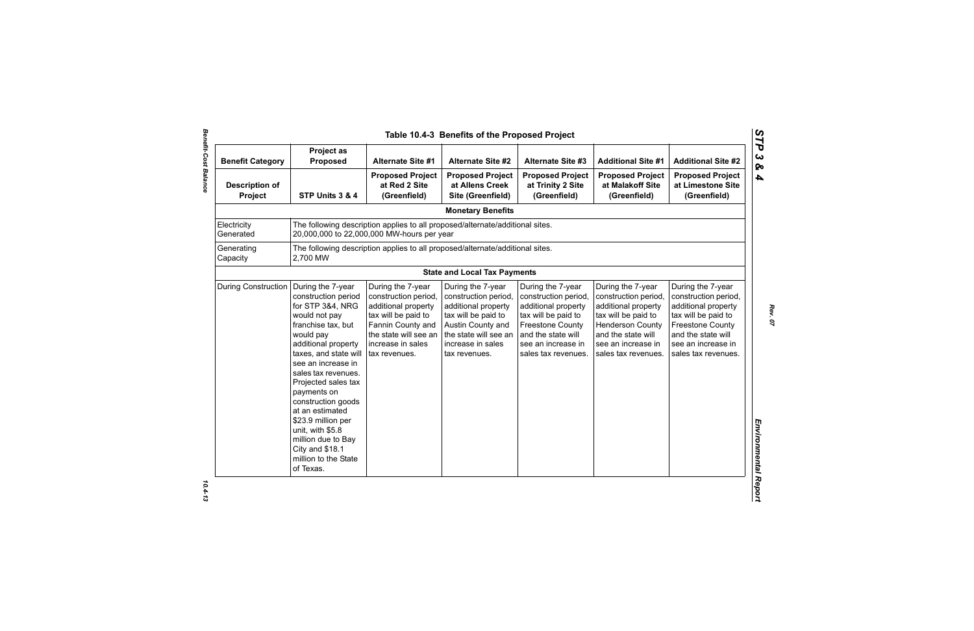| <b>Benefit Category</b>          | Project as<br><b>Proposed</b>                                                                                                                                                                                                                                                                                                                                                                                        | <b>Alternate Site #1</b>                                                                                                                                                    | <b>Alternate Site #2</b>                                                                                                                                                    | <b>Alternate Site #3</b>                                                                                                                                                              | <b>Additional Site #1</b>                                                                                                                                                             | <b>Additional Site #2</b>                                                                                                                                                             |
|----------------------------------|----------------------------------------------------------------------------------------------------------------------------------------------------------------------------------------------------------------------------------------------------------------------------------------------------------------------------------------------------------------------------------------------------------------------|-----------------------------------------------------------------------------------------------------------------------------------------------------------------------------|-----------------------------------------------------------------------------------------------------------------------------------------------------------------------------|---------------------------------------------------------------------------------------------------------------------------------------------------------------------------------------|---------------------------------------------------------------------------------------------------------------------------------------------------------------------------------------|---------------------------------------------------------------------------------------------------------------------------------------------------------------------------------------|
| <b>Description of</b><br>Project | STP Units 3 & 4                                                                                                                                                                                                                                                                                                                                                                                                      | <b>Proposed Project</b><br>at Red 2 Site<br>(Greenfield)                                                                                                                    | <b>Proposed Project</b><br>at Allens Creek<br>Site (Greenfield)                                                                                                             | <b>Proposed Project</b><br>at Trinity 2 Site<br>(Greenfield)                                                                                                                          | <b>Proposed Project</b><br>at Malakoff Site<br>(Greenfield)                                                                                                                           | <b>Proposed Project</b><br>at Limestone Site<br>(Greenfield)                                                                                                                          |
|                                  |                                                                                                                                                                                                                                                                                                                                                                                                                      |                                                                                                                                                                             | <b>Monetary Benefits</b>                                                                                                                                                    |                                                                                                                                                                                       |                                                                                                                                                                                       |                                                                                                                                                                                       |
| Electricity<br>Generated         |                                                                                                                                                                                                                                                                                                                                                                                                                      | The following description applies to all proposed/alternate/additional sites.<br>20,000,000 to 22,000,000 MW-hours per year                                                 |                                                                                                                                                                             |                                                                                                                                                                                       |                                                                                                                                                                                       |                                                                                                                                                                                       |
| Generating<br>Capacity           | 2,700 MW                                                                                                                                                                                                                                                                                                                                                                                                             | The following description applies to all proposed/alternate/additional sites.                                                                                               |                                                                                                                                                                             |                                                                                                                                                                                       |                                                                                                                                                                                       |                                                                                                                                                                                       |
|                                  |                                                                                                                                                                                                                                                                                                                                                                                                                      |                                                                                                                                                                             | <b>State and Local Tax Payments</b>                                                                                                                                         |                                                                                                                                                                                       |                                                                                                                                                                                       |                                                                                                                                                                                       |
| <b>During Construction</b>       | During the 7-year<br>construction period<br>for STP 3&4, NRG<br>would not pay<br>franchise tax, but<br>would pay<br>additional property<br>taxes, and state will<br>see an increase in<br>sales tax revenues.<br>Projected sales tax<br>payments on<br>construction goods<br>at an estimated<br>\$23.9 million per<br>unit, with \$5.8<br>million due to Bay<br>City and \$18.1<br>million to the State<br>of Texas. | During the 7-year<br>construction period,<br>additional property<br>tax will be paid to<br>Fannin County and<br>the state will see an<br>increase in sales<br>tax revenues. | During the 7-year<br>construction period,<br>additional property<br>tax will be paid to<br>Austin County and<br>the state will see an<br>increase in sales<br>tax revenues. | During the 7-year<br>construction period,<br>additional property<br>tax will be paid to<br><b>Freestone County</b><br>and the state will<br>see an increase in<br>sales tax revenues. | During the 7-year<br>construction period,<br>additional property<br>tax will be paid to<br><b>Henderson County</b><br>and the state will<br>see an increase in<br>sales tax revenues. | During the 7-year<br>construction period,<br>additional property<br>tax will be paid to<br><b>Freestone County</b><br>and the state will<br>see an increase in<br>sales tax revenues. |

*STP 3 & 4*

 $10.4 - 13$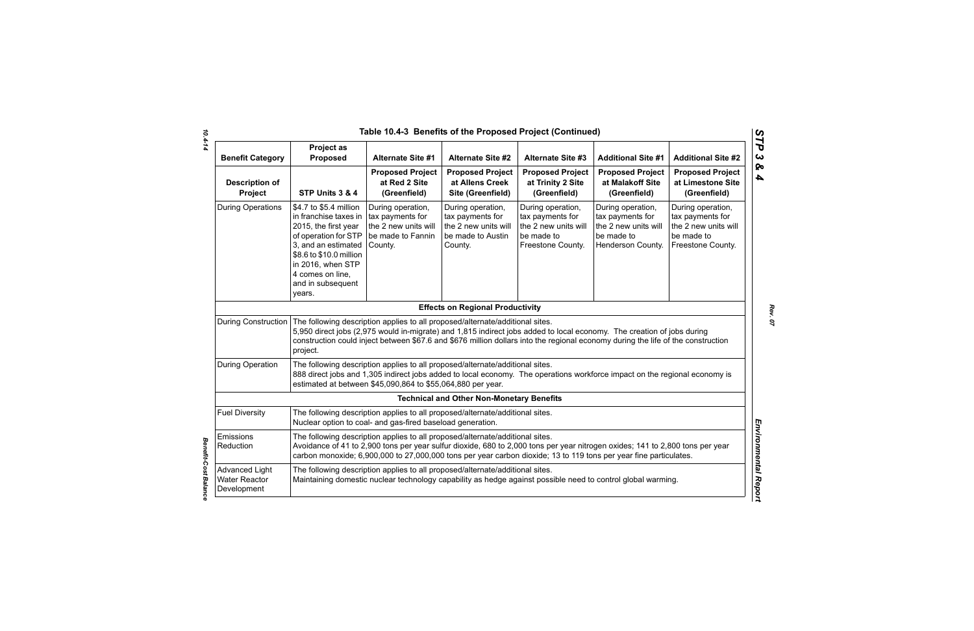| Table 10.4-3 Benefits of the Proposed Project (Continued)<br>$\boldsymbol{C}$ |                                                                                                                                                                                                                           |                                                                                                                                              |                                                                                               |                                                                                                                                                                                                                                                            |                                                                                                  |                                                                                                  |
|-------------------------------------------------------------------------------|---------------------------------------------------------------------------------------------------------------------------------------------------------------------------------------------------------------------------|----------------------------------------------------------------------------------------------------------------------------------------------|-----------------------------------------------------------------------------------------------|------------------------------------------------------------------------------------------------------------------------------------------------------------------------------------------------------------------------------------------------------------|--------------------------------------------------------------------------------------------------|--------------------------------------------------------------------------------------------------|
| <b>Benefit Category</b>                                                       | <b>Project as</b><br>Proposed                                                                                                                                                                                             | <b>Alternate Site #1</b>                                                                                                                     | <b>Alternate Site #2</b>                                                                      | <b>Alternate Site #3</b>                                                                                                                                                                                                                                   | <b>Additional Site #1</b>                                                                        | <b>Additional Site #2</b>                                                                        |
| <b>Description of</b><br>Project                                              | STP Units 3 & 4                                                                                                                                                                                                           | <b>Proposed Project</b><br>at Red 2 Site<br>(Greenfield)                                                                                     | <b>Proposed Project</b><br>at Allens Creek<br>Site (Greenfield)                               | <b>Proposed Project</b><br>at Trinity 2 Site<br>(Greenfield)                                                                                                                                                                                               | <b>Proposed Project</b><br>at Malakoff Site<br>(Greenfield)                                      | <b>Proposed Project</b><br>at Limestone Site<br>(Greenfield)                                     |
| <b>During Operations</b>                                                      | \$4.7 to \$5.4 million<br>in franchise taxes in<br>2015, the first year<br>of operation for STP<br>3, and an estimated<br>\$8.6 to \$10.0 million<br>in 2016, when STP<br>4 comes on line,<br>and in subsequent<br>years. | During operation,<br>tax payments for<br>the 2 new units will<br>be made to Fannin<br>County.                                                | During operation,<br>tax payments for<br>the 2 new units will<br>be made to Austin<br>County. | During operation,<br>tax payments for<br>the 2 new units will<br>be made to<br>Freestone County.                                                                                                                                                           | During operation,<br>tax payments for<br>the 2 new units will<br>be made to<br>Henderson County. | During operation,<br>tax payments for<br>the 2 new units will<br>be made to<br>Freestone County. |
|                                                                               |                                                                                                                                                                                                                           |                                                                                                                                              | <b>Effects on Regional Productivity</b>                                                       |                                                                                                                                                                                                                                                            |                                                                                                  |                                                                                                  |
| <b>During Construction</b>                                                    | project.                                                                                                                                                                                                                  | The following description applies to all proposed/alternate/additional sites.                                                                |                                                                                               | 5,950 direct jobs (2,975 would in-migrate) and 1,815 indirect jobs added to local economy. The creation of jobs during<br>construction could inject between \$67.6 and \$676 million dollars into the regional economy during the life of the construction |                                                                                                  |                                                                                                  |
| <b>During Operation</b>                                                       |                                                                                                                                                                                                                           | The following description applies to all proposed/alternate/additional sites.<br>estimated at between \$45,090,864 to \$55,064,880 per year. |                                                                                               | 888 direct jobs and 1,305 indirect jobs added to local economy. The operations workforce impact on the regional economy is                                                                                                                                 |                                                                                                  |                                                                                                  |
|                                                                               |                                                                                                                                                                                                                           |                                                                                                                                              | <b>Technical and Other Non-Monetary Benefits</b>                                              |                                                                                                                                                                                                                                                            |                                                                                                  |                                                                                                  |
| <b>Fuel Diversity</b>                                                         |                                                                                                                                                                                                                           | The following description applies to all proposed/alternate/additional sites.<br>Nuclear option to coal- and gas-fired baseload generation.  |                                                                                               |                                                                                                                                                                                                                                                            |                                                                                                  |                                                                                                  |
| Emissions<br>Reduction                                                        |                                                                                                                                                                                                                           | The following description applies to all proposed/alternate/additional sites.                                                                |                                                                                               | Avoidance of 41 to 2,900 tons per year sulfur dioxide, 680 to 2,000 tons per year nitrogen oxides; 141 to 2,800 tons per year<br>carbon monoxide; 6,900,000 to 27,000,000 tons per year carbon dioxide; 13 to 119 tons per year fine particulates.         |                                                                                                  |                                                                                                  |
| <b>Advanced Light</b><br><b>Water Reactor</b><br>Development                  |                                                                                                                                                                                                                           | The following description applies to all proposed/alternate/additional sites.                                                                |                                                                                               | Maintaining domestic nuclear technology capability as hedge against possible need to control global warming.                                                                                                                                               |                                                                                                  |                                                                                                  |

*10.4-14*

*Benefit-Cost Balance* 

**Benefit-Cost Balance** 

*STP 3 & 4*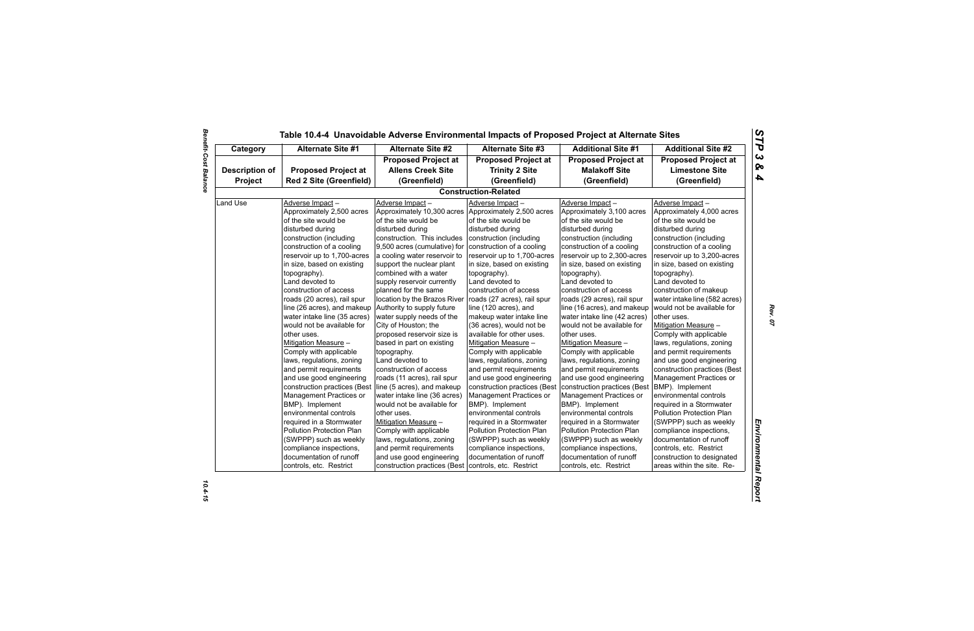| Category              | <b>Alternate Site #1</b>       | <b>Alternate Site #2</b>     | <b>Alternate Site #3</b>     | <b>Additional Site #1</b>    | <b>Additional Site #2</b>     |  |
|-----------------------|--------------------------------|------------------------------|------------------------------|------------------------------|-------------------------------|--|
|                       |                                | <b>Proposed Project at</b>   | <b>Proposed Project at</b>   | <b>Proposed Project at</b>   | <b>Proposed Project at</b>    |  |
| <b>Description of</b> | <b>Proposed Project at</b>     | <b>Allens Creek Site</b>     | <b>Trinity 2 Site</b>        | <b>Malakoff Site</b>         | <b>Limestone Site</b>         |  |
| Project               | <b>Red 2 Site (Greenfield)</b> | (Greenfield)                 | (Greenfield)                 | (Greenfield)                 | (Greenfield)                  |  |
|                       |                                |                              | <b>Construction-Related</b>  |                              |                               |  |
| Land Use              | Adverse Impact-                | Adverse Impact-              | Adverse Impact-              | Adverse Impact-              | Adverse Impact-               |  |
|                       | Approximately 2,500 acres      | Approximately 10,300 acres   | Approximately 2,500 acres    | Approximately 3,100 acres    | Approximately 4,000 acres     |  |
|                       | of the site would be           | of the site would be         | of the site would be         | of the site would be         | of the site would be          |  |
|                       | disturbed during               | disturbed during             | disturbed during             | disturbed during             | disturbed during              |  |
|                       | construction (including        | construction. This includes  | construction (including      | construction (including      | construction (including       |  |
|                       | construction of a cooling      | 9,500 acres (cumulative) for | construction of a cooling    | construction of a cooling    | construction of a cooling     |  |
|                       | reservoir up to 1,700-acres    | a cooling water reservoir to | reservoir up to 1,700-acres  | reservoir up to 2,300-acres  | reservoir up to 3,200-acres   |  |
|                       | in size, based on existing     | support the nuclear plant    | in size, based on existing   | in size, based on existing   | in size, based on existing    |  |
|                       | topography).                   | combined with a water        | topography).                 | topography).                 | topography).                  |  |
|                       | Land devoted to                | supply reservoir currently   | Land devoted to              | Land devoted to              | Land devoted to               |  |
|                       | construction of access         | planned for the same         | construction of access       | construction of access       | construction of makeup        |  |
|                       | roads (20 acres), rail spur    | location by the Brazos River | roads (27 acres), rail spur  | roads (29 acres), rail spur  | water intake line (582 acres) |  |
|                       | line (26 acres), and makeup    | Authority to supply future   | line (120 acres), and        | line (16 acres), and makeup  | would not be available for    |  |
|                       | water intake line (35 acres)   | water supply needs of the    | makeup water intake line     | water intake line (42 acres) | other uses.                   |  |
|                       | would not be available for     | City of Houston; the         | (36 acres), would not be     | would not be available for   | Mitigation Measure -          |  |
|                       | other uses.                    | proposed reservoir size is   | available for other uses.    | other uses.                  | Comply with applicable        |  |
|                       | Mitigation Measure -           | based in part on existing    | Mitigation Measure -         | Mitigation Measure -         | laws, regulations, zoning     |  |
|                       | Comply with applicable         | topography.                  | Comply with applicable       | Comply with applicable       | and permit requirements       |  |
|                       | laws, regulations, zoning      | Land devoted to              | laws, regulations, zoning    | laws, regulations, zoning    | and use good engineering      |  |
|                       | and permit requirements        | construction of access       | and permit requirements      | and permit requirements      | construction practices (Best  |  |
|                       | and use good engineering       | roads (11 acres), rail spur  | and use good engineering     | and use good engineering     | Management Practices or       |  |
|                       | construction practices (Best   | line (5 acres), and makeup   | construction practices (Best | construction practices (Best | BMP). Implement               |  |
|                       | Management Practices or        | water intake line (36 acres) | Management Practices or      | Management Practices or      | environmental controls        |  |
|                       | BMP). Implement                | would not be available for   | BMP). Implement              | BMP). Implement              | required in a Stormwater      |  |
|                       | environmental controls         | other uses.                  | environmental controls       | environmental controls       | Pollution Protection Plan     |  |
|                       | required in a Stormwater       | Mitigation Measure -         | required in a Stormwater     | required in a Stormwater     | (SWPPP) such as weekly        |  |
|                       | Pollution Protection Plan      | Comply with applicable       | Pollution Protection Plan    | Pollution Protection Plan    | compliance inspections,       |  |
|                       | (SWPPP) such as weekly         | laws, regulations, zoning    | (SWPPP) such as weekly       | (SWPPP) such as weekly       | documentation of runoff       |  |
|                       | compliance inspections,        | and permit requirements      | compliance inspections,      | compliance inspections,      | controls, etc. Restrict       |  |
|                       | documentation of runoff        | and use good engineering     | documentation of runoff      | documentation of runoff      | construction to designated    |  |
|                       | controls, etc. Restrict        | construction practices (Best | controls, etc. Restrict      | controls, etc. Restrict      | areas within the site. Re-    |  |

# **Benefit-Cost Balance** *Benefit-Cost Balance 10.4-15*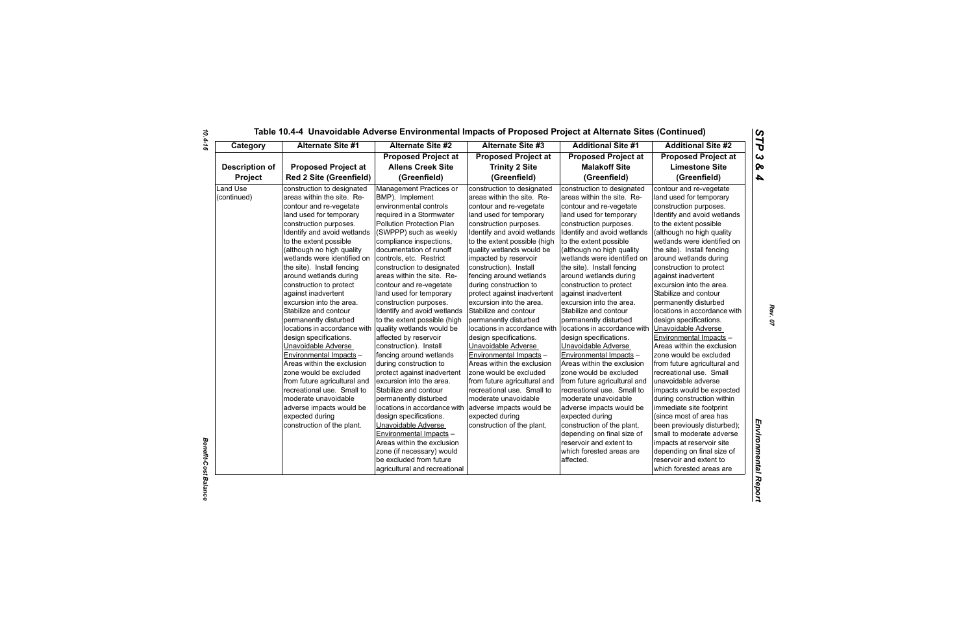| Category                       | <b>Alternate Site #1</b>                                                                                                                                                                                                                                                                                                                                                                                                                                                                                                                                          | <b>Alternate Site #2</b>                                                                                                                                                                                                                                                                                                                                                                                                                                                                                                                                       | Alternate Site #3                                                                                                                                                                                                                                                                                                                                                                                                                                                                                                                                                     | <b>Additional Site #1</b>                                                                                                                                                                                                                                                                                                                                                                                                                                                                                                                                         | <b>Additional Site #2</b>                                                                                                                                                                                                                                                                                                                                                                                                                                                                                                                                            |
|--------------------------------|-------------------------------------------------------------------------------------------------------------------------------------------------------------------------------------------------------------------------------------------------------------------------------------------------------------------------------------------------------------------------------------------------------------------------------------------------------------------------------------------------------------------------------------------------------------------|----------------------------------------------------------------------------------------------------------------------------------------------------------------------------------------------------------------------------------------------------------------------------------------------------------------------------------------------------------------------------------------------------------------------------------------------------------------------------------------------------------------------------------------------------------------|-----------------------------------------------------------------------------------------------------------------------------------------------------------------------------------------------------------------------------------------------------------------------------------------------------------------------------------------------------------------------------------------------------------------------------------------------------------------------------------------------------------------------------------------------------------------------|-------------------------------------------------------------------------------------------------------------------------------------------------------------------------------------------------------------------------------------------------------------------------------------------------------------------------------------------------------------------------------------------------------------------------------------------------------------------------------------------------------------------------------------------------------------------|----------------------------------------------------------------------------------------------------------------------------------------------------------------------------------------------------------------------------------------------------------------------------------------------------------------------------------------------------------------------------------------------------------------------------------------------------------------------------------------------------------------------------------------------------------------------|
|                                |                                                                                                                                                                                                                                                                                                                                                                                                                                                                                                                                                                   | <b>Proposed Project at</b>                                                                                                                                                                                                                                                                                                                                                                                                                                                                                                                                     | <b>Proposed Project at</b>                                                                                                                                                                                                                                                                                                                                                                                                                                                                                                                                            | <b>Proposed Project at</b>                                                                                                                                                                                                                                                                                                                                                                                                                                                                                                                                        | <b>Proposed Project at</b>                                                                                                                                                                                                                                                                                                                                                                                                                                                                                                                                           |
| <b>Description of</b>          | <b>Proposed Project at</b>                                                                                                                                                                                                                                                                                                                                                                                                                                                                                                                                        | <b>Allens Creek Site</b>                                                                                                                                                                                                                                                                                                                                                                                                                                                                                                                                       | <b>Trinity 2 Site</b>                                                                                                                                                                                                                                                                                                                                                                                                                                                                                                                                                 | <b>Malakoff Site</b>                                                                                                                                                                                                                                                                                                                                                                                                                                                                                                                                              | <b>Limestone Site</b>                                                                                                                                                                                                                                                                                                                                                                                                                                                                                                                                                |
| Project                        | <b>Red 2 Site (Greenfield)</b>                                                                                                                                                                                                                                                                                                                                                                                                                                                                                                                                    | (Greenfield)                                                                                                                                                                                                                                                                                                                                                                                                                                                                                                                                                   | (Greenfield)                                                                                                                                                                                                                                                                                                                                                                                                                                                                                                                                                          | (Greenfield)                                                                                                                                                                                                                                                                                                                                                                                                                                                                                                                                                      | (Greenfield)                                                                                                                                                                                                                                                                                                                                                                                                                                                                                                                                                         |
| <b>Land Use</b><br>(continued) | construction to designated<br>areas within the site. Re-<br>contour and re-vegetate<br>land used for temporary<br>construction purposes.<br>Identify and avoid wetlands<br>to the extent possible<br>(although no high quality<br>wetlands were identified on<br>the site). Install fencing<br>around wetlands during<br>construction to protect<br>against inadvertent<br>excursion into the area.<br>Stabilize and contour<br>permanently disturbed<br>locations in accordance with<br>design specifications.<br>Unavoidable Adverse<br>Environmental Impacts - | Management Practices or<br>BMP). Implement<br>environmental controls<br>required in a Stormwater<br>Pollution Protection Plan<br>(SWPPP) such as weekly<br>compliance inspections,<br>documentation of runoff<br>controls, etc. Restrict<br>construction to designated<br>areas within the site. Re-<br>contour and re-vegetate<br>land used for temporary<br>construction purposes.<br>Identify and avoid wetlands<br>to the extent possible (high<br>quality wetlands would be<br>affected by reservoir<br>construction). Install<br>fencing around wetlands | construction to designated<br>areas within the site. Re-<br>contour and re-vegetate<br>land used for temporary<br>construction purposes.<br>Identify and avoid wetlands<br>to the extent possible (high<br>quality wetlands would be<br>impacted by reservoir<br>construction). Install<br>fencing around wetlands<br>during construction to<br>protect against inadvertent<br>excursion into the area.<br>Stabilize and contour<br>permanently disturbed<br>locations in accordance with<br>design specifications.<br>Unavoidable Adverse<br>Environmental Impacts - | construction to designated<br>areas within the site. Re-<br>contour and re-vegetate<br>land used for temporary<br>construction purposes.<br>Identify and avoid wetlands<br>to the extent possible<br>(although no high quality<br>wetlands were identified on<br>the site). Install fencing<br>around wetlands during<br>construction to protect<br>against inadvertent<br>excursion into the area.<br>Stabilize and contour<br>permanently disturbed<br>locations in accordance with<br>design specifications.<br>Unavoidable Adverse<br>Environmental Impacts - | contour and re-vegetate<br>land used for temporary<br>construction purposes.<br>Identify and avoid wetlands<br>to the extent possible<br>(although no high quality<br>wetlands were identified on<br>the site). Install fencing<br>around wetlands during<br>construction to protect<br>against inadvertent<br>excursion into the area.<br>Stabilize and contour<br>permanently disturbed<br>locations in accordance with<br>design specifications.<br>Unavoidable Adverse<br><b>Environmental Impacts -</b><br>Areas within the exclusion<br>zone would be excluded |
|                                | Areas within the exclusion<br>zone would be excluded<br>from future agricultural and<br>recreational use. Small to<br>moderate unavoidable<br>adverse impacts would be<br>expected during<br>construction of the plant.                                                                                                                                                                                                                                                                                                                                           | during construction to<br>protect against inadvertent<br>excursion into the area.<br>Stabilize and contour<br>permanently disturbed<br>locations in accordance with<br>design specifications.<br>Unavoidable Adverse<br>Environmental Impacts -<br>Areas within the exclusion<br>zone (if necessary) would<br>be excluded from future<br>agricultural and recreational                                                                                                                                                                                         | Areas within the exclusion<br>zone would be excluded<br>from future agricultural and<br>recreational use. Small to<br>moderate unavoidable<br>adverse impacts would be<br>expected during<br>construction of the plant.                                                                                                                                                                                                                                                                                                                                               | Areas within the exclusion<br>zone would be excluded<br>from future agricultural and<br>recreational use. Small to<br>moderate unavoidable<br>adverse impacts would be<br>expected during<br>construction of the plant,<br>depending on final size of<br>reservoir and extent to<br>which forested areas are<br>affected.                                                                                                                                                                                                                                         | from future agricultural and<br>recreational use. Small<br>unavoidable adverse<br>impacts would be expected<br>during construction within<br>immediate site footprint<br>(since most of area has<br>been previously disturbed);<br>small to moderate adverse<br>impacts at reservoir site<br>depending on final size of<br>reservoir and extent to<br>which forested areas are                                                                                                                                                                                       |

*Benefit-Cost Balance*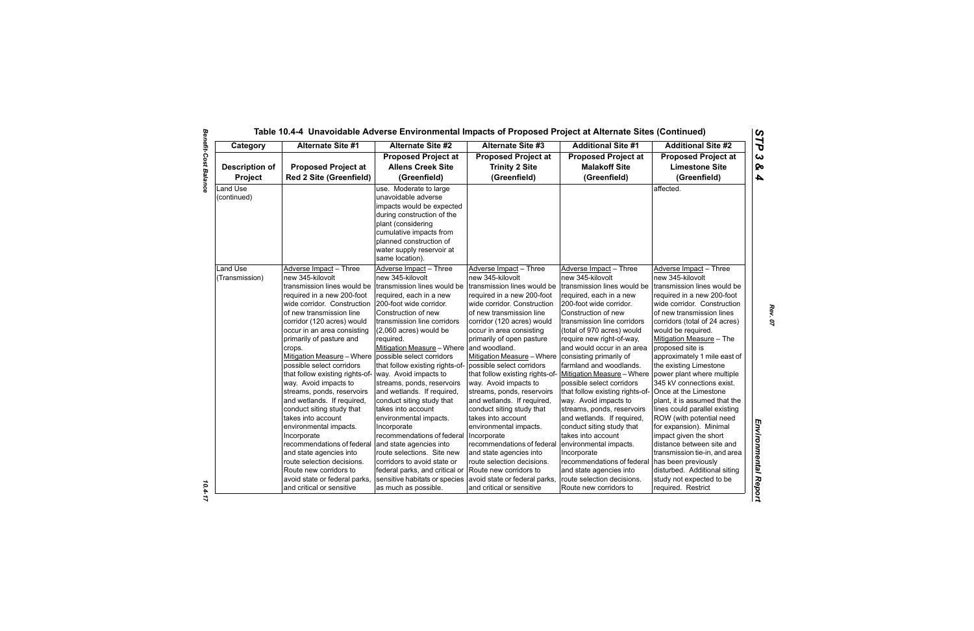| Category                         | <b>Alternate Site #1</b><br><b>Alternate Site #2</b>         |                                                                                                                                                                                                                                      | <b>Alternate Site #3</b>                                            | <b>Additional Site #1</b>                                          | <b>Additional Site #2</b>                                           |
|----------------------------------|--------------------------------------------------------------|--------------------------------------------------------------------------------------------------------------------------------------------------------------------------------------------------------------------------------------|---------------------------------------------------------------------|--------------------------------------------------------------------|---------------------------------------------------------------------|
| <b>Description of</b><br>Project | <b>Proposed Project at</b><br><b>Red 2 Site (Greenfield)</b> | <b>Proposed Project at</b><br><b>Allens Creek Site</b><br>(Greenfield)                                                                                                                                                               | <b>Proposed Project at</b><br><b>Trinity 2 Site</b><br>(Greenfield) | <b>Proposed Project at</b><br><b>Malakoff Site</b><br>(Greenfield) | <b>Proposed Project at</b><br><b>Limestone Site</b><br>(Greenfield) |
| Land Use<br>(continued)          |                                                              | use. Moderate to large<br>unavoidable adverse<br>impacts would be expected<br>during construction of the<br>plant (considering<br>cumulative impacts from<br>planned construction of<br>water supply reservoir at<br>same location). |                                                                     |                                                                    | affected.                                                           |
| Land Use                         | Adverse Impact - Three                                       | Adverse Impact - Three                                                                                                                                                                                                               | Adverse Impact - Three                                              | Adverse Impact - Three                                             | Adverse Impact - Three                                              |
| (Transmission)                   | new 345-kilovolt                                             | new 345-kilovolt                                                                                                                                                                                                                     | new 345-kilovolt                                                    | new 345-kilovolt                                                   | new 345-kilovolt                                                    |
|                                  | transmission lines would be                                  | transmission lines would be                                                                                                                                                                                                          | transmission lines would be                                         | transmission lines would be                                        | transmission lines would be                                         |
|                                  | required in a new 200-foot                                   | required, each in a new                                                                                                                                                                                                              | required in a new 200-foot                                          | required, each in a new                                            | required in a new 200-foot                                          |
|                                  | wide corridor. Construction                                  | 200-foot wide corridor.                                                                                                                                                                                                              | wide corridor. Construction                                         | 200-foot wide corridor.                                            | wide corridor. Construction                                         |
|                                  | of new transmission line                                     | Construction of new                                                                                                                                                                                                                  | of new transmission line                                            | Construction of new                                                | of new transmission lines                                           |
|                                  | corridor (120 acres) would                                   | transmission line corridors                                                                                                                                                                                                          | corridor (120 acres) would                                          | transmission line corridors                                        | corridors (total of 24 acres)                                       |
|                                  | occur in an area consisting                                  | (2,060 acres) would be                                                                                                                                                                                                               | occur in area consisting                                            | (total of 970 acres) would                                         | would be required.                                                  |
|                                  | primarily of pasture and                                     | required.                                                                                                                                                                                                                            | primarily of open pasture                                           | require new right-of-way,                                          | Mitigation Measure - The                                            |
|                                  | crops.                                                       | Mitigation Measure - Where and woodland.                                                                                                                                                                                             |                                                                     | and would occur in an area                                         | proposed site is                                                    |
|                                  | Mitigation Measure - Where                                   | possible select corridors                                                                                                                                                                                                            | Mitigation Measure - Where                                          | consisting primarily of                                            | approximately 1 mile east of                                        |
|                                  | possible select corridors                                    | that follow existing rights-of- possible select corridors                                                                                                                                                                            |                                                                     | farmland and woodlands.                                            | the existing Limestone                                              |
|                                  | that follow existing rights-of-                              | way. Avoid impacts to                                                                                                                                                                                                                | that follow existing rights-of-                                     | Mitigation Measure – Where   power plant where multiple            |                                                                     |
|                                  | way. Avoid impacts to                                        | streams, ponds, reservoirs                                                                                                                                                                                                           | way. Avoid impacts to                                               | possible select corridors                                          | 345 kV connections exist.                                           |
|                                  | streams, ponds, reservoirs                                   | and wetlands. If required,                                                                                                                                                                                                           | streams, ponds, reservoirs                                          | that follow existing rights-of- Once at the Limestone              |                                                                     |
|                                  | and wetlands. If required,                                   | conduct siting study that                                                                                                                                                                                                            | and wetlands. If required,                                          | way. Avoid impacts to                                              | plant, it is assumed that the                                       |
|                                  | conduct siting study that                                    | takes into account                                                                                                                                                                                                                   | conduct siting study that                                           | streams, ponds, reservoirs                                         | lines could parallel existing                                       |
|                                  | takes into account                                           | environmental impacts.                                                                                                                                                                                                               | takes into account                                                  | and wetlands. If required,                                         | ROW (with potential need                                            |
|                                  | environmental impacts.                                       | Incorporate                                                                                                                                                                                                                          | environmental impacts.                                              | conduct siting study that                                          | for expansion). Minimal                                             |
|                                  | Incorporate                                                  | recommendations of federal                                                                                                                                                                                                           | Incorporate                                                         | takes into account                                                 | impact given the short                                              |
|                                  | recommendations of federal                                   | and state agencies into                                                                                                                                                                                                              | recommendations of federal                                          | environmental impacts.                                             | distance between site and                                           |
|                                  | and state agencies into                                      | route selections. Site new                                                                                                                                                                                                           | and state agencies into                                             | Incorporate                                                        | transmission tie-in, and area                                       |
|                                  | route selection decisions.                                   | corridors to avoid state or                                                                                                                                                                                                          | route selection decisions.                                          | recommendations of federal   has been previously                   |                                                                     |
|                                  | Route new corridors to                                       | federal parks, and critical or                                                                                                                                                                                                       | Route new corridors to                                              | and state agencies into                                            | disturbed. Additional siting                                        |
|                                  | avoid state or federal parks,                                | sensitive habitats or species avoid state or federal parks,                                                                                                                                                                          |                                                                     | route selection decisions.                                         | study not expected to be                                            |
|                                  | and critical or sensitive                                    | as much as possible.                                                                                                                                                                                                                 | and critical or sensitive                                           | Route new corridors to                                             | required. Restrict                                                  |

 $10.4 - 17$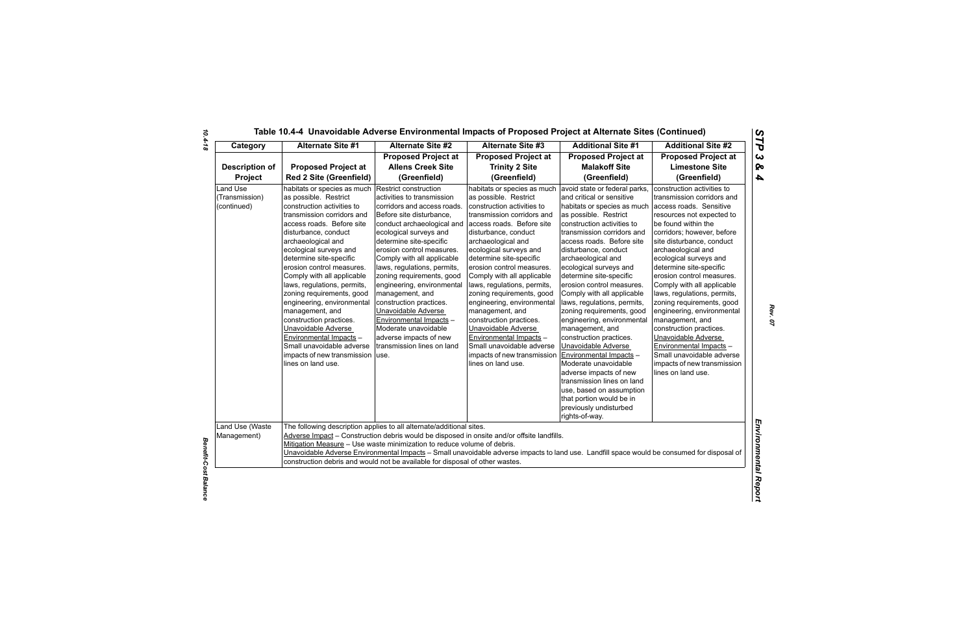| Table 10.4-4 Unavoidable Adverse Environmental Impacts of Proposed Project at Alternate Sites (Continued) |  |  |  |
|-----------------------------------------------------------------------------------------------------------|--|--|--|
|-----------------------------------------------------------------------------------------------------------|--|--|--|

| Category                                         | <b>Alternate Site #1</b>                                                                                                                                                                                                                                                                                                                                                                                                                                                                                                                                                                       | <b>Alternate Site #2</b>                                                                                                                                                                                                                                                                                                                                                                                                                                                                                                               | <b>Alternate Site #3</b>                                                                                                                                                                                                                                                                                                                                                                                                                                                                                                                                                                | <b>Additional Site #1</b>                                                                                                                                                                                                                                                                                                                                                                                                                                                                                                                                                                                                                                                                                                                               | <b>Additional Site #2</b>                                                                                                                                                                                                                                                                                                                                                                                                                                                                                                                                                                                            |
|--------------------------------------------------|------------------------------------------------------------------------------------------------------------------------------------------------------------------------------------------------------------------------------------------------------------------------------------------------------------------------------------------------------------------------------------------------------------------------------------------------------------------------------------------------------------------------------------------------------------------------------------------------|----------------------------------------------------------------------------------------------------------------------------------------------------------------------------------------------------------------------------------------------------------------------------------------------------------------------------------------------------------------------------------------------------------------------------------------------------------------------------------------------------------------------------------------|-----------------------------------------------------------------------------------------------------------------------------------------------------------------------------------------------------------------------------------------------------------------------------------------------------------------------------------------------------------------------------------------------------------------------------------------------------------------------------------------------------------------------------------------------------------------------------------------|---------------------------------------------------------------------------------------------------------------------------------------------------------------------------------------------------------------------------------------------------------------------------------------------------------------------------------------------------------------------------------------------------------------------------------------------------------------------------------------------------------------------------------------------------------------------------------------------------------------------------------------------------------------------------------------------------------------------------------------------------------|----------------------------------------------------------------------------------------------------------------------------------------------------------------------------------------------------------------------------------------------------------------------------------------------------------------------------------------------------------------------------------------------------------------------------------------------------------------------------------------------------------------------------------------------------------------------------------------------------------------------|
| <b>Description of</b><br>Project                 | <b>Proposed Project at</b><br><b>Red 2 Site (Greenfield)</b>                                                                                                                                                                                                                                                                                                                                                                                                                                                                                                                                   | <b>Proposed Project at</b><br><b>Allens Creek Site</b><br>(Greenfield)                                                                                                                                                                                                                                                                                                                                                                                                                                                                 | <b>Proposed Project at</b><br><b>Trinity 2 Site</b><br>(Greenfield)                                                                                                                                                                                                                                                                                                                                                                                                                                                                                                                     | <b>Proposed Project at</b><br><b>Malakoff Site</b><br>(Greenfield)                                                                                                                                                                                                                                                                                                                                                                                                                                                                                                                                                                                                                                                                                      | <b>Proposed Project at</b><br><b>Limestone Site</b><br>(Greenfield)                                                                                                                                                                                                                                                                                                                                                                                                                                                                                                                                                  |
| <b>Land Use</b><br>(Transmission)<br>(continued) | habitats or species as much<br>as possible. Restrict<br>construction activities to<br>transmission corridors and<br>access roads. Before site<br>disturbance, conduct<br>archaeological and<br>ecological surveys and<br>determine site-specific<br>erosion control measures.<br>Comply with all applicable<br>laws, regulations, permits,<br>zoning requirements, good<br>engineering, environmental<br>management, and<br>construction practices.<br>Unavoidable Adverse<br>Environmental Impacts -<br>Small unavoidable adverse<br>impacts of new transmission   use.<br>lines on land use. | Restrict construction<br>activities to transmission<br>corridors and access roads.<br>Before site disturbance,<br>conduct archaeological and<br>ecological surveys and<br>determine site-specific<br>erosion control measures.<br>Comply with all applicable<br>laws, regulations, permits,<br>zoning requirements, good<br>engineering, environmental<br>management, and<br>construction practices.<br>Unavoidable Adverse<br>Environmental Impacts -<br>Moderate unavoidable<br>adverse impacts of new<br>transmission lines on land | habitats or species as much<br>as possible. Restrict<br>construction activities to<br>transmission corridors and<br>access roads. Before site<br>disturbance, conduct<br>archaeological and<br>ecological surveys and<br>determine site-specific<br>erosion control measures.<br>Comply with all applicable<br>laws, regulations, permits,<br>zoning requirements, good<br>engineering, environmental<br>management, and<br>construction practices.<br>Unavoidable Adverse<br>Environmental Impacts -<br>Small unavoidable adverse<br>impacts of new transmission<br>lines on land use. | avoid state or federal parks,<br>and critical or sensitive<br>habitats or species as much<br>as possible. Restrict<br>construction activities to<br>transmission corridors and<br>access roads. Before site<br>disturbance, conduct<br>archaeological and<br>ecological surveys and<br>determine site-specific<br>erosion control measures.<br>Comply with all applicable<br>laws, regulations, permits,<br>zoning requirements, good<br>engineering, environmental<br>management, and<br>construction practices.<br>Unavoidable Adverse<br>Environmental Impacts -<br>Moderate unavoidable<br>adverse impacts of new<br>transmission lines on land<br>use, based on assumption<br>that portion would be in<br>previously undisturbed<br>rights-of-way. | construction activities to<br>transmission corridors and<br>access roads. Sensitive<br>resources not expected to<br>be found within the<br>corridors; however, before<br>site disturbance, conduct<br>archaeological and<br>ecological surveys and<br>determine site-specific<br>erosion control measures.<br>Comply with all applicable<br>laws, regulations, permits,<br>zoning requirements, good<br>engineering, environmental<br>management, and<br>construction practices.<br>Unavoidable Adverse<br>Environmental Impacts -<br>Small unavoidable adverse<br>impacts of new transmission<br>lines on land use. |
| Land Use (Waste<br>Management)                   |                                                                                                                                                                                                                                                                                                                                                                                                                                                                                                                                                                                                | The following description applies to all alternate/additional sites.<br>Mitigation Measure - Use waste minimization to reduce volume of debris.<br>construction debris and would not be available for disposal of other wastes.                                                                                                                                                                                                                                                                                                        | Adverse Impact - Construction debris would be disposed in onsite and/or offsite landfills.<br>Unavoidable Adverse Environmental Impacts - Small unavoidable adverse impacts to land use. Landfill space would be consumed for disposal of                                                                                                                                                                                                                                                                                                                                               |                                                                                                                                                                                                                                                                                                                                                                                                                                                                                                                                                                                                                                                                                                                                                         |                                                                                                                                                                                                                                                                                                                                                                                                                                                                                                                                                                                                                      |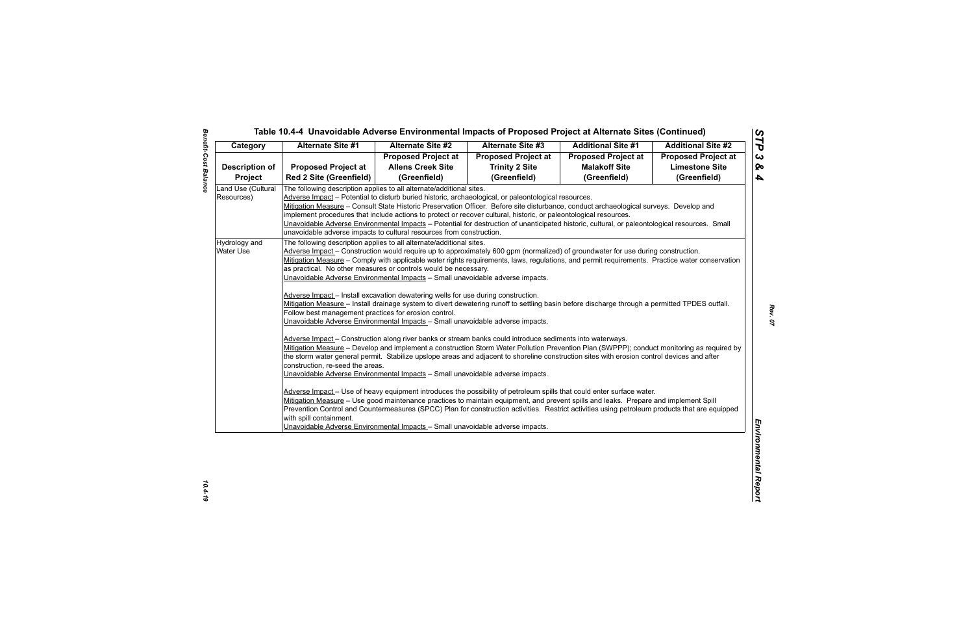| Category                         | <b>Alternate Site #1</b>                                                                                                                                                                                                                                                                                                                                                                                                                                                                                                                                                                                                                                                                                                                                                                                                                                                                                                                                                                                                                                                                                                                                                                          | <b>Alternate Site #2</b>   | <b>Alternate Site #3</b>                                                                                                                                                                                                                                       | <b>Additional Site #1</b>  | <b>Additional Site #2</b>  |
|----------------------------------|---------------------------------------------------------------------------------------------------------------------------------------------------------------------------------------------------------------------------------------------------------------------------------------------------------------------------------------------------------------------------------------------------------------------------------------------------------------------------------------------------------------------------------------------------------------------------------------------------------------------------------------------------------------------------------------------------------------------------------------------------------------------------------------------------------------------------------------------------------------------------------------------------------------------------------------------------------------------------------------------------------------------------------------------------------------------------------------------------------------------------------------------------------------------------------------------------|----------------------------|----------------------------------------------------------------------------------------------------------------------------------------------------------------------------------------------------------------------------------------------------------------|----------------------------|----------------------------|
|                                  |                                                                                                                                                                                                                                                                                                                                                                                                                                                                                                                                                                                                                                                                                                                                                                                                                                                                                                                                                                                                                                                                                                                                                                                                   | <b>Proposed Project at</b> | <b>Proposed Project at</b>                                                                                                                                                                                                                                     | <b>Proposed Project at</b> | <b>Proposed Project at</b> |
| <b>Description of</b>            | <b>Proposed Project at</b>                                                                                                                                                                                                                                                                                                                                                                                                                                                                                                                                                                                                                                                                                                                                                                                                                                                                                                                                                                                                                                                                                                                                                                        | <b>Allens Creek Site</b>   | <b>Trinity 2 Site</b>                                                                                                                                                                                                                                          | <b>Malakoff Site</b>       | <b>Limestone Site</b>      |
| <b>Project</b>                   | <b>Red 2 Site (Greenfield)</b>                                                                                                                                                                                                                                                                                                                                                                                                                                                                                                                                                                                                                                                                                                                                                                                                                                                                                                                                                                                                                                                                                                                                                                    | (Greenfield)               | (Greenfield)                                                                                                                                                                                                                                                   | (Greenfield)               | (Greenfield)               |
| Land Use (Cultural<br>Resources) | The following description applies to all alternate/additional sites.<br>Adverse Impact - Potential to disturb buried historic, archaeological, or paleontological resources.<br>Mitigation Measure – Consult State Historic Preservation Officer. Before site disturbance, conduct archaeological surveys. Develop and<br>implement procedures that include actions to protect or recover cultural, historic, or paleontological resources.<br>unavoidable adverse impacts to cultural resources from construction.                                                                                                                                                                                                                                                                                                                                                                                                                                                                                                                                                                                                                                                                               |                            | Unavoidable Adverse Environmental Impacts - Potential for destruction of unanticipated historic, cultural, or paleontological resources. Small                                                                                                                 |                            |                            |
| Hydrology and<br>Water Use       | The following description applies to all alternate/additional sites.<br>Adverse Impact - Construction would require up to approximately 600 gpm (normalized) of groundwater for use during construction.<br>Mitigation Measure - Comply with applicable water rights requirements, laws, regulations, and permit requirements. Practice water conservation<br>as practical. No other measures or controls would be necessary.<br>Unavoidable Adverse Environmental Impacts - Small unavoidable adverse impacts.<br>Adverse Impact - Install excavation dewatering wells for use during construction.<br>Mitigation Measure - Install drainage system to divert dewatering runoff to settling basin before discharge through a permitted TPDES outfall.<br>Follow best management practices for erosion control.<br>Unavoidable Adverse Environmental Impacts - Small unavoidable adverse impacts.<br>Adverse Impact - Construction along river banks or stream banks could introduce sediments into waterways.<br>the storm water general permit. Stabilize upslope areas and adjacent to shoreline construction sites with erosion control devices and after<br>construction, re-seed the areas. |                            | Mitigation Measure - Develop and implement a construction Storm Water Pollution Prevention Plan (SWPPP); conduct monitoring as required by                                                                                                                     |                            |                            |
|                                  | Unavoidable Adverse Environmental Impacts - Small unavoidable adverse impacts.<br>Prevention Control and Countermeasures (SPCC) Plan for construction activities. Restrict activities using petroleum products that are equipped<br>with spill containment.<br>Unavoidable Adverse Environmental Impacts - Small unavoidable adverse impacts.                                                                                                                                                                                                                                                                                                                                                                                                                                                                                                                                                                                                                                                                                                                                                                                                                                                     |                            | Adverse Impact - Use of heavy equipment introduces the possibility of petroleum spills that could enter surface water.<br>Mitigation Measure - Use good maintenance practices to maintain equipment, and prevent spills and leaks. Prepare and implement Spill |                            |                            |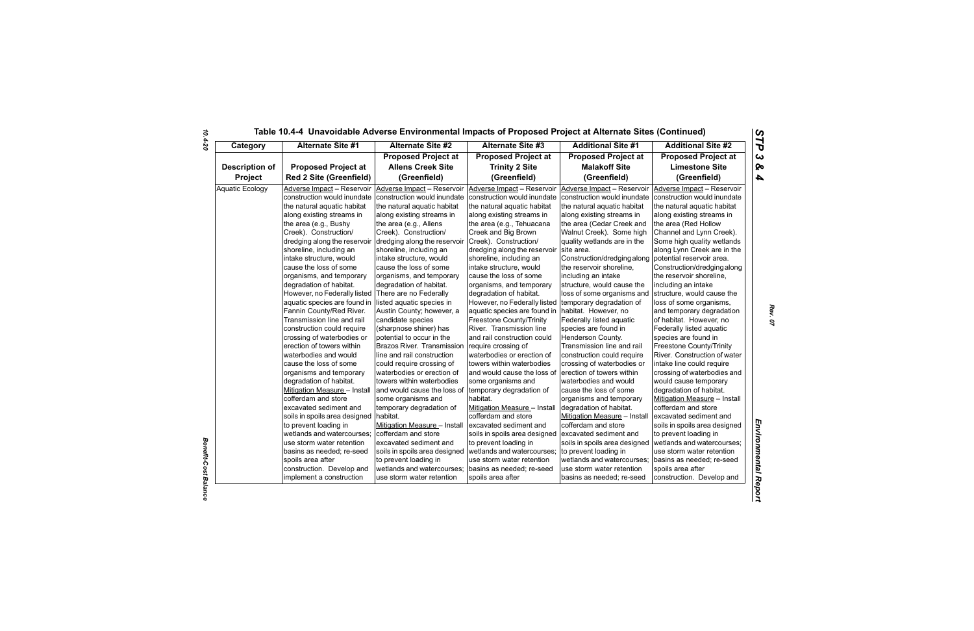| Category               | <b>Alternate Site #1</b>       | <b>Alternate Site #2</b>      | <b>Alternate Site #3</b>                          | <b>Additional Site #1</b>     | <b>Additional Site #2</b>     |
|------------------------|--------------------------------|-------------------------------|---------------------------------------------------|-------------------------------|-------------------------------|
|                        |                                | <b>Proposed Project at</b>    | <b>Proposed Project at</b>                        | <b>Proposed Project at</b>    | <b>Proposed Project at</b>    |
| <b>Description of</b>  | <b>Proposed Project at</b>     | <b>Allens Creek Site</b>      | <b>Trinity 2 Site</b>                             | <b>Malakoff Site</b>          | <b>Limestone Site</b>         |
| Project                | <b>Red 2 Site (Greenfield)</b> | (Greenfield)                  | (Greenfield)                                      | (Greenfield)                  | (Greenfield)                  |
| <b>Aquatic Ecology</b> | Adverse Impact - Reservoir     | Adverse Impact - Reservoir    | Adverse Impact - Reservoir                        | Adverse Impact - Reservoir    | Adverse Impact - Reservoir    |
|                        | construction would inundate    | construction would inundate   | construction would inundate                       | construction would inundate   | construction would inundate   |
|                        | the natural aquatic habitat    | the natural aquatic habitat   | the natural aquatic habitat                       | the natural aquatic habitat   | the natural aquatic habitat   |
|                        | along existing streams in      | along existing streams in     | along existing streams in                         | along existing streams in     | along existing streams in     |
|                        | the area (e.g., Bushy          | the area (e.g., Allens        | the area (e.g., Tehuacana                         | the area (Cedar Creek and     | the area (Red Hollow          |
|                        | Creek). Construction/          | Creek). Construction/         | Creek and Big Brown                               | Walnut Creek). Some high      | Channel and Lynn Creek).      |
|                        | dredging along the reservoir   | dredging along the reservoir  | Creek). Construction/                             | quality wetlands are in the   | Some high quality wetlands    |
|                        | shoreline, including an        | shoreline, including an       | dredging along the reservoir                      | site area.                    | along Lynn Creek are in the   |
|                        | intake structure, would        | intake structure, would       | shoreline, including an                           | Construction/dredging along   | potential reservoir area.     |
|                        | cause the loss of some         | cause the loss of some        | intake structure, would                           | the reservoir shoreline,      | Construction/dredging along   |
|                        | organisms, and temporary       | organisms, and temporary      | cause the loss of some                            | including an intake           | the reservoir shoreline,      |
|                        | degradation of habitat.        | degradation of habitat.       | organisms, and temporary                          | structure, would cause the    | including an intake           |
|                        | However, no Federally listed   | There are no Federally        | degradation of habitat.                           | loss of some organisms and    | structure, would cause the    |
|                        | aquatic species are found in   | listed aquatic species in     | However, no Federally listed                      | temporary degradation of      | loss of some organisms,       |
|                        | Fannin County/Red River.       | Austin County; however, a     | aquatic species are found in habitat. However, no |                               | and temporary degradation     |
|                        | Transmission line and rail     | candidate species             | <b>Freestone County/Trinity</b>                   | Federally listed aquatic      | of habitat. However, no       |
|                        | construction could require     | (sharpnose shiner) has        | River. Transmission line                          | species are found in          | Federally listed aquatic      |
|                        | crossing of waterbodies or     | potential to occur in the     | and rail construction could                       | Henderson County.             | species are found in          |
|                        | erection of towers within      | Brazos River. Transmission    | require crossing of                               | Transmission line and rail    | Freestone County/Trinity      |
|                        | waterbodies and would          | line and rail construction    | waterbodies or erection of                        | construction could require    | River. Construction of water  |
|                        | cause the loss of some         | could require crossing of     | towers within waterbodies                         | crossing of waterbodies or    | intake line could require     |
|                        | organisms and temporary        | waterbodies or erection of    | and would cause the loss of                       | erection of towers within     | crossing of waterbodies and   |
|                        | degradation of habitat.        | towers within waterbodies     | some organisms and                                | waterbodies and would         | would cause temporary         |
|                        | Mitigation Measure - Install   | and would cause the loss of   | temporary degradation of                          | cause the loss of some        | degradation of habitat.       |
|                        | cofferdam and store            | some organisms and            | habitat.                                          | organisms and temporary       | Mitigation Measure - Install  |
|                        | excavated sediment and         | temporary degradation of      | Mitigation Measure - Install                      | degradation of habitat.       | cofferdam and store           |
|                        | soils in spoils area designed  | habitat.                      | cofferdam and store                               | Mitigation Measure - Install  | excavated sediment and        |
|                        | to prevent loading in          | Mitigation Measure - Install  | excavated sediment and                            | cofferdam and store           | soils in spoils area designed |
|                        | wetlands and watercourses;     | cofferdam and store           | soils in spoils area designed                     | excavated sediment and        | to prevent loading in         |
|                        | use storm water retention      | excavated sediment and        | to prevent loading in                             | soils in spoils area designed | wetlands and watercourses;    |
|                        | basins as needed; re-seed      | soils in spoils area designed | wetlands and watercourses;                        | to prevent loading in         | use storm water retention     |
|                        | spoils area after              | to prevent loading in         | use storm water retention                         | wetlands and watercourses;    | basins as needed; re-seed     |
|                        | construction. Develop and      | wetlands and watercourses;    | basins as needed; re-seed                         | use storm water retention     | spoils area after             |
|                        | implement a construction       | use storm water retention     | spoils area after                                 | basins as needed; re-seed     | construction. Develop and     |

*Benefit-Cost Balance*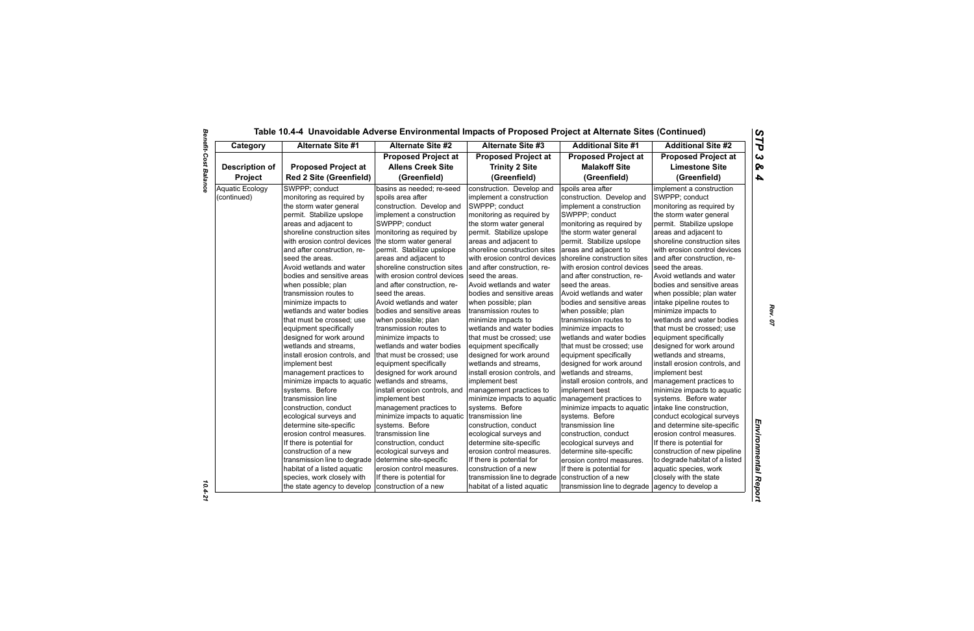| Category               | <b>Alternate Site #1</b>       | <b>Alternate Site #2</b>      | <b>Alternate Site #3</b>      | <b>Additional Site #1</b>     | <b>Additional Site #2</b>      |
|------------------------|--------------------------------|-------------------------------|-------------------------------|-------------------------------|--------------------------------|
|                        |                                | <b>Proposed Project at</b>    | <b>Proposed Project at</b>    | <b>Proposed Project at</b>    | <b>Proposed Project at</b>     |
| <b>Description of</b>  | <b>Proposed Project at</b>     | <b>Allens Creek Site</b>      | <b>Trinity 2 Site</b>         | <b>Malakoff Site</b>          | <b>Limestone Site</b>          |
| Project                | <b>Red 2 Site (Greenfield)</b> | (Greenfield)                  | (Greenfield)                  | (Greenfield)                  | (Greenfield)                   |
| <b>Aquatic Ecology</b> | SWPPP; conduct                 | basins as needed; re-seed     | construction. Develop and     | spoils area after             | implement a construction       |
| (continued)            | monitoring as required by      | spoils area after             | implement a construction      | construction. Develop and     | SWPPP; conduct                 |
|                        | the storm water general        | construction. Develop and     | SWPPP; conduct                | implement a construction      | monitoring as required by      |
|                        | permit. Stabilize upslope      | implement a construction      | monitoring as required by     | SWPPP; conduct                | the storm water general        |
|                        | areas and adjacent to          | SWPPP; conduct                | the storm water general       | monitoring as required by     | permit. Stabilize upslope      |
|                        | shoreline construction sites   | monitoring as required by     | permit. Stabilize upslope     | the storm water general       | areas and adjacent to          |
|                        | with erosion control devices   | the storm water general       | areas and adjacent to         | permit. Stabilize upslope     | shoreline construction sites   |
|                        | and after construction, re-    | permit. Stabilize upslope     | shoreline construction sites  | areas and adjacent to         | with erosion control devices   |
|                        | seed the areas.                | areas and adjacent to         | with erosion control devices  | shoreline construction sites  | and after construction, re-    |
|                        | Avoid wetlands and water       | shoreline construction sites  | and after construction, re-   | with erosion control devices  | seed the areas.                |
|                        | bodies and sensitive areas     | with erosion control devices  | seed the areas.               | and after construction, re-   | Avoid wetlands and water       |
|                        | when possible; plan            | and after construction, re-   | Avoid wetlands and water      | seed the areas.               | bodies and sensitive areas     |
|                        | transmission routes to         | seed the areas.               | bodies and sensitive areas    | Avoid wetlands and water      | when possible; plan water      |
|                        | minimize impacts to            | Avoid wetlands and water      | when possible; plan           | bodies and sensitive areas    | intake pipeline routes to      |
|                        | wetlands and water bodies      | bodies and sensitive areas    | transmission routes to        | when possible; plan           | minimize impacts to            |
|                        | that must be crossed: use      | when possible; plan           | minimize impacts to           | transmission routes to        | wetlands and water bodies      |
|                        | equipment specifically         | transmission routes to        | wetlands and water bodies     | minimize impacts to           | that must be crossed: use      |
|                        | designed for work around       | minimize impacts to           | that must be crossed; use     | wetlands and water bodies     | equipment specifically         |
|                        | wetlands and streams,          | wetlands and water bodies     | equipment specifically        | that must be crossed; use     | designed for work around       |
|                        | install erosion controls, and  | that must be crossed; use     | designed for work around      | equipment specifically        | wetlands and streams,          |
|                        | implement best                 | equipment specifically        | wetlands and streams.         | designed for work around      | install erosion controls, and  |
|                        | management practices to        | designed for work around      | install erosion controls, and | wetlands and streams,         | implement best                 |
|                        | minimize impacts to aquatic    | wetlands and streams,         | implement best                | install erosion controls, and | management practices to        |
|                        | systems. Before                | install erosion controls, and | management practices to       | implement best                | minimize impacts to aquatic    |
|                        | transmission line              | implement best                | minimize impacts to aquatic   | management practices to       | systems. Before water          |
|                        | construction, conduct          | management practices to       | systems. Before               | minimize impacts to aquatic   | intake line construction,      |
|                        | ecological surveys and         | minimize impacts to aquatic   | transmission line             | systems. Before               | conduct ecological surveys     |
|                        | determine site-specific        | systems. Before               | construction, conduct         | transmission line             | and determine site-specific    |
|                        | erosion control measures.      | transmission line             | ecological surveys and        | construction, conduct         | erosion control measures.      |
|                        | If there is potential for      | construction, conduct         | determine site-specific       | ecological surveys and        | If there is potential for      |
|                        | construction of a new          | ecological surveys and        | erosion control measures.     | determine site-specific       | construction of new pipeline   |
|                        | transmission line to degrade   | determine site-specific       | If there is potential for     | erosion control measures.     | to degrade habitat of a listed |
|                        | habitat of a listed aquatic    | erosion control measures.     | construction of a new         | If there is potential for     | aquatic species, work          |
|                        | species, work closely with     | If there is potential for     | transmission line to degrade  | construction of a new         | closely with the state         |
|                        | the state agency to develop    | construction of a new         | habitat of a listed aguatic   | transmission line to degrade  | agency to develop a            |

 $10.4 - 21$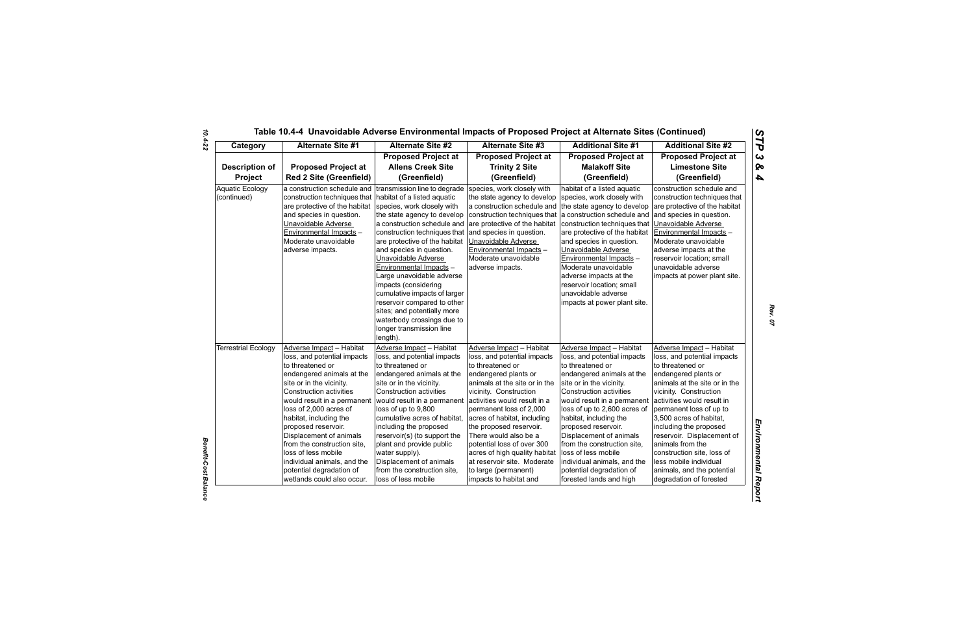| Category                              | <b>Alternate Site #1</b>                                                                                                                                                                                                                                                                                                                                                                                                                                   | <b>Alternate Site #2</b>                                                                                                                                                                                                                                                                                                                                                                                                                       | <b>Alternate Site #3</b>                                                                                                                                                                                                                                                                                                                                                                                                                                     | <b>Additional Site #1</b>                                                                                                                                                                                                                                                                                                                                                                                                                                     | <b>Additional Site #2</b>                                                                                                                                                                                                                                                                                                                                                                                                                       |
|---------------------------------------|------------------------------------------------------------------------------------------------------------------------------------------------------------------------------------------------------------------------------------------------------------------------------------------------------------------------------------------------------------------------------------------------------------------------------------------------------------|------------------------------------------------------------------------------------------------------------------------------------------------------------------------------------------------------------------------------------------------------------------------------------------------------------------------------------------------------------------------------------------------------------------------------------------------|--------------------------------------------------------------------------------------------------------------------------------------------------------------------------------------------------------------------------------------------------------------------------------------------------------------------------------------------------------------------------------------------------------------------------------------------------------------|---------------------------------------------------------------------------------------------------------------------------------------------------------------------------------------------------------------------------------------------------------------------------------------------------------------------------------------------------------------------------------------------------------------------------------------------------------------|-------------------------------------------------------------------------------------------------------------------------------------------------------------------------------------------------------------------------------------------------------------------------------------------------------------------------------------------------------------------------------------------------------------------------------------------------|
| <b>Description of</b><br>Project      | <b>Proposed Project at</b><br><b>Red 2 Site (Greenfield)</b>                                                                                                                                                                                                                                                                                                                                                                                               | <b>Proposed Project at</b><br><b>Allens Creek Site</b><br>(Greenfield)                                                                                                                                                                                                                                                                                                                                                                         | <b>Proposed Project at</b><br><b>Trinity 2 Site</b><br>(Greenfield)                                                                                                                                                                                                                                                                                                                                                                                          | <b>Proposed Project at</b><br><b>Malakoff Site</b><br>(Greenfield)                                                                                                                                                                                                                                                                                                                                                                                            | <b>Proposed Project at</b><br><b>Limestone Site</b><br>(Greenfield)                                                                                                                                                                                                                                                                                                                                                                             |
| <b>Aquatic Ecology</b><br>(continued) | a construction schedule and transmission line to degrade<br>construction techniques that   habitat of a listed aquatic<br>are protective of the habitat species, work closely with<br>and species in question.<br>Unavoidable Adverse<br>Environmental Impacts -<br>Moderate unavoidable<br>adverse impacts.                                                                                                                                               | the state agency to develop<br>a construction schedule and<br>construction techniques that<br>are protective of the habitat<br>and species in question.<br>Unavoidable Adverse<br>Environmental Impacts -<br>Large unavoidable adverse<br>impacts (considering<br>cumulative impacts of larger<br>reservoir compared to other<br>sites; and potentially more<br>waterbody crossings due to<br>longer transmission line<br>length).             | species, work closely with<br>the state agency to develop<br>a construction schedule and the state agency to develop<br>construction techniques that a construction schedule and<br>are protective of the habitat<br>and species in question.<br>Unavoidable Adverse<br>Environmental Impacts -<br>Moderate unavoidable<br>adverse impacts.                                                                                                                  | habitat of a listed aquatic<br>species, work closely with<br>construction techniques that<br>are protective of the habitat<br>and species in question.<br>Unavoidable Adverse<br>Environmental Impacts -<br>Moderate unavoidable<br>adverse impacts at the<br>reservoir location; small<br>unavoidable adverse<br>impacts at power plant site.                                                                                                                | construction schedule and<br>construction techniques that<br>are protective of the habitat<br>and species in question.<br>Unavoidable Adverse<br>Environmental Impacts -<br>Moderate unavoidable<br>adverse impacts at the<br>reservoir location; small<br>unavoidable adverse<br>impacts at power plant site.                                                                                                                                  |
| <b>Terrestrial Ecology</b>            | Adverse Impact - Habitat<br>loss, and potential impacts<br>to threatened or<br>endangered animals at the<br>site or in the vicinity.<br><b>Construction activities</b><br>would result in a permanent<br>loss of 2,000 acres of<br>habitat, including the<br>proposed reservoir.<br>Displacement of animals<br>from the construction site,<br>loss of less mobile<br>individual animals, and the<br>potential degradation of<br>wetlands could also occur. | Adverse Impact - Habitat<br>loss, and potential impacts<br>to threatened or<br>endangered animals at the<br>site or in the vicinity.<br>Construction activities<br>would result in a permanent<br>loss of up to 9,800<br>cumulative acres of habitat,<br>including the proposed<br>reservoir(s) (to support the<br>plant and provide public<br>water supply).<br>Displacement of animals<br>from the construction site,<br>loss of less mobile | Adverse Impact - Habitat<br>loss, and potential impacts<br>to threatened or<br>endangered plants or<br>animals at the site or in the<br>vicinity. Construction<br>activities would result in a<br>permanent loss of 2,000<br>acres of habitat, including<br>the proposed reservoir.<br>There would also be a<br>potential loss of over 300<br>acres of high quality habitat<br>at reservoir site. Moderate<br>to large (permanent)<br>impacts to habitat and | Adverse Impact - Habitat<br>loss, and potential impacts<br>to threatened or<br>endangered animals at the<br>site or in the vicinity.<br><b>Construction activities</b><br>would result in a permanent<br>loss of up to 2,600 acres of<br>habitat, including the<br>proposed reservoir.<br>Displacement of animals<br>from the construction site,<br>loss of less mobile<br>individual animals, and the<br>potential degradation of<br>forested lands and high | Adverse Impact - Habitat<br>loss, and potential impacts<br>to threatened or<br>endangered plants or<br>animals at the site or in the<br>vicinity. Construction<br>activities would result in<br>permanent loss of up to<br>3,500 acres of habitat,<br>including the proposed<br>reservoir. Displacement of<br>animals from the<br>construction site, loss of<br>less mobile individual<br>animals, and the potential<br>degradation of forested |

*Benefit-Cost Balance*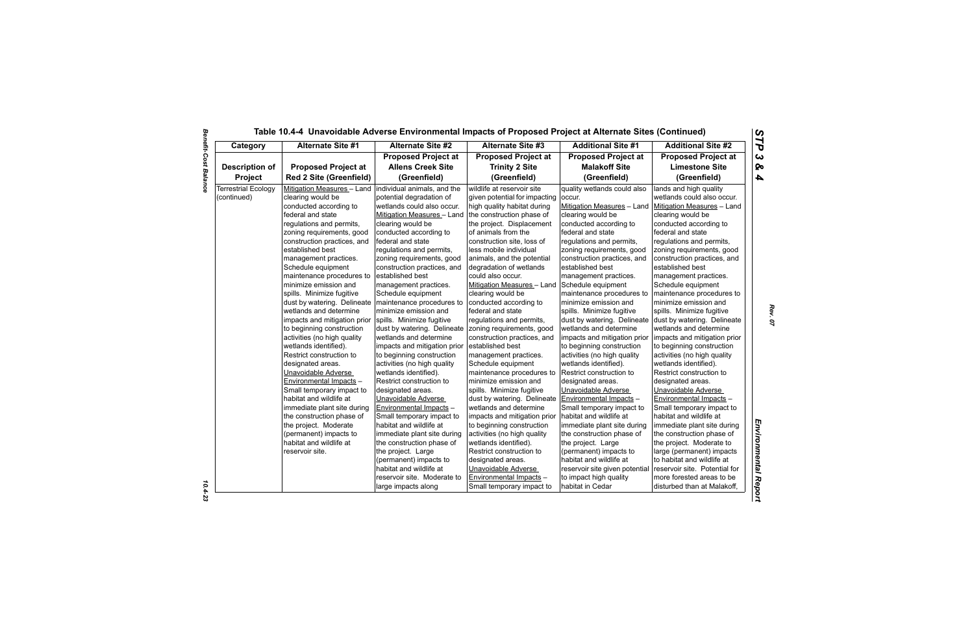| Category                   | <b>Alternate Site #1</b>                                 | <b>Alternate Site #2</b>       | <b>Alternate Site #3</b>      | <b>Additional Site #1</b>      | <b>Additional Site #2</b>     |
|----------------------------|----------------------------------------------------------|--------------------------------|-------------------------------|--------------------------------|-------------------------------|
|                            |                                                          | <b>Proposed Project at</b>     | <b>Proposed Project at</b>    | <b>Proposed Project at</b>     | <b>Proposed Project at</b>    |
| <b>Description of</b>      | <b>Proposed Project at</b>                               | <b>Allens Creek Site</b>       | <b>Trinity 2 Site</b>         | <b>Malakoff Site</b>           | <b>Limestone Site</b>         |
| <b>Project</b>             | <b>Red 2 Site (Greenfield)</b>                           | (Greenfield)                   | (Greenfield)                  | (Greenfield)                   | (Greenfield)                  |
| <b>Terrestrial Ecology</b> | Mitigation Measures - Land   individual animals, and the |                                | wildlife at reservoir site    | quality wetlands could also    | lands and high quality        |
| (continued)                | clearing would be                                        | potential degradation of       | given potential for impacting | occur.                         | wetlands could also occur.    |
|                            | conducted according to                                   | wetlands could also occur.     | high quality habitat during   | Mitigation Measures - Land     | Mitigation Measures - Land    |
|                            | federal and state                                        | Mitigation Measures - Land     | the construction phase of     | clearing would be              | clearing would be             |
|                            | regulations and permits,                                 | clearing would be              | the project. Displacement     | conducted according to         | conducted according to        |
|                            | zoning requirements, good                                | conducted according to         | of animals from the           | federal and state              | federal and state             |
|                            | construction practices, and                              | federal and state              | construction site, loss of    | regulations and permits,       | regulations and permits,      |
|                            | established best                                         | regulations and permits,       | less mobile individual        | zoning requirements, good      | zoning requirements, good     |
|                            | management practices.                                    | zoning requirements, good      | animals, and the potential    | construction practices, and    | construction practices, and   |
|                            | Schedule equipment                                       | construction practices, and    | degradation of wetlands       | established best               | established best              |
|                            | maintenance procedures to                                | established best               | could also occur.             | management practices.          | management practices.         |
|                            | minimize emission and                                    | management practices.          | Mitigation Measures - Land    | Schedule equipment             | Schedule equipment            |
|                            | spills. Minimize fugitive                                | Schedule equipment             | clearing would be             | maintenance procedures to      | maintenance procedures to     |
|                            | dust by watering. Delineate   maintenance procedures to  |                                | conducted according to        | minimize emission and          | minimize emission and         |
|                            | wetlands and determine                                   | minimize emission and          | federal and state             | spills. Minimize fugitive      | spills. Minimize fugitive     |
|                            | impacts and mitigation prior                             | spills. Minimize fugitive      | regulations and permits,      | dust by watering. Delineate    | dust by watering. Delineate   |
|                            | to beginning construction                                | dust by watering. Delineate    | zoning requirements, good     | wetlands and determine         | wetlands and determine        |
|                            | activities (no high quality                              | wetlands and determine         | construction practices, and   | impacts and mitigation prior   | impacts and mitigation prior  |
|                            | wetlands identified).                                    | impacts and mitigation prior   | established best              | to beginning construction      | to beginning construction     |
|                            | Restrict construction to                                 | to beginning construction      | management practices.         | activities (no high quality    | activities (no high quality   |
|                            | designated areas.                                        | activities (no high quality    | Schedule equipment            | wetlands identified).          | wetlands identified).         |
|                            | Unavoidable Adverse                                      | wetlands identified).          | maintenance procedures to     | Restrict construction to       | Restrict construction to      |
|                            | Environmental Impacts -                                  | Restrict construction to       | minimize emission and         | designated areas.              | designated areas.             |
|                            | Small temporary impact to                                | designated areas.              | spills. Minimize fugitive     | Unavoidable Adverse            | Unavoidable Adverse           |
|                            | habitat and wildlife at                                  | Unavoidable Adverse            | dust by watering. Delineate   | Environmental Impacts -        | Environmental Impacts -       |
|                            | immediate plant site during                              | <b>Environmental Impacts -</b> | wetlands and determine        | Small temporary impact to      | Small temporary impact to     |
|                            | the construction phase of                                | Small temporary impact to      | impacts and mitigation prior  | habitat and wildlife at        | habitat and wildlife at       |
|                            | the project. Moderate                                    | habitat and wildlife at        | to beginning construction     | immediate plant site during    | immediate plant site during   |
|                            | (permanent) impacts to                                   | immediate plant site during    | activities (no high quality   | the construction phase of      | the construction phase of     |
|                            | habitat and wildlife at                                  | the construction phase of      | wetlands identified).         | the project. Large             | the project. Moderate to      |
|                            | reservoir site.                                          | the project. Large             | Restrict construction to      | (permanent) impacts to         | large (permanent) impacts     |
|                            |                                                          | (permanent) impacts to         | designated areas.             | habitat and wildlife at        | to habitat and wildlife at    |
|                            |                                                          | habitat and wildlife at        | Unavoidable Adverse           | reservoir site given potential | reservoir site. Potential for |
|                            |                                                          | reservoir site. Moderate to    | Environmental Impacts -       | to impact high quality         | more forested areas to be     |
|                            |                                                          | large impacts along            | Small temporary impact to     | habitat in Cedar               | disturbed than at Malakoff,   |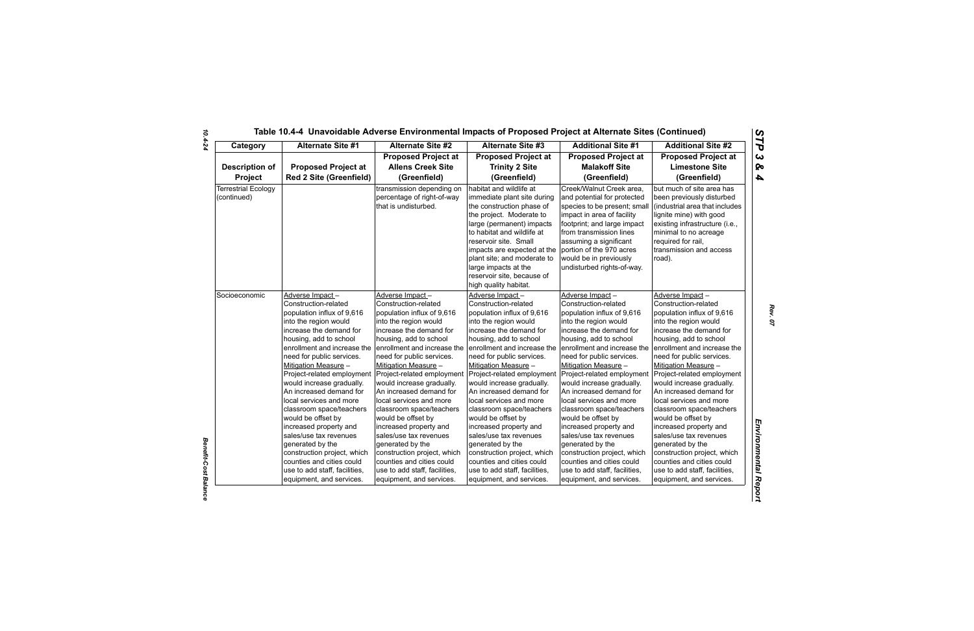| Socioeconomic | <b>Adverse Impa</b><br><b>Construction-</b><br>population in<br>into the regio<br>increase the<br>housing, add<br>enrollment ar<br>need for publ<br>Mitigation Me<br>Project-relate<br>would increas<br>An increased<br>local services<br>classroom sp<br>would be offs<br>increased pro<br>sales/use tax<br>generated by<br>construction<br>counties and<br>use to add st<br>equipment, a |
|---------------|--------------------------------------------------------------------------------------------------------------------------------------------------------------------------------------------------------------------------------------------------------------------------------------------------------------------------------------------------------------------------------------------|

| Category                                  | <b>Alternate Site #1</b>                                                                                                                                                                                                                                                                                                                                                                                                                                                                                                                                                        | <b>Alternate Site #2</b>                                                                                                                                                                                                                                                                                                                                                                                                                                                                                                                                                        |                                                                                                                                                                                                                                                                                                                                                                                                                                                                                                                                                               | <b>Additional Site #1</b>                                                                                                                                                                                                                                                                                                                                                                                                                                                                                                                                                       | <b>Additional Site #2</b>                                                                                                                                                                                                                                                                                                                                                                                                                                                                                                                                    |
|-------------------------------------------|---------------------------------------------------------------------------------------------------------------------------------------------------------------------------------------------------------------------------------------------------------------------------------------------------------------------------------------------------------------------------------------------------------------------------------------------------------------------------------------------------------------------------------------------------------------------------------|---------------------------------------------------------------------------------------------------------------------------------------------------------------------------------------------------------------------------------------------------------------------------------------------------------------------------------------------------------------------------------------------------------------------------------------------------------------------------------------------------------------------------------------------------------------------------------|---------------------------------------------------------------------------------------------------------------------------------------------------------------------------------------------------------------------------------------------------------------------------------------------------------------------------------------------------------------------------------------------------------------------------------------------------------------------------------------------------------------------------------------------------------------|---------------------------------------------------------------------------------------------------------------------------------------------------------------------------------------------------------------------------------------------------------------------------------------------------------------------------------------------------------------------------------------------------------------------------------------------------------------------------------------------------------------------------------------------------------------------------------|--------------------------------------------------------------------------------------------------------------------------------------------------------------------------------------------------------------------------------------------------------------------------------------------------------------------------------------------------------------------------------------------------------------------------------------------------------------------------------------------------------------------------------------------------------------|
|                                           |                                                                                                                                                                                                                                                                                                                                                                                                                                                                                                                                                                                 | <b>Proposed Project at</b>                                                                                                                                                                                                                                                                                                                                                                                                                                                                                                                                                      | <b>Proposed Project at</b>                                                                                                                                                                                                                                                                                                                                                                                                                                                                                                                                    | <b>Proposed Project at</b>                                                                                                                                                                                                                                                                                                                                                                                                                                                                                                                                                      | <b>Proposed Project at</b>                                                                                                                                                                                                                                                                                                                                                                                                                                                                                                                                   |
| <b>Description of</b>                     | <b>Proposed Project at</b>                                                                                                                                                                                                                                                                                                                                                                                                                                                                                                                                                      | <b>Allens Creek Site</b>                                                                                                                                                                                                                                                                                                                                                                                                                                                                                                                                                        | <b>Trinity 2 Site</b>                                                                                                                                                                                                                                                                                                                                                                                                                                                                                                                                         | <b>Malakoff Site</b>                                                                                                                                                                                                                                                                                                                                                                                                                                                                                                                                                            | <b>Limestone Site</b>                                                                                                                                                                                                                                                                                                                                                                                                                                                                                                                                        |
| <b>Project</b>                            | <b>Red 2 Site (Greenfield)</b>                                                                                                                                                                                                                                                                                                                                                                                                                                                                                                                                                  | (Greenfield)                                                                                                                                                                                                                                                                                                                                                                                                                                                                                                                                                                    | (Greenfield)                                                                                                                                                                                                                                                                                                                                                                                                                                                                                                                                                  | (Greenfield)                                                                                                                                                                                                                                                                                                                                                                                                                                                                                                                                                                    | (Greenfield)                                                                                                                                                                                                                                                                                                                                                                                                                                                                                                                                                 |
| <b>Terrestrial Ecology</b><br>(continued) |                                                                                                                                                                                                                                                                                                                                                                                                                                                                                                                                                                                 | transmission depending on<br>percentage of right-of-way<br>that is undisturbed.                                                                                                                                                                                                                                                                                                                                                                                                                                                                                                 | habitat and wildlife at<br>immediate plant site during<br>the construction phase of<br>the project. Moderate to<br>large (permanent) impacts<br>to habitat and wildlife at<br>reservoir site. Small                                                                                                                                                                                                                                                                                                                                                           | Creek/Walnut Creek area,<br>and potential for protected<br>species to be present; small<br>impact in area of facility<br>footprint; and large impact<br>from transmission lines<br>assuming a significant                                                                                                                                                                                                                                                                                                                                                                       | but much of site area has<br>been previously disturbed<br>(industrial area that includes<br>lignite mine) with good<br>existing infrastructure (i.e.,<br>minimal to no acreage<br>required for rail,                                                                                                                                                                                                                                                                                                                                                         |
|                                           |                                                                                                                                                                                                                                                                                                                                                                                                                                                                                                                                                                                 |                                                                                                                                                                                                                                                                                                                                                                                                                                                                                                                                                                                 | impacts are expected at the<br>plant site; and moderate to<br>large impacts at the<br>reservoir site, because of<br>high quality habitat.<br>Adverse Impact-                                                                                                                                                                                                                                                                                                                                                                                                  | portion of the 970 acres<br>would be in previously<br>undisturbed rights-of-way.                                                                                                                                                                                                                                                                                                                                                                                                                                                                                                | transmission and access<br>road).<br>Adverse Impact-                                                                                                                                                                                                                                                                                                                                                                                                                                                                                                         |
| Socioeconomic                             | Adverse Impact-<br>Construction-related<br>population influx of 9,616<br>into the region would<br>increase the demand for<br>housing, add to school<br>enrollment and increase the<br>need for public services.<br>Mitigation Measure -<br>Project-related employment<br>would increase gradually.<br>An increased demand for<br>local services and more<br>classroom space/teachers<br>would be offset by<br>increased property and<br>sales/use tax revenues<br>generated by the<br>construction project, which<br>counties and cities could<br>use to add staff, facilities, | Adverse Impact-<br>Construction-related<br>population influx of 9,616<br>into the region would<br>increase the demand for<br>housing, add to school<br>enrollment and increase the<br>need for public services.<br>Mitigation Measure -<br>Project-related employment<br>would increase gradually.<br>An increased demand for<br>local services and more<br>classroom space/teachers<br>would be offset by<br>increased property and<br>sales/use tax revenues<br>generated by the<br>construction project, which<br>counties and cities could<br>use to add staff, facilities, | Construction-related<br>population influx of 9,616<br>into the region would<br>increase the demand for<br>housing, add to school<br>enrollment and increase the<br>need for public services.<br>Mitigation Measure -<br>Project-related employment<br>would increase gradually.<br>An increased demand for<br>llocal services and more<br>classroom space/teachers<br>would be offset by<br>increased property and<br>sales/use tax revenues<br>generated by the<br>construction project, which<br>counties and cities could<br>use to add staff, facilities, | Adverse Impact-<br>Construction-related<br>population influx of 9,616<br>into the region would<br>increase the demand for<br>housing, add to school<br>enrollment and increase the<br>need for public services.<br>Mitigation Measure -<br>Project-related employment<br>would increase gradually.<br>An increased demand for<br>local services and more<br>classroom space/teachers<br>would be offset by<br>increased property and<br>sales/use tax revenues<br>generated by the<br>construction project, which<br>counties and cities could<br>use to add staff, facilities, | Construction-related<br>population influx of 9,616<br>into the region would<br>increase the demand for<br>housing, add to school<br>enrollment and increase the<br>need for public services.<br>Mitigation Measure -<br>Project-related employment<br>would increase gradually.<br>An increased demand for<br>local services and more<br>classroom space/teachers<br>would be offset by<br>increased property and<br>sales/use tax revenues<br>generated by the<br>construction project, which<br>counties and cities could<br>use to add staff, facilities, |

*Benefit-Cost Balance*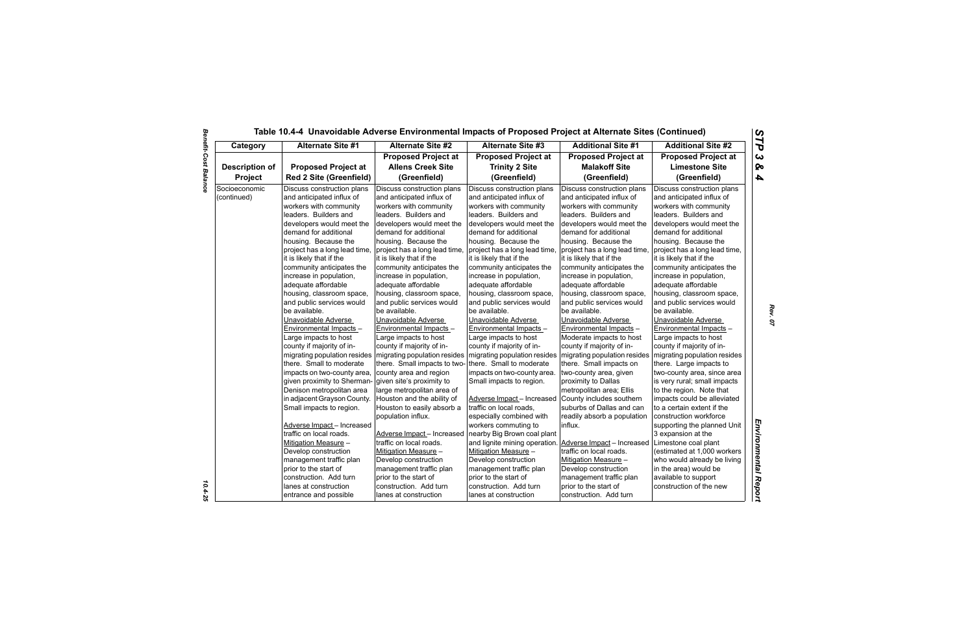|                              | Table 10.4-4 Unavoidable Adverse Environmental Impacts of Proposed Project at Alternate Sites (Continued) |                                                         |                                                         |                                                         |                                                         |
|------------------------------|-----------------------------------------------------------------------------------------------------------|---------------------------------------------------------|---------------------------------------------------------|---------------------------------------------------------|---------------------------------------------------------|
| Category                     | Alternate Site #1                                                                                         | <b>Alternate Site #2</b>                                | <b>Alternate Site #3</b>                                | <b>Additional Site #1</b>                               | <b>Additional Site #2</b>                               |
|                              |                                                                                                           | <b>Proposed Project at</b>                              | <b>Proposed Project at</b>                              | <b>Proposed Project at</b>                              | <b>Proposed Project at</b>                              |
| <b>Description of</b>        | <b>Proposed Project at</b>                                                                                | <b>Allens Creek Site</b>                                | <b>Trinity 2 Site</b>                                   | <b>Malakoff Site</b>                                    | <b>Limestone Site</b>                                   |
| Project                      | <b>Red 2 Site (Greenfield)</b>                                                                            | (Greenfield)                                            | (Greenfield)                                            | (Greenfield)                                            | (Greenfield)                                            |
| Socioeconomic<br>(continued) | Discuss construction plans<br>and anticipated influx of                                                   | Discuss construction plans<br>and anticipated influx of | Discuss construction plans<br>and anticipated influx of | Discuss construction plans<br>and anticipated influx of | Discuss construction plans<br>and anticipated influx of |
|                              | workers with community<br>leaders. Builders and                                                           | workers with community<br>leaders. Builders and         | workers with community<br>leaders. Builders and         | workers with community<br>leaders. Builders and         | workers with community<br>leaders. Builders and         |
|                              | developers would meet the                                                                                 | developers would meet the                               | developers would meet the                               | developers would meet the                               | developers would meet the                               |
|                              | demand for additional                                                                                     | demand for additional                                   | demand for additional                                   | demand for additional                                   | demand for additional                                   |
|                              | housing. Because the                                                                                      | housing. Because the                                    | housing. Because the                                    | housing. Because the                                    | housing. Because the                                    |
|                              | project has a long lead time,                                                                             | project has a long lead time,                           | project has a long lead time,                           | project has a long lead time,                           | project has a long lead time,                           |
|                              | it is likely that if the                                                                                  | it is likely that if the                                | it is likely that if the                                | it is likely that if the                                | it is likely that if the                                |
|                              | community anticipates the                                                                                 | community anticipates the                               | community anticipates the                               | community anticipates the                               | community anticipates the                               |
|                              | increase in population,                                                                                   | increase in population,                                 | increase in population,                                 | increase in population,                                 | increase in population,                                 |
|                              | adequate affordable                                                                                       | adequate affordable                                     | adequate affordable                                     | adequate affordable                                     | adequate affordable                                     |
|                              | housing, classroom space,                                                                                 | housing, classroom space,                               | housing, classroom space,                               | housing, classroom space,                               | housing, classroom space,                               |
|                              | and public services would                                                                                 | and public services would                               | and public services would                               | and public services would                               | and public services would                               |
|                              | be available.                                                                                             | be available.                                           | be available.                                           | be available.                                           | be available.                                           |
|                              | Unavoidable Adverse                                                                                       | Unavoidable Adverse                                     | Unavoidable Adverse                                     | Unavoidable Adverse                                     | Unavoidable Adverse                                     |
|                              | Environmental Impacts -                                                                                   | Environmental Impacts -                                 | Environmental Impacts -                                 | Environmental Impacts -                                 | Environmental Impacts -                                 |
|                              | Large impacts to host                                                                                     | Large impacts to host                                   | Large impacts to host                                   | Moderate impacts to host                                | Large impacts to host                                   |
|                              | county if majority of in-                                                                                 | county if majority of in-                               | county if majority of in-                               | county if majority of in-                               | county if majority of in-                               |
|                              | migrating population resides                                                                              | migrating population resides                            | migrating population resides                            | migrating population resides                            | migrating population resides                            |
|                              | there. Small to moderate                                                                                  | there. Small impacts to two-                            | there. Small to moderate                                | there. Small impacts on                                 | there. Large impacts to                                 |
|                              | impacts on two-county area,                                                                               | county area and region                                  | impacts on two-county area.                             | two-county area, given                                  | two-county area, since area                             |
|                              | given proximity to Sherman-                                                                               | given site's proximity to                               | Small impacts to region.                                | proximity to Dallas                                     | is very rural; small impacts                            |
|                              | Denison metropolitan area                                                                                 | large metropolitan area of                              |                                                         | metropolitan area; Ellis                                | to the region. Note that                                |
|                              | in adjacent Grayson County.                                                                               | Houston and the ability of                              | Adverse Impact-Increased                                | County includes southern                                | impacts could be alleviated                             |
|                              | Small impacts to region.                                                                                  | Houston to easily absorb a                              | traffic on local roads,                                 | suburbs of Dallas and can                               | to a certain extent if the                              |
|                              |                                                                                                           | population influx.                                      | especially combined with                                | readily absorb a population                             | construction workforce                                  |
|                              | Adverse Impact - Increased                                                                                |                                                         | workers commuting to                                    | influx.                                                 | supporting the planned Unit                             |
|                              | traffic on local roads.                                                                                   | Adverse Impact - Increased                              | nearby Big Brown coal plant                             |                                                         | 3 expansion at the                                      |
|                              | Mitigation Measure -                                                                                      | traffic on local roads.                                 | and lignite mining operation.                           | Adverse Impact - Increased                              | Limestone coal plant                                    |
|                              | Develop construction                                                                                      | Mitigation Measure -                                    | Mitigation Measure -                                    | traffic on local roads.                                 | (estimated at 1,000 workers                             |
|                              | management traffic plan                                                                                   | Develop construction                                    | Develop construction                                    | Mitigation Measure -                                    | who would already be living                             |
|                              | prior to the start of                                                                                     | management traffic plan                                 | management traffic plan                                 | Develop construction                                    | in the area) would be                                   |
|                              | construction. Add turn                                                                                    | prior to the start of                                   | prior to the start of                                   | management traffic plan                                 | available to support                                    |
|                              | lanes at construction                                                                                     | construction. Add turn                                  | construction. Add turn                                  | prior to the start of                                   | construction of the new                                 |
|                              | entrance and possible                                                                                     | lanes at construction                                   | lanes at construction                                   | construction. Add turn                                  |                                                         |

 $\frac{10.4 - 25}{10.4 - 25}$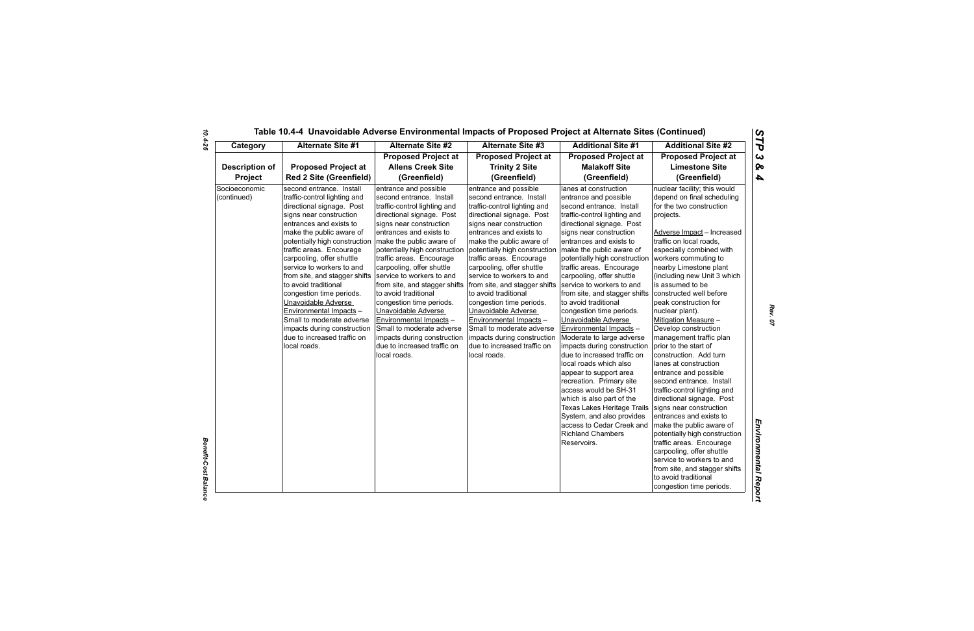| Category                     | <b>Alternate Site #1</b>                                                                                                                                                                                                                                                                                                                                                                                                                                                                                                                         | <b>Alternate Site #2</b>                                                                                                                                                                                                                                                                                                                                                                                                                                                                                                                                                  | <b>Alternate Site #3</b>                                                                                                                                                                                                                                                                                                                                                                                                                                                                                                                                                                             | <b>Additional Site #1</b>                                                                                                                                                                                                                                                                                                                                                                                                                                                                                                                                                                                                                                                                                                                                                                                                        | <b>Additional Site #2</b>                                                                                                                                                                                                                                                                                                                                                                                                                                                                                                                                                                                                                                                                                                                                                                                                                                                                                                                   |
|------------------------------|--------------------------------------------------------------------------------------------------------------------------------------------------------------------------------------------------------------------------------------------------------------------------------------------------------------------------------------------------------------------------------------------------------------------------------------------------------------------------------------------------------------------------------------------------|---------------------------------------------------------------------------------------------------------------------------------------------------------------------------------------------------------------------------------------------------------------------------------------------------------------------------------------------------------------------------------------------------------------------------------------------------------------------------------------------------------------------------------------------------------------------------|------------------------------------------------------------------------------------------------------------------------------------------------------------------------------------------------------------------------------------------------------------------------------------------------------------------------------------------------------------------------------------------------------------------------------------------------------------------------------------------------------------------------------------------------------------------------------------------------------|----------------------------------------------------------------------------------------------------------------------------------------------------------------------------------------------------------------------------------------------------------------------------------------------------------------------------------------------------------------------------------------------------------------------------------------------------------------------------------------------------------------------------------------------------------------------------------------------------------------------------------------------------------------------------------------------------------------------------------------------------------------------------------------------------------------------------------|---------------------------------------------------------------------------------------------------------------------------------------------------------------------------------------------------------------------------------------------------------------------------------------------------------------------------------------------------------------------------------------------------------------------------------------------------------------------------------------------------------------------------------------------------------------------------------------------------------------------------------------------------------------------------------------------------------------------------------------------------------------------------------------------------------------------------------------------------------------------------------------------------------------------------------------------|
|                              |                                                                                                                                                                                                                                                                                                                                                                                                                                                                                                                                                  | <b>Proposed Project at</b>                                                                                                                                                                                                                                                                                                                                                                                                                                                                                                                                                | <b>Proposed Project at</b>                                                                                                                                                                                                                                                                                                                                                                                                                                                                                                                                                                           | <b>Proposed Project at</b>                                                                                                                                                                                                                                                                                                                                                                                                                                                                                                                                                                                                                                                                                                                                                                                                       | <b>Proposed Project at</b>                                                                                                                                                                                                                                                                                                                                                                                                                                                                                                                                                                                                                                                                                                                                                                                                                                                                                                                  |
| <b>Description of</b>        | <b>Proposed Project at</b>                                                                                                                                                                                                                                                                                                                                                                                                                                                                                                                       | <b>Allens Creek Site</b>                                                                                                                                                                                                                                                                                                                                                                                                                                                                                                                                                  | <b>Trinity 2 Site</b>                                                                                                                                                                                                                                                                                                                                                                                                                                                                                                                                                                                | <b>Malakoff Site</b>                                                                                                                                                                                                                                                                                                                                                                                                                                                                                                                                                                                                                                                                                                                                                                                                             | <b>Limestone Site</b>                                                                                                                                                                                                                                                                                                                                                                                                                                                                                                                                                                                                                                                                                                                                                                                                                                                                                                                       |
| <b>Project</b>               | <b>Red 2 Site (Greenfield)</b><br>(Greenfield)                                                                                                                                                                                                                                                                                                                                                                                                                                                                                                   | (Greenfield)                                                                                                                                                                                                                                                                                                                                                                                                                                                                                                                                                              | (Greenfield)                                                                                                                                                                                                                                                                                                                                                                                                                                                                                                                                                                                         | (Greenfield)                                                                                                                                                                                                                                                                                                                                                                                                                                                                                                                                                                                                                                                                                                                                                                                                                     |                                                                                                                                                                                                                                                                                                                                                                                                                                                                                                                                                                                                                                                                                                                                                                                                                                                                                                                                             |
| Socioeconomic<br>(continued) | second entrance. Install<br>traffic-control lighting and<br>directional signage. Post<br>signs near construction<br>entrances and exists to<br>make the public aware of<br>potentially high construction<br>traffic areas. Encourage<br>carpooling, offer shuttle<br>service to workers to and<br>from site, and stagger shifts<br>to avoid traditional<br>congestion time periods.<br>Unavoidable Adverse<br>Environmental Impacts -<br>Small to moderate adverse<br>impacts during construction<br>due to increased traffic on<br>local roads. | entrance and possible<br>second entrance. Install<br>traffic-control lighting and<br>directional signage. Post<br>signs near construction<br>entrances and exists to<br>make the public aware of<br>potentially high construction<br>traffic areas. Encourage<br>carpooling, offer shuttle<br>service to workers to and<br>from site, and stagger shifts<br>to avoid traditional<br>congestion time periods.<br>Unavoidable Adverse<br>Environmental Impacts -<br>Small to moderate adverse<br>impacts during construction<br>due to increased traffic on<br>local roads. | entrance and possible<br>second entrance. Install<br>traffic-control lighting and<br>directional signage. Post<br>signs near construction<br>entrances and exists to<br>make the public aware of<br>potentially high construction   make the public aware of<br>traffic areas. Encourage<br>carpooling, offer shuttle<br>service to workers to and<br>from site, and stagger shifts<br>to avoid traditional<br>congestion time periods.<br>Unavoidable Adverse<br>Environmental Impacts -<br>Small to moderate adverse<br>impacts during construction<br>due to increased traffic on<br>local roads. | lanes at construction<br>entrance and possible<br>second entrance. Install<br>traffic-control lighting and<br>directional signage. Post<br>signs near construction<br>entrances and exists to<br>potentially high construction<br>traffic areas. Encourage<br>carpooling, offer shuttle<br>service to workers to and<br>from site, and stagger shifts<br>to avoid traditional<br>congestion time periods.<br>Unavoidable Adverse<br>Environmental Impacts -<br>Moderate to large adverse<br>impacts during construction<br>due to increased traffic on<br>local roads which also<br>appear to support area<br>recreation. Primary site<br>access would be SH-31<br>which is also part of the<br>Texas Lakes Heritage Trails<br>System, and also provides<br>access to Cedar Creek and<br><b>Richland Chambers</b><br>Reservoirs. | nuclear facility; this would<br>depend on final scheduling<br>for the two construction<br>projects.<br>Adverse Impact - Increased<br>traffic on local roads,<br>especially combined with<br>workers commuting to<br>nearby Limestone plant<br>(including new Unit 3 which<br>is assumed to be<br>constructed well before<br>peak construction for<br>nuclear plant).<br>Mitigation Measure -<br>Develop construction<br>management traffic plan<br>prior to the start of<br>construction. Add turn<br>lanes at construction<br>entrance and possible<br>second entrance. Install<br>traffic-control lighting and<br>directional signage. Post<br>signs near construction<br>entrances and exists to<br>make the public aware of<br>potentially high construction<br>traffic areas. Encourage<br>carpooling, offer shuttle<br>service to workers to and<br>from site, and stagger shifts<br>to avoid traditional<br>congestion time periods. |

*Benefit-Cost Balance*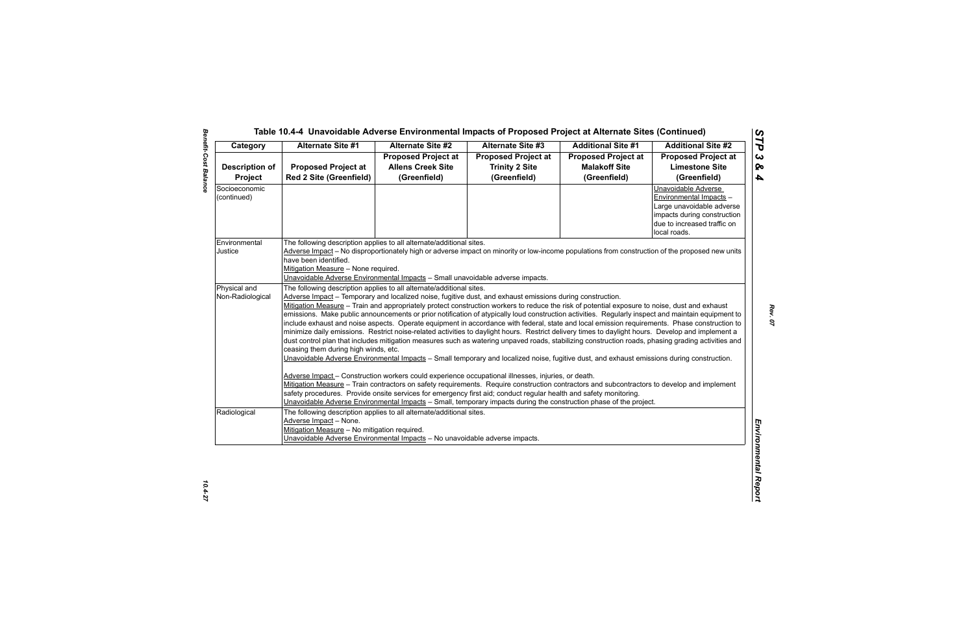| Category              | <b>Alternate Site #1</b>                                                                                                                           | <b>Alternate Site #2</b>                                                                                           | <b>Alternate Site #3</b>                            | <b>Additional Site #1</b>  | <b>Additional Site #2</b>                           |  |  |
|-----------------------|----------------------------------------------------------------------------------------------------------------------------------------------------|--------------------------------------------------------------------------------------------------------------------|-----------------------------------------------------|----------------------------|-----------------------------------------------------|--|--|
|                       | <b>Proposed Project at</b>                                                                                                                         | <b>Proposed Project at</b><br><b>Allens Creek Site</b>                                                             | <b>Proposed Project at</b><br><b>Trinity 2 Site</b> | <b>Proposed Project at</b> | <b>Proposed Project at</b><br><b>Limestone Site</b> |  |  |
| <b>Description of</b> |                                                                                                                                                    |                                                                                                                    |                                                     | <b>Malakoff Site</b>       |                                                     |  |  |
| Project               | <b>Red 2 Site (Greenfield)</b>                                                                                                                     | (Greenfield)                                                                                                       | (Greenfield)                                        | (Greenfield)               | (Greenfield)                                        |  |  |
| Socioeconomic         |                                                                                                                                                    |                                                                                                                    |                                                     |                            | Unavoidable Adverse                                 |  |  |
| (continued)           |                                                                                                                                                    |                                                                                                                    |                                                     |                            | Environmental Impacts -                             |  |  |
|                       |                                                                                                                                                    |                                                                                                                    |                                                     |                            | Large unavoidable adverse                           |  |  |
|                       |                                                                                                                                                    |                                                                                                                    |                                                     |                            | impacts during construction                         |  |  |
|                       |                                                                                                                                                    |                                                                                                                    |                                                     |                            | due to increased traffic on                         |  |  |
|                       |                                                                                                                                                    |                                                                                                                    |                                                     |                            | local roads.                                        |  |  |
| Environmental         | The following description applies to all alternate/additional sites.                                                                               |                                                                                                                    |                                                     |                            |                                                     |  |  |
| Justice               | Adverse Impact - No disproportionately high or adverse impact on minority or low-income populations from construction of the proposed new units    |                                                                                                                    |                                                     |                            |                                                     |  |  |
|                       | have been identified.                                                                                                                              |                                                                                                                    |                                                     |                            |                                                     |  |  |
|                       | Mitigation Measure - None required.                                                                                                                |                                                                                                                    |                                                     |                            |                                                     |  |  |
|                       |                                                                                                                                                    | Unavoidable Adverse Environmental Impacts - Small unavoidable adverse impacts.                                     |                                                     |                            |                                                     |  |  |
| Physical and          | The following description applies to all alternate/additional sites.                                                                               |                                                                                                                    |                                                     |                            |                                                     |  |  |
| Non-Radiological      | Adverse Impact – Temporary and localized noise, fugitive dust, and exhaust emissions during construction.                                          |                                                                                                                    |                                                     |                            |                                                     |  |  |
|                       | Mitigation Measure - Train and appropriately protect construction workers to reduce the risk of potential exposure to noise, dust and exhaust      |                                                                                                                    |                                                     |                            |                                                     |  |  |
|                       | emissions. Make public announcements or prior notification of atypically loud construction activities. Regularly inspect and maintain equipment to |                                                                                                                    |                                                     |                            |                                                     |  |  |
|                       | include exhaust and noise aspects. Operate equipment in accordance with federal, state and local emission requirements. Phase construction to      |                                                                                                                    |                                                     |                            |                                                     |  |  |
|                       | minimize daily emissions. Restrict noise-related activities to daylight hours. Restrict delivery times to daylight hours. Develop and implement a  |                                                                                                                    |                                                     |                            |                                                     |  |  |
|                       | dust control plan that includes mitigation measures such as watering unpaved roads, stabilizing construction roads, phasing grading activities and |                                                                                                                    |                                                     |                            |                                                     |  |  |
|                       | ceasing them during high winds, etc.                                                                                                               |                                                                                                                    |                                                     |                            |                                                     |  |  |
|                       | Unavoidable Adverse Environmental Impacts - Small temporary and localized noise, fugitive dust, and exhaust emissions during construction.         |                                                                                                                    |                                                     |                            |                                                     |  |  |
|                       | Adverse Impact - Construction workers could experience occupational illnesses, injuries, or death.                                                 |                                                                                                                    |                                                     |                            |                                                     |  |  |
|                       |                                                                                                                                                    |                                                                                                                    |                                                     |                            |                                                     |  |  |
|                       |                                                                                                                                                    |                                                                                                                    |                                                     |                            |                                                     |  |  |
|                       | Mitigation Measure - Train contractors on safety requirements. Require construction contractors and subcontractors to develop and implement        |                                                                                                                    |                                                     |                            |                                                     |  |  |
|                       | safety procedures. Provide onsite services for emergency first aid; conduct regular health and safety monitoring.                                  |                                                                                                                    |                                                     |                            |                                                     |  |  |
|                       |                                                                                                                                                    | Unavoidable Adverse Environmental Impacts - Small, temporary impacts during the construction phase of the project. |                                                     |                            |                                                     |  |  |
|                       | The following description applies to all alternate/additional sites.                                                                               |                                                                                                                    |                                                     |                            |                                                     |  |  |
|                       | Adverse Impact - None.                                                                                                                             |                                                                                                                    |                                                     |                            |                                                     |  |  |
|                       | Mitigation Measure - No mitigation required.                                                                                                       |                                                                                                                    |                                                     |                            |                                                     |  |  |
| Radiological          |                                                                                                                                                    | Unavoidable Adverse Environmental Impacts - No unavoidable adverse impacts.                                        |                                                     |                            |                                                     |  |  |
|                       |                                                                                                                                                    |                                                                                                                    |                                                     |                            |                                                     |  |  |
|                       |                                                                                                                                                    |                                                                                                                    |                                                     |                            |                                                     |  |  |
|                       |                                                                                                                                                    |                                                                                                                    |                                                     |                            |                                                     |  |  |
|                       |                                                                                                                                                    |                                                                                                                    |                                                     |                            |                                                     |  |  |
|                       |                                                                                                                                                    |                                                                                                                    |                                                     |                            |                                                     |  |  |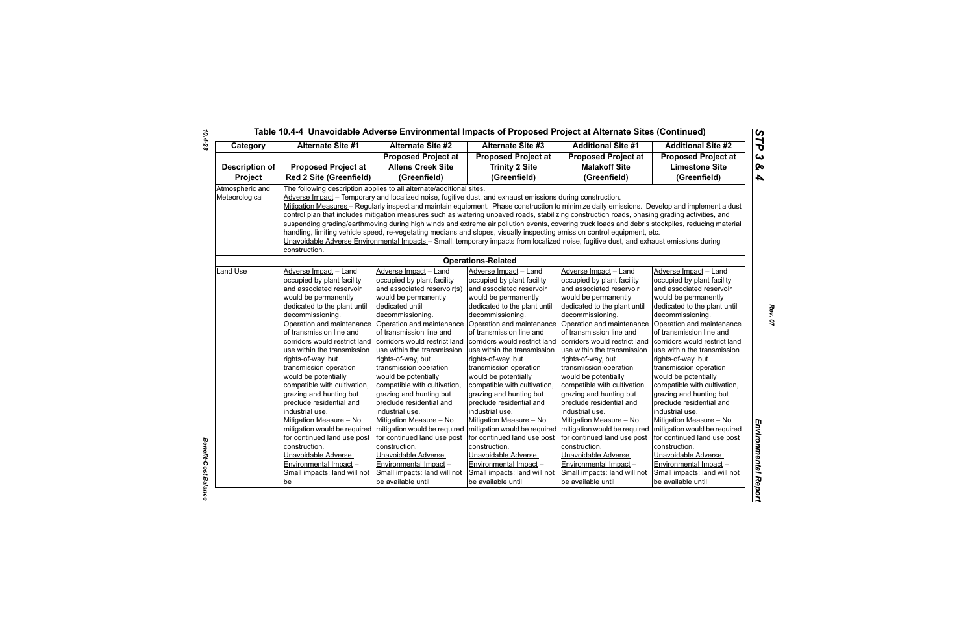| Category              | <b>Alternate Site #1</b>                                                                                                                                                                                                                                           | Alternate Site #2                                                    | <b>Alternate Site #3</b>                                                                                                                       | <b>Additional Site #1</b>                                 | <b>Additional Site #2</b>                                 |  |  |  |
|-----------------------|--------------------------------------------------------------------------------------------------------------------------------------------------------------------------------------------------------------------------------------------------------------------|----------------------------------------------------------------------|------------------------------------------------------------------------------------------------------------------------------------------------|-----------------------------------------------------------|-----------------------------------------------------------|--|--|--|
|                       |                                                                                                                                                                                                                                                                    | <b>Proposed Project at</b>                                           | <b>Proposed Project at</b>                                                                                                                     | <b>Proposed Project at</b>                                | <b>Proposed Project at</b>                                |  |  |  |
| <b>Description of</b> | <b>Proposed Project at</b>                                                                                                                                                                                                                                         | <b>Allens Creek Site</b>                                             | <b>Trinity 2 Site</b>                                                                                                                          | <b>Malakoff Site</b>                                      | <b>Limestone Site</b>                                     |  |  |  |
| <b>Project</b>        | <b>Red 2 Site (Greenfield)</b>                                                                                                                                                                                                                                     | (Greenfield)                                                         | (Greenfield)                                                                                                                                   | (Greenfield)                                              | (Greenfield)                                              |  |  |  |
| Atmospheric and       |                                                                                                                                                                                                                                                                    | The following description applies to all alternate/additional sites. |                                                                                                                                                |                                                           |                                                           |  |  |  |
| Meteorological        |                                                                                                                                                                                                                                                                    |                                                                      | Adverse Impact - Temporary and localized noise, fugitive dust, and exhaust emissions during construction.                                      |                                                           |                                                           |  |  |  |
|                       |                                                                                                                                                                                                                                                                    |                                                                      | Mitigation Measures - Regularly inspect and maintain equipment. Phase construction to minimize daily emissions. Develop and implement a dust   |                                                           |                                                           |  |  |  |
|                       |                                                                                                                                                                                                                                                                    |                                                                      | control plan that includes mitigation measures such as watering unpaved roads, stabilizing construction roads, phasing grading activities, and |                                                           |                                                           |  |  |  |
|                       | suspending grading/earthmoving during high winds and extreme air pollution events, covering truck loads and debris stockpiles, reducing material                                                                                                                   |                                                                      |                                                                                                                                                |                                                           |                                                           |  |  |  |
|                       | handling, limiting vehicle speed, re-vegetating medians and slopes, visually inspecting emission control equipment, etc.<br>Unavoidable Adverse Environmental Impacts - Small, temporary impacts from localized noise, fugitive dust, and exhaust emissions during |                                                                      |                                                                                                                                                |                                                           |                                                           |  |  |  |
|                       |                                                                                                                                                                                                                                                                    |                                                                      |                                                                                                                                                |                                                           |                                                           |  |  |  |
|                       | construction.                                                                                                                                                                                                                                                      |                                                                      |                                                                                                                                                |                                                           |                                                           |  |  |  |
|                       |                                                                                                                                                                                                                                                                    |                                                                      | <b>Operations-Related</b>                                                                                                                      |                                                           |                                                           |  |  |  |
| Land Use              | Adverse Impact - Land                                                                                                                                                                                                                                              | Adverse Impact - Land                                                | Adverse Impact - Land                                                                                                                          | Adverse Impact - Land                                     | Adverse Impact - Land                                     |  |  |  |
|                       | occupied by plant facility                                                                                                                                                                                                                                         | occupied by plant facility                                           | occupied by plant facility                                                                                                                     | occupied by plant facility                                | occupied by plant facility                                |  |  |  |
|                       | and associated reservoir                                                                                                                                                                                                                                           | and associated reservoir(s)                                          | and associated reservoir                                                                                                                       | and associated reservoir                                  | and associated reservoir                                  |  |  |  |
|                       | would be permanently                                                                                                                                                                                                                                               | would be permanently                                                 | would be permanently                                                                                                                           | would be permanently                                      | would be permanently                                      |  |  |  |
|                       | dedicated to the plant until                                                                                                                                                                                                                                       | dedicated until                                                      | dedicated to the plant until                                                                                                                   | dedicated to the plant until                              | dedicated to the plant until                              |  |  |  |
|                       | decommissioning.                                                                                                                                                                                                                                                   | decommissioning.                                                     | decommissioning.                                                                                                                               | decommissioning.                                          | decommissioning.                                          |  |  |  |
|                       | Operation and maintenance                                                                                                                                                                                                                                          | Operation and maintenance                                            |                                                                                                                                                | Operation and maintenance Operation and maintenance       | Operation and maintenance                                 |  |  |  |
|                       | of transmission line and<br>corridors would restrict land                                                                                                                                                                                                          | of transmission line and<br>corridors would restrict land            | of transmission line and<br>corridors would restrict land                                                                                      | of transmission line and<br>corridors would restrict land | of transmission line and<br>corridors would restrict land |  |  |  |
|                       | use within the transmission                                                                                                                                                                                                                                        | use within the transmission                                          | use within the transmission                                                                                                                    | use within the transmission                               | use within the transmission                               |  |  |  |
|                       | rights-of-way, but                                                                                                                                                                                                                                                 | rights-of-way, but                                                   | rights-of-way, but                                                                                                                             | rights-of-way, but                                        | rights-of-way, but                                        |  |  |  |
|                       | transmission operation                                                                                                                                                                                                                                             | transmission operation                                               | transmission operation                                                                                                                         | transmission operation                                    | transmission operation                                    |  |  |  |
|                       | would be potentially                                                                                                                                                                                                                                               | would be potentially                                                 | would be potentially                                                                                                                           | would be potentially                                      | would be potentially                                      |  |  |  |
|                       | compatible with cultivation,                                                                                                                                                                                                                                       | compatible with cultivation,                                         | compatible with cultivation,                                                                                                                   | compatible with cultivation,                              | compatible with cultivation,                              |  |  |  |
|                       | grazing and hunting but                                                                                                                                                                                                                                            | grazing and hunting but                                              | grazing and hunting but                                                                                                                        | grazing and hunting but                                   | grazing and hunting but                                   |  |  |  |
|                       | preclude residential and                                                                                                                                                                                                                                           | preclude residential and                                             | preclude residential and                                                                                                                       | preclude residential and                                  | preclude residential and                                  |  |  |  |
|                       | industrial use.                                                                                                                                                                                                                                                    | industrial use.                                                      | industrial use.                                                                                                                                | industrial use.                                           | industrial use.                                           |  |  |  |
|                       | Mitigation Measure - No                                                                                                                                                                                                                                            | Mitigation Measure - No                                              | Mitigation Measure - No                                                                                                                        | Mitigation Measure - No                                   | Mitigation Measure - No                                   |  |  |  |
|                       | mitigation would be required                                                                                                                                                                                                                                       | mitigation would be required                                         | mitigation would be required                                                                                                                   | mitigation would be required                              | mitigation would be required                              |  |  |  |
|                       | for continued land use post                                                                                                                                                                                                                                        | for continued land use post                                          | for continued land use post                                                                                                                    | for continued land use post                               | for continued land use post                               |  |  |  |
|                       | construction.                                                                                                                                                                                                                                                      | construction.                                                        | construction.                                                                                                                                  | construction.                                             | construction.                                             |  |  |  |
|                       | Unavoidable Adverse                                                                                                                                                                                                                                                | Unavoidable Adverse                                                  | Unavoidable Adverse                                                                                                                            | Unavoidable Adverse                                       | Unavoidable Adverse                                       |  |  |  |
|                       | Environmental Impact -                                                                                                                                                                                                                                             | Environmental Impact -                                               | Environmental Impact-                                                                                                                          | <b>Environmental Impact-</b>                              | Environmental Impact -                                    |  |  |  |
|                       | Small impacts: land will not                                                                                                                                                                                                                                       | Small impacts: land will not                                         | Small impacts: land will not<br>be available until                                                                                             | Small impacts: land will not                              | Small impacts: land will not                              |  |  |  |
|                       | be                                                                                                                                                                                                                                                                 | be available until                                                   |                                                                                                                                                | be available until                                        | be available until                                        |  |  |  |

*10.4-28*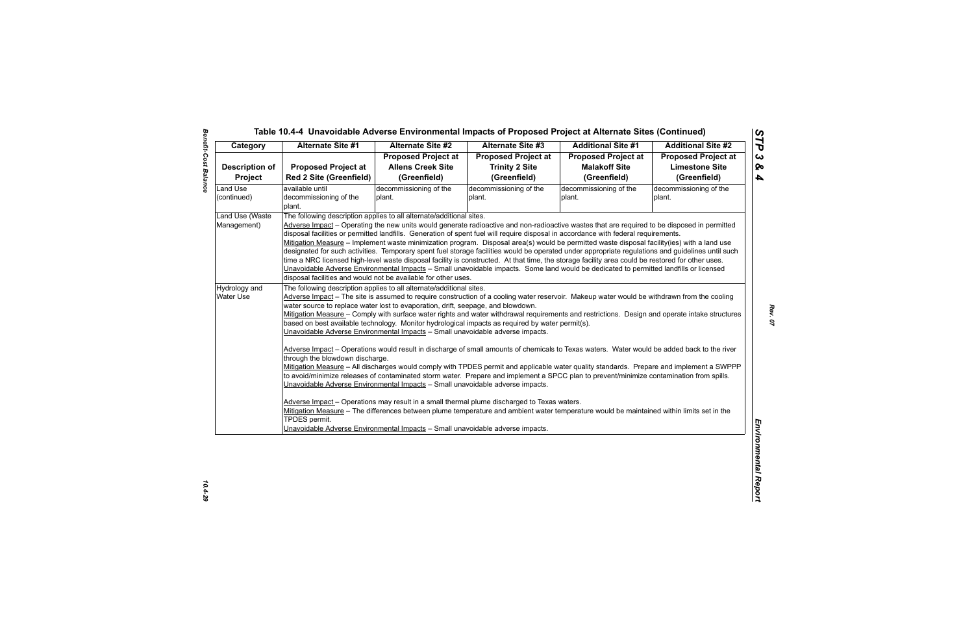| Category              | <b>Alternate Site #1</b>                                                                                                                                                                                            | <b>Alternate Site #2</b>   | Alternate Site #3                                                                                                                                                                                                                                                                                | <b>Additional Site #1</b>  | <b>Additional Site #2</b>  |  |  |
|-----------------------|---------------------------------------------------------------------------------------------------------------------------------------------------------------------------------------------------------------------|----------------------------|--------------------------------------------------------------------------------------------------------------------------------------------------------------------------------------------------------------------------------------------------------------------------------------------------|----------------------------|----------------------------|--|--|
|                       |                                                                                                                                                                                                                     | <b>Proposed Project at</b> | <b>Proposed Project at</b>                                                                                                                                                                                                                                                                       | <b>Proposed Project at</b> | <b>Proposed Project at</b> |  |  |
| <b>Description of</b> | <b>Proposed Project at</b>                                                                                                                                                                                          | <b>Allens Creek Site</b>   | <b>Trinity 2 Site</b>                                                                                                                                                                                                                                                                            | <b>Malakoff Site</b>       | <b>Limestone Site</b>      |  |  |
| Project               | <b>Red 2 Site (Greenfield)</b>                                                                                                                                                                                      | (Greenfield)               | (Greenfield)                                                                                                                                                                                                                                                                                     | (Greenfield)               | (Greenfield)               |  |  |
| Land Use              | available until                                                                                                                                                                                                     | decommissioning of the     | decommissioning of the                                                                                                                                                                                                                                                                           | decommissioning of the     | decommissioning of the     |  |  |
| (continued)           | decommissioning of the                                                                                                                                                                                              | plant.                     | plant.                                                                                                                                                                                                                                                                                           | plant.                     | plant.                     |  |  |
|                       | plant.                                                                                                                                                                                                              |                            |                                                                                                                                                                                                                                                                                                  |                            |                            |  |  |
| Land Use (Waste       | The following description applies to all alternate/additional sites.                                                                                                                                                |                            |                                                                                                                                                                                                                                                                                                  |                            |                            |  |  |
| Management)           |                                                                                                                                                                                                                     |                            | Adverse Impact - Operating the new units would generate radioactive and non-radioactive wastes that are required to be disposed in permitted                                                                                                                                                     |                            |                            |  |  |
|                       | disposal facilities or permitted landfills. Generation of spent fuel will require disposal in accordance with federal requirements.                                                                                 |                            |                                                                                                                                                                                                                                                                                                  |                            |                            |  |  |
|                       |                                                                                                                                                                                                                     |                            | Mitigation Measure - Implement waste minimization program. Disposal area(s) would be permitted waste disposal facility(ies) with a land use<br>designated for such activities. Temporary spent fuel storage facilities would be operated under appropriate regulations and guidelines until such |                            |                            |  |  |
|                       | time a NRC licensed high-level waste disposal facility is constructed. At that time, the storage facility area could be restored for other uses.                                                                    |                            |                                                                                                                                                                                                                                                                                                  |                            |                            |  |  |
|                       |                                                                                                                                                                                                                     |                            | Unavoidable Adverse Environmental Impacts - Small unavoidable impacts. Some land would be dedicated to permitted landfills or licensed                                                                                                                                                           |                            |                            |  |  |
|                       | disposal facilities and would not be available for other uses.                                                                                                                                                      |                            |                                                                                                                                                                                                                                                                                                  |                            |                            |  |  |
| Hydrology and         |                                                                                                                                                                                                                     |                            |                                                                                                                                                                                                                                                                                                  |                            |                            |  |  |
| Water Use             | The following description applies to all alternate/additional sites.<br>Adverse Impact - The site is assumed to require construction of a cooling water reservoir. Makeup water would be withdrawn from the cooling |                            |                                                                                                                                                                                                                                                                                                  |                            |                            |  |  |
|                       | water source to replace water lost to evaporation, drift, seepage, and blowdown.                                                                                                                                    |                            |                                                                                                                                                                                                                                                                                                  |                            |                            |  |  |
|                       | Mitigation Measure - Comply with surface water rights and water withdrawal requirements and restrictions. Design and operate intake structures                                                                      |                            |                                                                                                                                                                                                                                                                                                  |                            |                            |  |  |
|                       |                                                                                                                                                                                                                     |                            | based on best available technology. Monitor hydrological impacts as required by water permit(s).                                                                                                                                                                                                 |                            |                            |  |  |
|                       | Unavoidable Adverse Environmental Impacts - Small unavoidable adverse impacts.                                                                                                                                      |                            |                                                                                                                                                                                                                                                                                                  |                            |                            |  |  |
|                       |                                                                                                                                                                                                                     |                            |                                                                                                                                                                                                                                                                                                  |                            |                            |  |  |
|                       |                                                                                                                                                                                                                     |                            |                                                                                                                                                                                                                                                                                                  |                            |                            |  |  |
|                       | Adverse Impact - Operations would result in discharge of small amounts of chemicals to Texas waters. Water would be added back to the river                                                                         |                            |                                                                                                                                                                                                                                                                                                  |                            |                            |  |  |
|                       | through the blowdown discharge.                                                                                                                                                                                     |                            |                                                                                                                                                                                                                                                                                                  |                            |                            |  |  |
|                       | Mitigation Measure - All discharges would comply with TPDES permit and applicable water quality standards. Prepare and implement a SWPPP                                                                            |                            |                                                                                                                                                                                                                                                                                                  |                            |                            |  |  |
|                       | to avoid/minimize releases of contaminated storm water. Prepare and implement a SPCC plan to prevent/minimize contamination from spills.                                                                            |                            |                                                                                                                                                                                                                                                                                                  |                            |                            |  |  |
|                       | Unavoidable Adverse Environmental Impacts - Small unavoidable adverse impacts.                                                                                                                                      |                            |                                                                                                                                                                                                                                                                                                  |                            |                            |  |  |
|                       |                                                                                                                                                                                                                     |                            |                                                                                                                                                                                                                                                                                                  |                            |                            |  |  |
|                       | Mitigation Measure - The differences between plume temperature and ambient water temperature would be maintained within limits set in the                                                                           |                            | Adverse Impact - Operations may result in a small thermal plume discharged to Texas waters.                                                                                                                                                                                                      |                            |                            |  |  |
|                       | TPDES permit.                                                                                                                                                                                                       |                            |                                                                                                                                                                                                                                                                                                  |                            |                            |  |  |
|                       |                                                                                                                                                                                                                     |                            |                                                                                                                                                                                                                                                                                                  |                            |                            |  |  |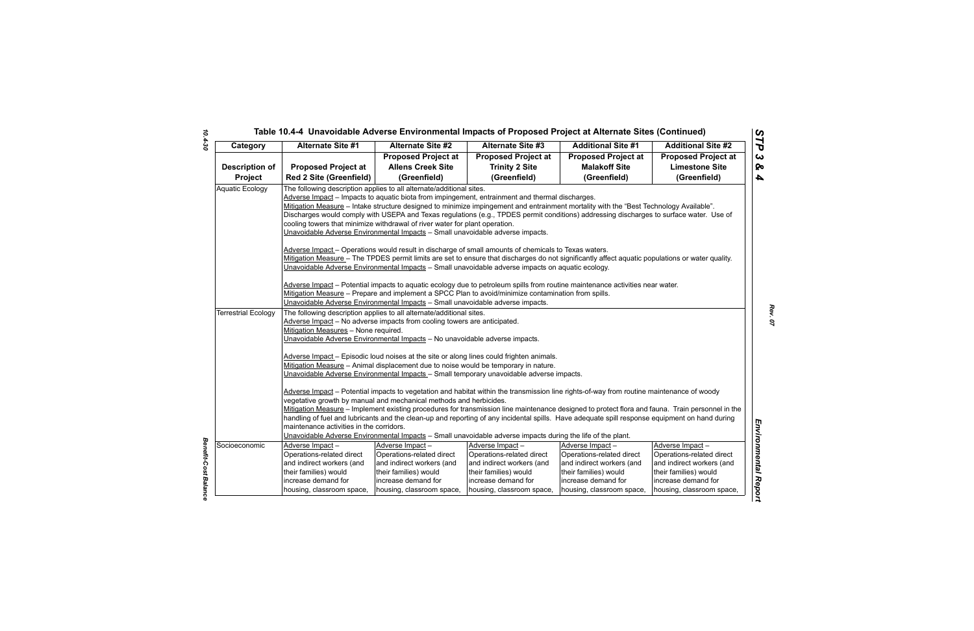# *STP 3 & 4* Tenetial Case of University Contribution and the Case of Proposed Project at Alternation Since 2<br>
Censory Alternation Since 2<br>
Censory Alternation Since 2<br>
Censory Alternation Since 2<br>
Censory Alternation Since 2<br>
Censory

*Benefit-Cost Balance*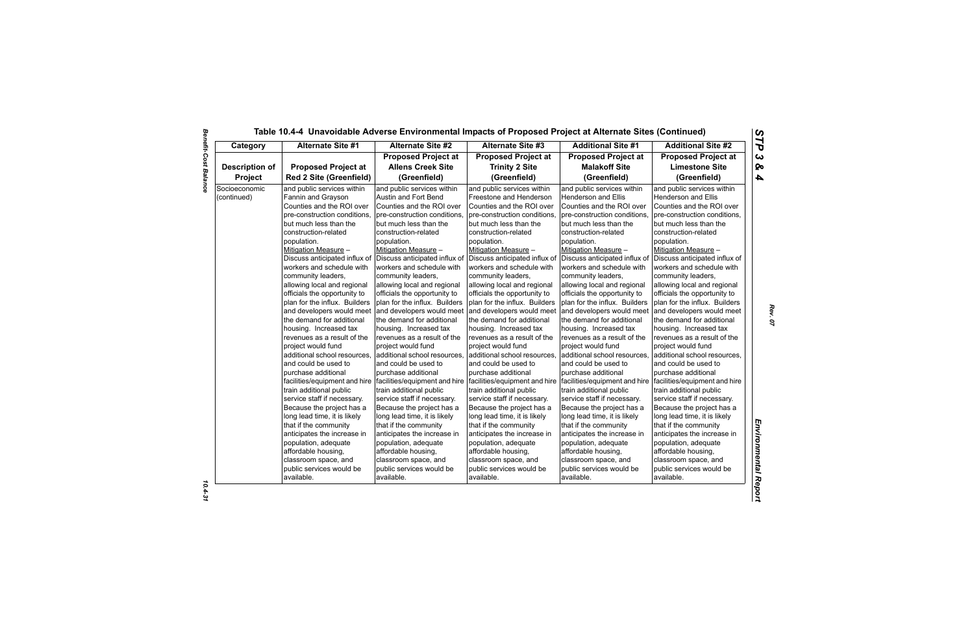| Category              | <b>Alternate Site #1</b>       | <b>Alternate Site #2</b>                                                                      | <b>Alternate Site #3</b>      | <b>Additional Site #1</b>     | <b>Additional Site #2</b>     |
|-----------------------|--------------------------------|-----------------------------------------------------------------------------------------------|-------------------------------|-------------------------------|-------------------------------|
|                       |                                | <b>Proposed Project at</b>                                                                    | <b>Proposed Project at</b>    | <b>Proposed Project at</b>    | <b>Proposed Project at</b>    |
| <b>Description of</b> | <b>Proposed Project at</b>     | <b>Allens Creek Site</b>                                                                      | <b>Trinity 2 Site</b>         | <b>Malakoff Site</b>          | <b>Limestone Site</b>         |
| Project               | <b>Red 2 Site (Greenfield)</b> | (Greenfield)                                                                                  | (Greenfield)                  | (Greenfield)                  | (Greenfield)                  |
| Socioeconomic         | and public services within     | and public services within                                                                    | and public services within    | and public services within    | and public services within    |
| (continued)           | Fannin and Grayson             | Austin and Fort Bend                                                                          | Freestone and Henderson       | Henderson and Ellis           | <b>Henderson and Ellis</b>    |
|                       | Counties and the ROI over      | Counties and the ROI over                                                                     | Counties and the ROI over     | Counties and the ROI over     | Counties and the ROI over     |
|                       | pre-construction conditions,   | pre-construction conditions,                                                                  | pre-construction conditions,  | pre-construction conditions,  | pre-construction conditions,  |
|                       | but much less than the         | but much less than the                                                                        | but much less than the        | but much less than the        | but much less than the        |
|                       | construction-related           | construction-related                                                                          | construction-related          | construction-related          | construction-related          |
|                       | population.                    | population.                                                                                   | population.                   | population.                   | population.                   |
|                       | Mitigation Measure -           | Mitigation Measure -                                                                          | Mitigation Measure -          | Mitigation Measure -          | Mitigation Measure -          |
|                       | Discuss anticipated influx of  | Discuss anticipated influx of                                                                 | Discuss anticipated influx of | Discuss anticipated influx of | Discuss anticipated influx of |
|                       | workers and schedule with      | workers and schedule with                                                                     | workers and schedule with     | workers and schedule with     | workers and schedule with     |
|                       | community leaders,             | community leaders,                                                                            | community leaders,            | community leaders,            | community leaders,            |
|                       | allowing local and regional    | allowing local and regional                                                                   | allowing local and regional   | allowing local and regional   | allowing local and regional   |
|                       | officials the opportunity to   | officials the opportunity to                                                                  | officials the opportunity to  | officials the opportunity to  | officials the opportunity to  |
|                       | plan for the influx. Builders  | plan for the influx. Builders                                                                 | plan for the influx. Builders | plan for the influx. Builders | plan for the influx. Builders |
|                       | and developers would meet      | and developers would meet                                                                     | and developers would meet     | and developers would meet     | and developers would meet     |
|                       | the demand for additional      | the demand for additional                                                                     | the demand for additional     | the demand for additional     | the demand for additional     |
|                       | housing. Increased tax         | housing. Increased tax                                                                        | housing. Increased tax        | housing. Increased tax        | housing. Increased tax        |
|                       | revenues as a result of the    | revenues as a result of the                                                                   | revenues as a result of the   | revenues as a result of the   | revenues as a result of the   |
|                       | project would fund             | project would fund                                                                            | project would fund            | project would fund            | project would fund            |
|                       | additional school resources,   | additional school resources,                                                                  | additional school resources,  | additional school resources,  | additional school resources,  |
|                       | and could be used to           | and could be used to                                                                          | and could be used to          | and could be used to          | and could be used to          |
|                       | purchase additional            | purchase additional                                                                           | purchase additional           | purchase additional           | purchase additional           |
|                       |                                | facilities/equipment and hire   facilities/equipment and hire   facilities/equipment and hire |                               | facilities/equipment and hire | facilities/equipment and hire |
|                       | train additional public        | train additional public                                                                       | train additional public       | train additional public       | train additional public       |
|                       | service staff if necessary.    | service staff if necessary.                                                                   | service staff if necessary.   | service staff if necessary.   | service staff if necessary.   |
|                       | Because the project has a      | Because the project has a                                                                     | Because the project has a     | Because the project has a     | Because the project has a     |
|                       | long lead time, it is likely   | long lead time, it is likely                                                                  | long lead time, it is likely  | long lead time, it is likely  | long lead time, it is likely  |
|                       | that if the community          | that if the community                                                                         | that if the community         | that if the community         | that if the community         |
|                       | anticipates the increase in    | anticipates the increase in                                                                   | anticipates the increase in   | anticipates the increase in   | anticipates the increase in   |
|                       | population, adequate           | population, adequate                                                                          | population, adequate          | population, adequate          | population, adequate          |
|                       | affordable housing,            | affordable housing,                                                                           | affordable housing,           | affordable housing,           | affordable housing,           |
|                       | classroom space, and           | classroom space, and                                                                          | classroom space, and          | classroom space, and          | classroom space, and          |
|                       | public services would be       | public services would be                                                                      | public services would be      | public services would be      | public services would be      |
|                       | available.                     | available.                                                                                    | available.                    | available.                    | available.                    |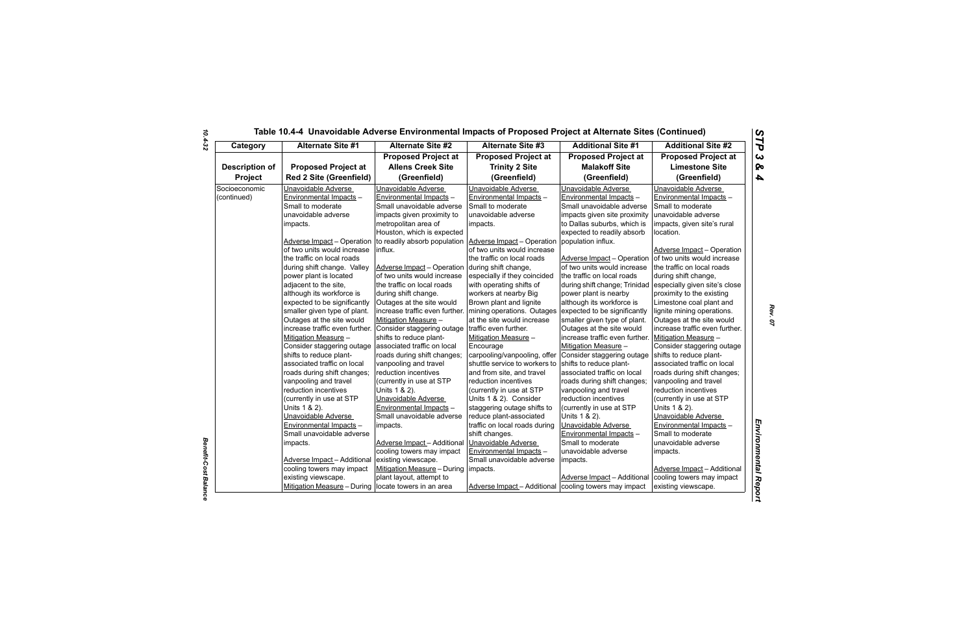| Category              | <b>Alternate Site #1</b>           | <b>Alternate Site #2</b>                                  | <b>Alternate Site #3</b>      | <b>Additional Site #1</b>      | <b>Additional Site #2</b>          |
|-----------------------|------------------------------------|-----------------------------------------------------------|-------------------------------|--------------------------------|------------------------------------|
|                       |                                    | <b>Proposed Project at</b>                                | <b>Proposed Project at</b>    | <b>Proposed Project at</b>     | <b>Proposed Project at</b>         |
| <b>Description of</b> | <b>Proposed Project at</b>         | <b>Allens Creek Site</b>                                  | <b>Trinity 2 Site</b>         | <b>Malakoff Site</b>           | <b>Limestone Site</b>              |
| Project               | <b>Red 2 Site (Greenfield)</b>     | (Greenfield)                                              | (Greenfield)                  | (Greenfield)                   | (Greenfield)                       |
| Socioeconomic         | Unavoidable Adverse                | Unavoidable Adverse                                       | Unavoidable Adverse           | Unavoidable Adverse            | Unavoidable Adverse                |
| (continued)           | Environmental Impacts -            | Environmental Impacts -                                   | Environmental Impacts -       | Environmental Impacts -        | Environmental Impacts -            |
|                       | Small to moderate                  | Small unavoidable adverse                                 | Small to moderate             | Small unavoidable adverse      | Small to moderate                  |
|                       | unavoidable adverse                | impacts given proximity to                                | unavoidable adverse           | impacts given site proximity   | unavoidable adverse                |
|                       | impacts.                           | metropolitan area of                                      | impacts.                      | to Dallas suburbs, which is    | impacts, given site's rural        |
|                       |                                    | Houston, which is expected                                |                               | expected to readily absorb     | location.                          |
|                       | <b>Adverse Impact - Operation</b>  | to readily absorb population   Adverse Impact - Operation |                               | population influx.             |                                    |
|                       | of two units would increase        | influx.                                                   | of two units would increase   |                                | Adverse Impact - Operation         |
|                       | the traffic on local roads         |                                                           | the traffic on local roads    | Adverse Impact - Operation     | of two units would increase        |
|                       | during shift change. Valley        | Adverse Impact - Operation                                | during shift change,          | of two units would increase    | the traffic on local roads         |
|                       | power plant is located             | of two units would increase                               | especially if they coincided  | the traffic on local roads     | during shift change,               |
|                       | adjacent to the site,              | the traffic on local roads                                | with operating shifts of      | during shift change; Trinidad  | especially given site's close      |
|                       | although its workforce is          | during shift change.                                      | workers at nearby Big         | power plant is nearby          | proximity to the existing          |
|                       | expected to be significantly       | Outages at the site would                                 | Brown plant and lignite       | although its workforce is      | Limestone coal plant and           |
|                       | smaller given type of plant.       | increase traffic even further. mining operations. Outages |                               | expected to be significantly   | lignite mining operations.         |
|                       | Outages at the site would          | Mitigation Measure -                                      | at the site would increase    | smaller given type of plant.   | Outages at the site would          |
|                       | increase traffic even further.     | Consider staggering outage                                | traffic even further.         | Outages at the site would      | increase traffic even further.     |
|                       | Mitigation Measure -               | shifts to reduce plant-                                   | Mitigation Measure -          | increase traffic even further. | Mitigation Measure -               |
|                       | Consider staggering outage         | associated traffic on local                               | Encourage                     | Mitigation Measure -           | Consider staggering outage         |
|                       | shifts to reduce plant-            | roads during shift changes;                               | carpooling/vanpooling, offer  | Consider staggering outage     | shifts to reduce plant-            |
|                       | associated traffic on local        | vanpooling and travel                                     | shuttle service to workers to | shifts to reduce plant-        | associated traffic on local        |
|                       | roads during shift changes;        | reduction incentives                                      | and from site, and travel     | associated traffic on local    | roads during shift changes;        |
|                       | vanpooling and travel              | (currently in use at STP                                  | reduction incentives          | roads during shift changes;    | vanpooling and travel              |
|                       | reduction incentives               | Units 1 & 2).                                             | (currently in use at STP      | vanpooling and travel          | reduction incentives               |
|                       | (currently in use at STP           | Unavoidable Adverse                                       | Units 1 & 2). Consider        | reduction incentives           | (currently in use at STP           |
|                       | Units 1 & 2).                      | Environmental Impacts -                                   | staggering outage shifts to   | (currently in use at STP       | Units 1 & 2).                      |
|                       | Unavoidable Adverse                | Small unavoidable adverse                                 | reduce plant-associated       | Units 1 & 2).                  | Unavoidable Adverse                |
|                       | Environmental Impacts -            | impacts.                                                  | traffic on local roads during | Unavoidable Adverse            | Environmental Impacts -            |
|                       | Small unavoidable adverse          |                                                           | shift changes.                | Environmental Impacts -        | Small to moderate                  |
|                       | impacts.                           | Adverse Impact-Additional                                 | Unavoidable Adverse           | Small to moderate              | unavoidable adverse                |
|                       |                                    | cooling towers may impact                                 | Environmental Impacts -       | unavoidable adverse            | impacts.                           |
|                       | <b>Adverse Impact - Additional</b> | existing viewscape.                                       | Small unavoidable adverse     | impacts.                       |                                    |
|                       | cooling towers may impact          | Mitigation Measure - During   impacts.                    |                               |                                | <b>Adverse Impact - Additional</b> |
|                       | existing viewscape.                | plant layout, attempt to                                  |                               | Adverse Impact - Additional    | cooling towers may impact          |
|                       | Mitigation Measure - During        | locate towers in an area                                  | Adverse Impact - Additional   | cooling towers may impact      | existing viewscape.                |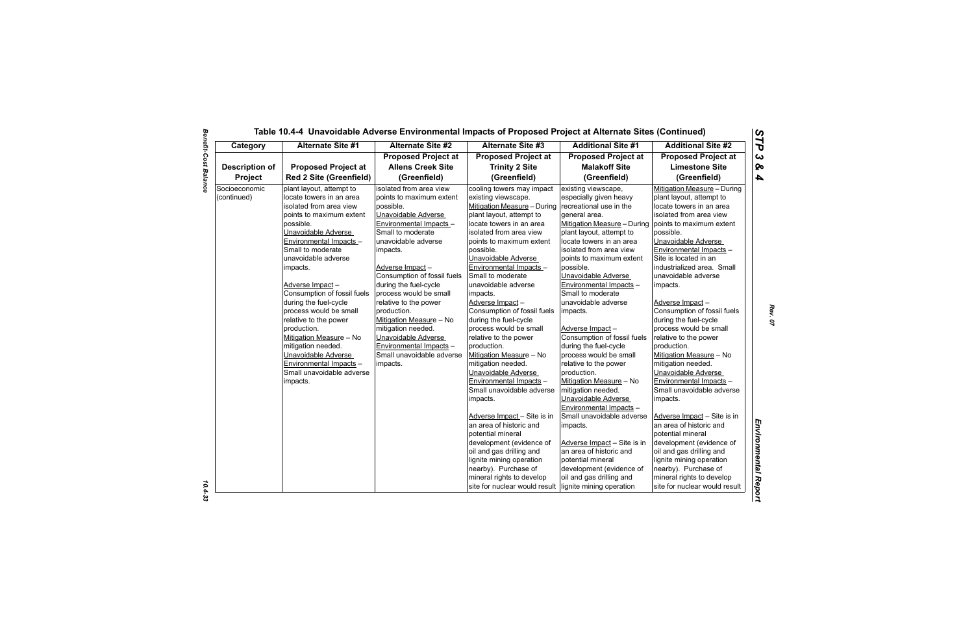| Category              | <b>Alternate Site #1</b>       | Alternate Site #2           | <b>Alternate Site #3</b>           | <b>Additional Site #1</b>   | <b>Additional Site #2</b>     |
|-----------------------|--------------------------------|-----------------------------|------------------------------------|-----------------------------|-------------------------------|
|                       |                                | <b>Proposed Project at</b>  | <b>Proposed Project at</b>         | <b>Proposed Project at</b>  | <b>Proposed Project at</b>    |
| <b>Description of</b> | <b>Proposed Project at</b>     | <b>Allens Creek Site</b>    | <b>Trinity 2 Site</b>              | <b>Malakoff Site</b>        | <b>Limestone Site</b>         |
| Project               | <b>Red 2 Site (Greenfield)</b> | (Greenfield)                | (Greenfield)                       | (Greenfield)                | (Greenfield)                  |
| Socioeconomic         | plant layout, attempt to       | isolated from area view     | cooling towers may impact          | existing viewscape,         | Mitigation Measure - During   |
| (continued)           | locate towers in an area       | points to maximum extent    | existing viewscape.                | especially given heavy      | plant layout, attempt to      |
|                       | isolated from area view        | possible.                   | <b>Mitigation Measure - During</b> | recreational use in the     | locate towers in an area      |
|                       | points to maximum extent       | Unavoidable Adverse         | plant layout, attempt to           | general area.               | isolated from area view       |
|                       | possible.                      | Environmental Impacts -     | locate towers in an area           | Mitigation Measure - During | points to maximum extent      |
|                       | Unavoidable Adverse            | Small to moderate           | isolated from area view            | plant layout, attempt to    | possible.                     |
|                       | Environmental Impacts -        | unavoidable adverse         | points to maximum extent           | locate towers in an area    | Unavoidable Adverse           |
|                       | Small to moderate              | impacts.                    | possible.                          | isolated from area view     | Environmental Impacts -       |
|                       | unavoidable adverse            |                             | Unavoidable Adverse                | points to maximum extent    | Site is located in an         |
|                       | impacts.                       | Adverse Impact-             | Environmental Impacts -            | possible.                   | industrialized area. Small    |
|                       |                                | Consumption of fossil fuels | Small to moderate                  | Unavoidable Adverse         | unavoidable adverse           |
|                       | Adverse Impact-                | during the fuel-cycle       | unavoidable adverse                | Environmental Impacts -     | impacts.                      |
|                       | Consumption of fossil fuels    | process would be small      | impacts.                           | Small to moderate           |                               |
|                       | during the fuel-cycle          | relative to the power       | Adverse Impact-                    | unavoidable adverse         | Adverse Impact-               |
|                       | process would be small         | production.                 | Consumption of fossil fuels        | impacts.                    | Consumption of fossil fuels   |
|                       | relative to the power          | Mitigation Measure - No     | during the fuel-cycle              |                             | during the fuel-cycle         |
|                       | production.                    | mitigation needed.          | process would be small             | Adverse Impact-             | process would be small        |
|                       | Mitigation Measure - No        | Unavoidable Adverse         | relative to the power              | Consumption of fossil fuels | relative to the power         |
|                       | mitigation needed.             | Environmental Impacts -     | production.                        | during the fuel-cycle       | production.                   |
|                       | Unavoidable Adverse            | Small unavoidable adverse   | Mitigation Measure - No            | process would be small      | Mitigation Measure - No       |
|                       | Environmental Impacts -        | impacts.                    | mitigation needed.                 | relative to the power       | mitigation needed.            |
|                       | Small unavoidable adverse      |                             | Unavoidable Adverse                | production.                 | Unavoidable Adverse           |
|                       | impacts.                       |                             | Environmental Impacts -            | Mitigation Measure - No     | Environmental Impacts -       |
|                       |                                |                             | Small unavoidable adverse          | mitigation needed.          | Small unavoidable adverse     |
|                       |                                |                             | impacts.                           | Unavoidable Adverse         | impacts.                      |
|                       |                                |                             |                                    | Environmental Impacts -     |                               |
|                       |                                |                             | Adverse Impact - Site is in        | Small unavoidable adverse   | Adverse Impact - Site is in   |
|                       |                                |                             | an area of historic and            | impacts.                    | an area of historic and       |
|                       |                                |                             | potential mineral                  |                             | potential mineral             |
|                       |                                |                             | development (evidence of           | Adverse Impact - Site is in | development (evidence of      |
|                       |                                |                             | oil and gas drilling and           | an area of historic and     | oil and gas drilling and      |
|                       |                                |                             | lignite mining operation           | potential mineral           | lignite mining operation      |
|                       |                                |                             | nearby). Purchase of               | development (evidence of    | nearby). Purchase of          |
|                       |                                |                             | mineral rights to develop          | oil and gas drilling and    | mineral rights to develop     |
|                       |                                |                             | site for nuclear would result      | lignite mining operation    | site for nuclear would result |

 $10.4 - 33$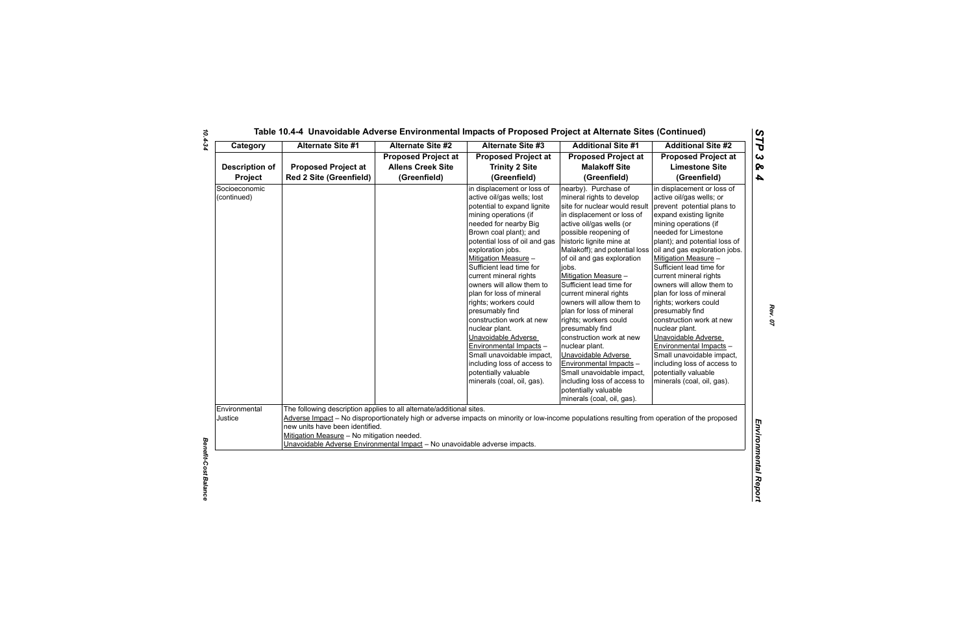| Category                         | <b>Alternate Site #1</b>                                                                                                                                                                                                                                                                                                                                                             | <b>Alternate Site #2</b>                                               | <b>Alternate Site #3</b>                                                                                                                                                                                                                                                                                                                                                                                                                                                                                                                                                                                                       | <b>Additional Site #1</b>                                                                                                                                                                                                                                                                                                                                                                                                                                                                                                                                                                                                                                                      | <b>Additional Site #2</b>                                                                                                                                                                                                                                                                                                                                                                                                                                                                                                                                                                                                               |  |
|----------------------------------|--------------------------------------------------------------------------------------------------------------------------------------------------------------------------------------------------------------------------------------------------------------------------------------------------------------------------------------------------------------------------------------|------------------------------------------------------------------------|--------------------------------------------------------------------------------------------------------------------------------------------------------------------------------------------------------------------------------------------------------------------------------------------------------------------------------------------------------------------------------------------------------------------------------------------------------------------------------------------------------------------------------------------------------------------------------------------------------------------------------|--------------------------------------------------------------------------------------------------------------------------------------------------------------------------------------------------------------------------------------------------------------------------------------------------------------------------------------------------------------------------------------------------------------------------------------------------------------------------------------------------------------------------------------------------------------------------------------------------------------------------------------------------------------------------------|-----------------------------------------------------------------------------------------------------------------------------------------------------------------------------------------------------------------------------------------------------------------------------------------------------------------------------------------------------------------------------------------------------------------------------------------------------------------------------------------------------------------------------------------------------------------------------------------------------------------------------------------|--|
| <b>Description of</b><br>Project | <b>Proposed Project at</b><br><b>Red 2 Site (Greenfield)</b>                                                                                                                                                                                                                                                                                                                         | <b>Proposed Project at</b><br><b>Allens Creek Site</b><br>(Greenfield) | <b>Proposed Project at</b><br><b>Trinity 2 Site</b><br>(Greenfield)                                                                                                                                                                                                                                                                                                                                                                                                                                                                                                                                                            | <b>Proposed Project at</b><br><b>Malakoff Site</b><br>(Greenfield)                                                                                                                                                                                                                                                                                                                                                                                                                                                                                                                                                                                                             | <b>Proposed Project at</b><br><b>Limestone Site</b><br>(Greenfield)                                                                                                                                                                                                                                                                                                                                                                                                                                                                                                                                                                     |  |
| Socioeconomic<br>(continued)     |                                                                                                                                                                                                                                                                                                                                                                                      |                                                                        | in displacement or loss of<br>active oil/gas wells; lost<br>potential to expand lignite<br>mining operations (if<br>needed for nearby Big<br>Brown coal plant); and<br>potential loss of oil and gas<br>exploration jobs.<br>Mitigation Measure -<br>Sufficient lead time for<br>current mineral rights<br>owners will allow them to<br>plan for loss of mineral<br>rights; workers could<br>presumably find<br>construction work at new<br>nuclear plant.<br>Unavoidable Adverse<br>Environmental Impacts -<br>Small unavoidable impact,<br>including loss of access to<br>potentially valuable<br>minerals (coal, oil, gas). | nearby). Purchase of<br>mineral rights to develop<br>site for nuclear would result<br>in displacement or loss of<br>active oil/gas wells (or<br>possible reopening of<br>historic lignite mine at<br>Malakoff); and potential loss<br>of oil and gas exploration<br>jobs.<br>Mitigation Measure -<br>Sufficient lead time for<br>current mineral rights<br>owners will allow them to<br>plan for loss of mineral<br>rights; workers could<br>presumably find<br>construction work at new<br>nuclear plant.<br>Unavoidable Adverse<br>Environmental Impacts -<br>Small unavoidable impact,<br>including loss of access to<br>potentially valuable<br>minerals (coal, oil, gas). | in displacement or loss of<br>active oil/gas wells; or<br>prevent potential plans to<br>expand existing lignite<br>mining operations (if<br>needed for Limestone<br>plant); and potential loss of<br>oil and gas exploration jobs.<br>Mitigation Measure -<br>Sufficient lead time for<br>current mineral rights<br>owners will allow them to<br>plan for loss of mineral<br>rights; workers could<br>presumably find<br>construction work at new<br>nuclear plant.<br>Unavoidable Adverse<br>Environmental Impacts -<br>Small unavoidable impact,<br>including loss of access to<br>potentially valuable<br>minerals (coal, oil, gas). |  |
| Environmental<br>Justice         | The following description applies to all alternate/additional sites.<br>Adverse Impact - No disproportionately high or adverse impacts on minority or low-income populations resulting from operation of the proposed<br>new units have been identified.<br>Mitigation Measure - No mitigation needed.<br>Unavoidable Adverse Environmental Impact - No unavoidable adverse impacts. |                                                                        |                                                                                                                                                                                                                                                                                                                                                                                                                                                                                                                                                                                                                                |                                                                                                                                                                                                                                                                                                                                                                                                                                                                                                                                                                                                                                                                                |                                                                                                                                                                                                                                                                                                                                                                                                                                                                                                                                                                                                                                         |  |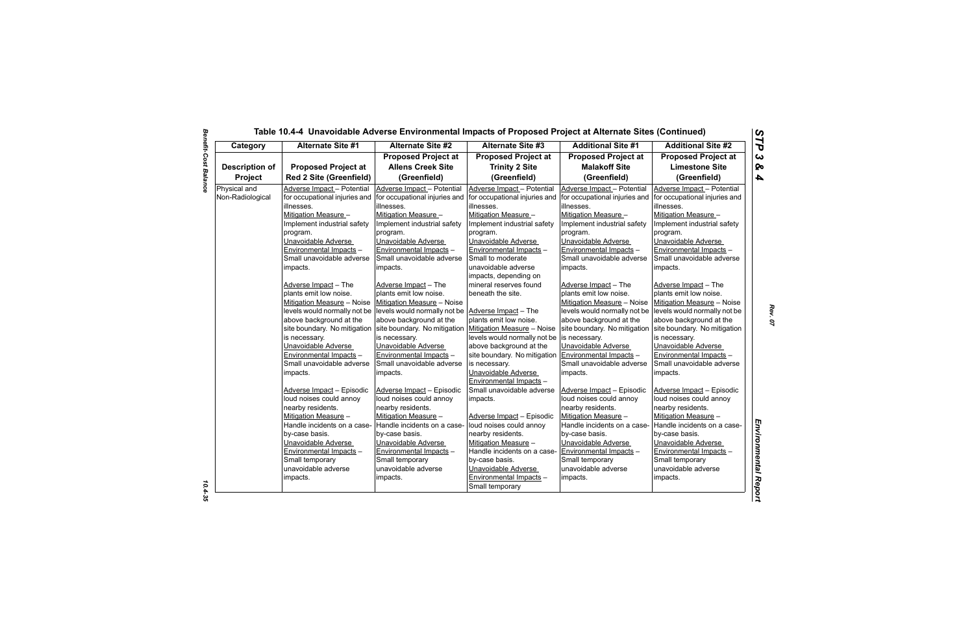| Category              | <b>Alternate Site #1</b>       | <b>Alternate Site #2</b>                                  | <b>Alternate Site #3</b>      | <b>Additional Site #1</b>     | <b>Additional Site #2</b>     |
|-----------------------|--------------------------------|-----------------------------------------------------------|-------------------------------|-------------------------------|-------------------------------|
|                       |                                | <b>Proposed Project at</b>                                | <b>Proposed Project at</b>    | <b>Proposed Project at</b>    | <b>Proposed Project at</b>    |
| <b>Description of</b> | <b>Proposed Project at</b>     | <b>Allens Creek Site</b>                                  | <b>Trinity 2 Site</b>         | <b>Malakoff Site</b>          | <b>Limestone Site</b>         |
| Project               | <b>Red 2 Site (Greenfield)</b> | (Greenfield)                                              | (Greenfield)                  | (Greenfield)                  | (Greenfield)                  |
| Physical and          | Adverse Impact - Potential     | Adverse Impact - Potential                                | Adverse Impact - Potential    | Adverse Impact - Potential    | Adverse Impact - Potential    |
| Non-Radiological      | for occupational injuries and  | for occupational injuries and                             | for occupational injuries and | for occupational injuries and | for occupational injuries and |
|                       | lillnesses.                    | lillnesses.                                               | illnesses.                    | illnesses.                    | illnesses.                    |
|                       | Mitigation Measure -           | Mitigation Measure -                                      | Mitigation Measure -          | Mitigation Measure -          | Mitigation Measure -          |
|                       | Implement industrial safety    | Implement industrial safety                               | Implement industrial safety   | Implement industrial safety   | Implement industrial safety   |
|                       | program.                       | program.                                                  | program.                      | program.                      | program.                      |
|                       | Unavoidable Adverse            | Unavoidable Adverse                                       | Unavoidable Adverse           | Unavoidable Adverse           | Unavoidable Adverse           |
|                       | Environmental Impacts -        | Environmental Impacts -                                   | Environmental Impacts -       | Environmental Impacts -       | Environmental Impacts -       |
|                       | Small unavoidable adverse      | Small unavoidable adverse                                 | Small to moderate             | Small unavoidable adverse     | Small unavoidable adverse     |
|                       | impacts.                       | impacts.                                                  | unavoidable adverse           | impacts.                      | impacts.                      |
|                       |                                |                                                           | impacts, depending on         |                               |                               |
|                       | Adverse Impact - The           | Adverse Impact - The                                      | mineral reserves found        | Adverse Impact - The          | Adverse Impact - The          |
|                       | plants emit low noise.         | plants emit low noise.                                    | beneath the site.             | plants emit low noise.        | plants emit low noise.        |
|                       | Mitigation Measure - Noise     | Mitigation Measure - Noise                                |                               | Mitigation Measure - Noise    | Mitigation Measure - Noise    |
|                       | levels would normally not be   | levels would normally not be Adverse Impact - The         |                               | levels would normally not be  | levels would normally not be  |
|                       | above background at the        | above background at the                                   | plants emit low noise.        | above background at the       | above background at the       |
|                       | site boundary. No mitigation   | site boundary. No mitigation   Mitigation Measure - Noise |                               | site boundary. No mitigation  | site boundary. No mitigation  |
|                       | is necessary.                  | is necessary.                                             | levels would normally not be  | is necessary.                 | is necessary.                 |
|                       | Unavoidable Adverse            | Unavoidable Adverse                                       | above background at the       | Unavoidable Adverse           | Unavoidable Adverse           |
|                       | Environmental Impacts -        | Environmental Impacts -                                   | site boundary. No mitigation  | Environmental Impacts -       | Environmental Impacts -       |
|                       | Small unavoidable adverse      | Small unavoidable adverse                                 | is necessary.                 | Small unavoidable adverse     | Small unavoidable adverse     |
|                       | impacts.                       | impacts.                                                  | Unavoidable Adverse           | impacts.                      | impacts.                      |
|                       |                                |                                                           | Environmental Impacts -       |                               |                               |
|                       | Adverse Impact - Episodic      | Adverse Impact - Episodic                                 | Small unavoidable adverse     | Adverse Impact - Episodic     | Adverse Impact - Episodic     |
|                       | loud noises could annoy        | loud noises could annoy                                   | impacts.                      | loud noises could annoy       | loud noises could annoy       |
|                       | nearby residents.              | nearby residents.                                         |                               | nearby residents.             | nearby residents.             |
|                       | Mitigation Measure -           | Mitigation Measure -                                      | Adverse Impact - Episodic     | Mitigation Measure -          | Mitigation Measure -          |
|                       | Handle incidents on a case-    | Handle incidents on a case-                               | loud noises could annoy       | Handle incidents on a case-   | Handle incidents on a case-   |
|                       | by-case basis.                 | by-case basis.                                            | nearby residents.             | by-case basis.                | by-case basis.                |
|                       | Unavoidable Adverse            | Unavoidable Adverse                                       | Mitigation Measure -          | Unavoidable Adverse           | Unavoidable Adverse           |
|                       | Environmental Impacts -        | Environmental Impacts -                                   | Handle incidents on a case-   | Environmental Impacts -       | Environmental Impacts -       |
|                       | Small temporary                | Small temporary                                           | by-case basis.                | Small temporary               | Small temporary               |
|                       | unavoidable adverse            | unavoidable adverse                                       | Unavoidable Adverse           | unavoidable adverse           | unavoidable adverse           |
|                       | impacts.                       | impacts.                                                  | Environmental Impacts -       | impacts.                      | impacts.                      |
|                       |                                |                                                           | Small temporary               |                               |                               |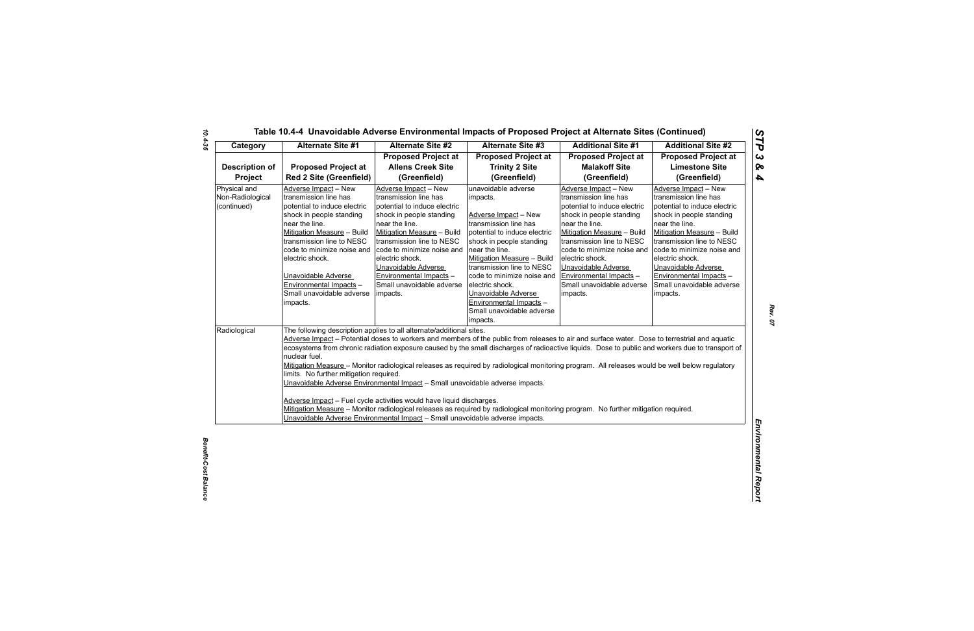| Category                                        | Alternate Site #1                                                                                                                                                                                                                                                                                                                                                                                                                                                                                                                                                                                                                                                                                                                                                                                                                                                                                                                                                       | <b>Alternate Site #2</b>                                                                                                                                                                                                                                                                                                           | <b>Alternate Site #3</b>                                                                                                                                                                                                                                                                                                                                              | <b>Additional Site #1</b>                                                                                                                                                                                                                                                                                                          | <b>Additional Site #2</b>                                                                                                                                                                                                                                                                                                          |  |
|-------------------------------------------------|-------------------------------------------------------------------------------------------------------------------------------------------------------------------------------------------------------------------------------------------------------------------------------------------------------------------------------------------------------------------------------------------------------------------------------------------------------------------------------------------------------------------------------------------------------------------------------------------------------------------------------------------------------------------------------------------------------------------------------------------------------------------------------------------------------------------------------------------------------------------------------------------------------------------------------------------------------------------------|------------------------------------------------------------------------------------------------------------------------------------------------------------------------------------------------------------------------------------------------------------------------------------------------------------------------------------|-----------------------------------------------------------------------------------------------------------------------------------------------------------------------------------------------------------------------------------------------------------------------------------------------------------------------------------------------------------------------|------------------------------------------------------------------------------------------------------------------------------------------------------------------------------------------------------------------------------------------------------------------------------------------------------------------------------------|------------------------------------------------------------------------------------------------------------------------------------------------------------------------------------------------------------------------------------------------------------------------------------------------------------------------------------|--|
|                                                 |                                                                                                                                                                                                                                                                                                                                                                                                                                                                                                                                                                                                                                                                                                                                                                                                                                                                                                                                                                         | <b>Proposed Project at</b>                                                                                                                                                                                                                                                                                                         | <b>Proposed Project at</b>                                                                                                                                                                                                                                                                                                                                            | <b>Proposed Project at</b>                                                                                                                                                                                                                                                                                                         | <b>Proposed Project at</b>                                                                                                                                                                                                                                                                                                         |  |
| <b>Description of</b>                           | <b>Proposed Project at</b>                                                                                                                                                                                                                                                                                                                                                                                                                                                                                                                                                                                                                                                                                                                                                                                                                                                                                                                                              | <b>Allens Creek Site</b>                                                                                                                                                                                                                                                                                                           | <b>Trinity 2 Site</b>                                                                                                                                                                                                                                                                                                                                                 | <b>Malakoff Site</b>                                                                                                                                                                                                                                                                                                               | <b>Limestone Site</b>                                                                                                                                                                                                                                                                                                              |  |
| Project                                         | <b>Red 2 Site (Greenfield)</b>                                                                                                                                                                                                                                                                                                                                                                                                                                                                                                                                                                                                                                                                                                                                                                                                                                                                                                                                          | (Greenfield)                                                                                                                                                                                                                                                                                                                       | (Greenfield)                                                                                                                                                                                                                                                                                                                                                          | (Greenfield)                                                                                                                                                                                                                                                                                                                       | (Greenfield)                                                                                                                                                                                                                                                                                                                       |  |
| Physical and<br>Non-Radiological<br>(continued) | Adverse Impact - New<br>transmission line has<br>potential to induce electric<br>shock in people standing<br>near the line.<br>Mitigation Measure - Build<br>transmission line to NESC<br>code to minimize noise and<br>electric shock.<br>Unavoidable Adverse<br>Environmental Impacts -<br>Small unavoidable adverse<br>impacts.                                                                                                                                                                                                                                                                                                                                                                                                                                                                                                                                                                                                                                      | Adverse Impact - New<br>transmission line has<br>potential to induce electric<br>shock in people standing<br>near the line.<br>Mitigation Measure - Build<br>transmission line to NESC<br>code to minimize noise and<br>electric shock.<br>Unavoidable Adverse<br>Environmental Impacts -<br>Small unavoidable adverse<br>impacts. | unavoidable adverse<br>impacts.<br>Adverse Impact - New<br>transmission line has<br>potential to induce electric<br>shock in people standing<br>near the line.<br>Mitigation Measure - Build<br>transmission line to NESC<br>code to minimize noise and<br>electric shock.<br>Unavoidable Adverse<br>Environmental Impacts -<br>Small unavoidable adverse<br>impacts. | Adverse Impact - New<br>transmission line has<br>potential to induce electric<br>shock in people standing<br>near the line.<br>Mitigation Measure - Build<br>transmission line to NESC<br>code to minimize noise and<br>electric shock.<br>Unavoidable Adverse<br>Environmental Impacts -<br>Small unavoidable adverse<br>impacts. | Adverse Impact - New<br>transmission line has<br>potential to induce electric<br>shock in people standing<br>near the line.<br>Mitigation Measure - Build<br>transmission line to NESC<br>code to minimize noise and<br>electric shock.<br>Unavoidable Adverse<br>Environmental Impacts -<br>Small unavoidable adverse<br>impacts. |  |
| Radiological                                    | The following description applies to all alternate/additional sites.<br>Adverse Impact - Potential doses to workers and members of the public from releases to air and surface water. Dose to terrestrial and aquatic<br>ecosystems from chronic radiation exposure caused by the small discharges of radioactive liquids. Dose to public and workers due to transport of<br>nuclear fuel.<br>Mitigation Measure - Monitor radiological releases as required by radiological monitoring program. All releases would be well below regulatory<br>limits. No further mitigation required.<br>Unavoidable Adverse Environmental Impact - Small unavoidable adverse impacts.<br>Adverse Impact - Fuel cycle activities would have liquid discharges.<br>Mitigation Measure - Monitor radiological releases as required by radiological monitoring program. No further mitigation required.<br>Unavoidable Adverse Environmental Impact - Small unavoidable adverse impacts. |                                                                                                                                                                                                                                                                                                                                    |                                                                                                                                                                                                                                                                                                                                                                       |                                                                                                                                                                                                                                                                                                                                    |                                                                                                                                                                                                                                                                                                                                    |  |